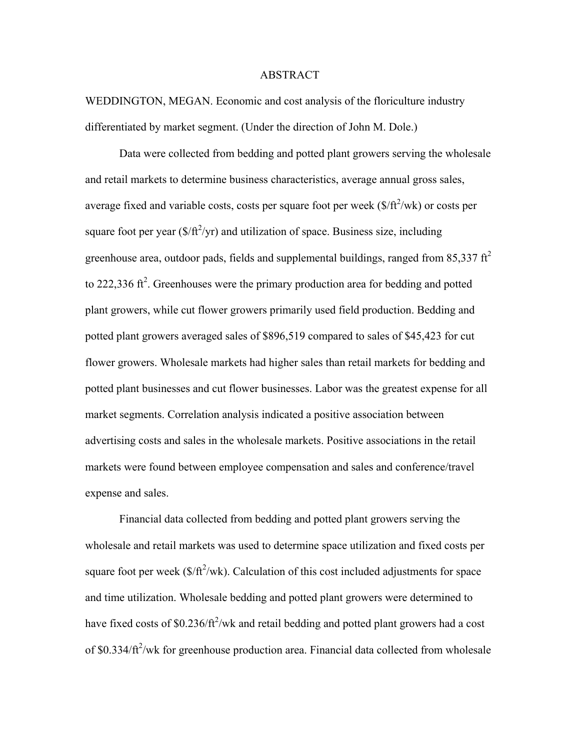#### ABSTRACT

WEDDINGTON, MEGAN. Economic and cost analysis of the floriculture industry differentiated by market segment. (Under the direction of John M. Dole.)

Data were collected from bedding and potted plant growers serving the wholesale and retail markets to determine business characteristics, average annual gross sales, average fixed and variable costs, costs per square foot per week  $(\frac{f}{f^2})$ wk) or costs per square foot per year  $(\frac{s}{ft^2}yr)$  and utilization of space. Business size, including greenhouse area, outdoor pads, fields and supplemental buildings, ranged from 85,337  $\text{ft}^2$ to 222,336 ft<sup>2</sup>. Greenhouses were the primary production area for bedding and potted plant growers, while cut flower growers primarily used field production. Bedding and potted plant growers averaged sales of \$896,519 compared to sales of \$45,423 for cut flower growers. Wholesale markets had higher sales than retail markets for bedding and potted plant businesses and cut flower businesses. Labor was the greatest expense for all market segments. Correlation analysis indicated a positive association between advertising costs and sales in the wholesale markets. Positive associations in the retail markets were found between employee compensation and sales and conference/travel expense and sales.

Financial data collected from bedding and potted plant growers serving the wholesale and retail markets was used to determine space utilization and fixed costs per square foot per week ( $\frac{f(t^2)}{w}$ ). Calculation of this cost included adjustments for space and time utilization. Wholesale bedding and potted plant growers were determined to have fixed costs of \$0.236/ft<sup>2</sup>/wk and retail bedding and potted plant growers had a cost of \$0.334/ft<sup>2</sup>/wk for greenhouse production area. Financial data collected from wholesale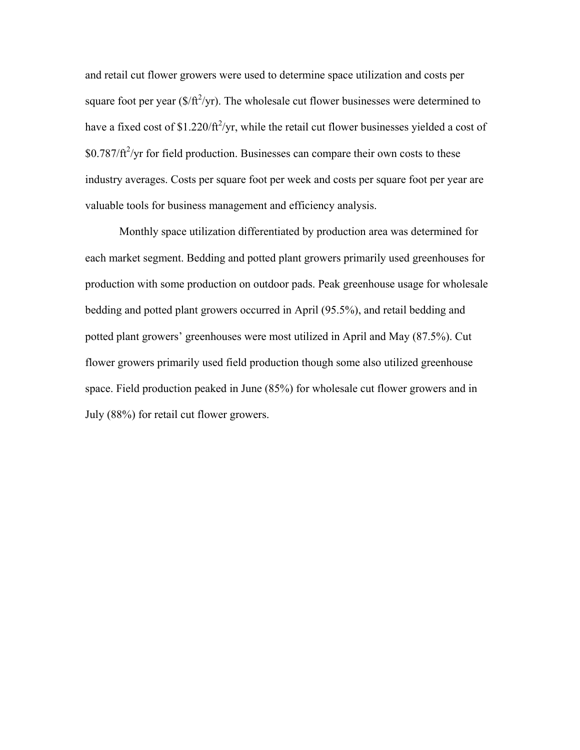and retail cut flower growers were used to determine space utilization and costs per square foot per year  $(\frac{f}{f^2}$ yr). The wholesale cut flower businesses were determined to have a fixed cost of \$1.220/ $\frac{f}{f}$ /yr, while the retail cut flower businesses yielded a cost of  $$0.787/ft^2$ /yr for field production. Businesses can compare their own costs to these industry averages. Costs per square foot per week and costs per square foot per year are valuable tools for business management and efficiency analysis.

Monthly space utilization differentiated by production area was determined for each market segment. Bedding and potted plant growers primarily used greenhouses for production with some production on outdoor pads. Peak greenhouse usage for wholesale bedding and potted plant growers occurred in April (95.5%), and retail bedding and potted plant growers' greenhouses were most utilized in April and May (87.5%). Cut flower growers primarily used field production though some also utilized greenhouse space. Field production peaked in June (85%) for wholesale cut flower growers and in July (88%) for retail cut flower growers.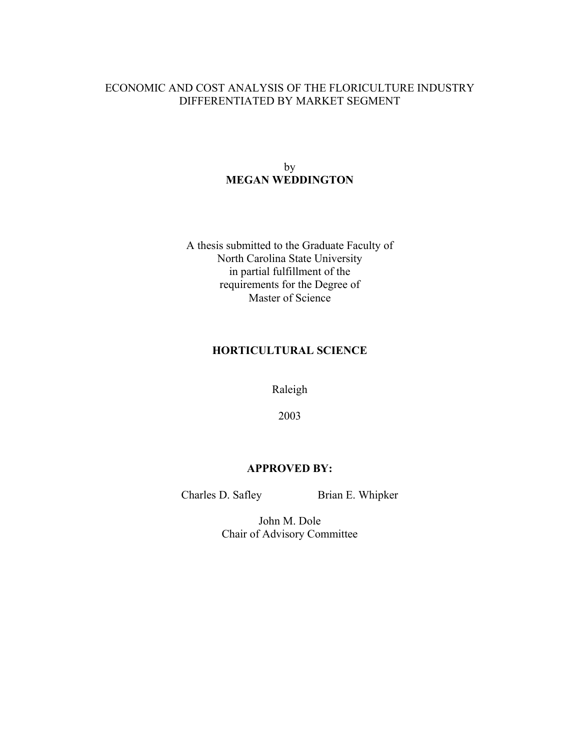## ECONOMIC AND COST ANALYSIS OF THE FLORICULTURE INDUSTRY DIFFERENTIATED BY MARKET SEGMENT

### by **MEGAN WEDDINGTON**

A thesis submitted to the Graduate Faculty of North Carolina State University in partial fulfillment of the requirements for the Degree of Master of Science

## **HORTICULTURAL SCIENCE**

Raleigh

2003

### **APPROVED BY:**

Charles D. Safley Brian E. Whipker

John M. Dole Chair of Advisory Committee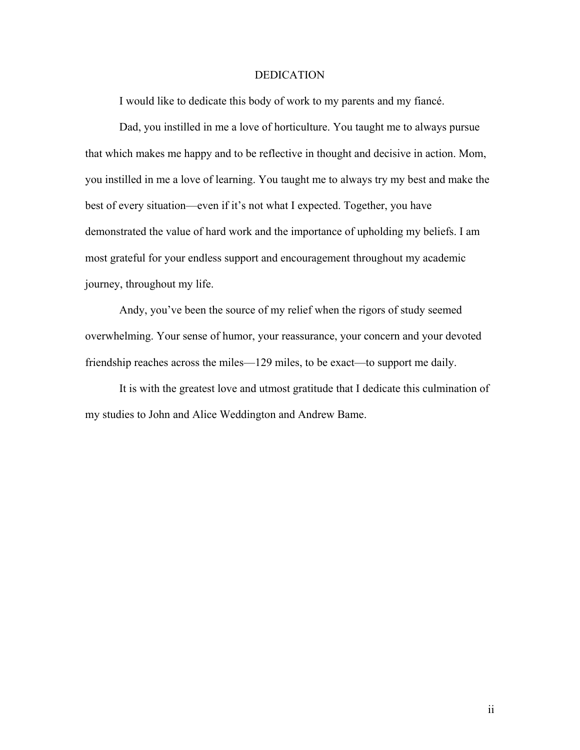#### DEDICATION

I would like to dedicate this body of work to my parents and my fiancé.

Dad, you instilled in me a love of horticulture. You taught me to always pursue that which makes me happy and to be reflective in thought and decisive in action. Mom, you instilled in me a love of learning. You taught me to always try my best and make the best of every situation—even if it's not what I expected. Together, you have demonstrated the value of hard work and the importance of upholding my beliefs. I am most grateful for your endless support and encouragement throughout my academic journey, throughout my life.

Andy, you've been the source of my relief when the rigors of study seemed overwhelming. Your sense of humor, your reassurance, your concern and your devoted friendship reaches across the miles—129 miles, to be exact—to support me daily.

It is with the greatest love and utmost gratitude that I dedicate this culmination of my studies to John and Alice Weddington and Andrew Bame.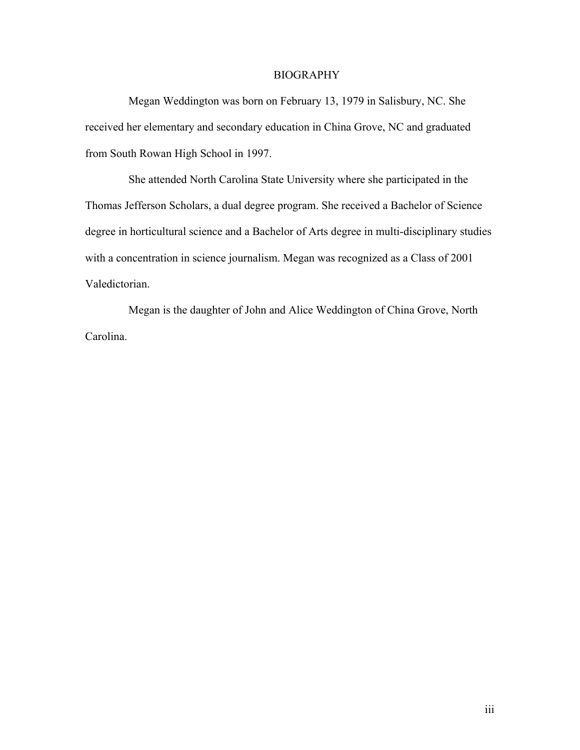#### BIOGRAPHY

Megan Weddington was born on February 13, 1979 in Salisbury, NC. She received her elementary and secondary education in China Grove, NC and graduated from South Rowan High School in 1997.

 She attended North Carolina State University where she participated in the Thomas Jefferson Scholars, a dual degree program. She received a Bachelor of Science degree in horticultural science and a Bachelor of Arts degree in multi-disciplinary studies with a concentration in science journalism. Megan was recognized as a Class of 2001 Valedictorian.

 Megan is the daughter of John and Alice Weddington of China Grove, North Carolina.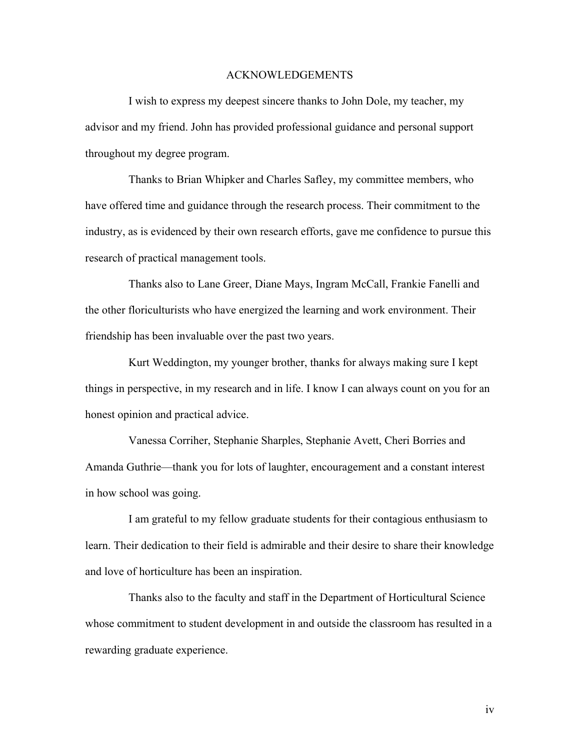#### ACKNOWLEDGEMENTS

 I wish to express my deepest sincere thanks to John Dole, my teacher, my advisor and my friend. John has provided professional guidance and personal support throughout my degree program.

 Thanks to Brian Whipker and Charles Safley, my committee members, who have offered time and guidance through the research process. Their commitment to the industry, as is evidenced by their own research efforts, gave me confidence to pursue this research of practical management tools.

 Thanks also to Lane Greer, Diane Mays, Ingram McCall, Frankie Fanelli and the other floriculturists who have energized the learning and work environment. Their friendship has been invaluable over the past two years.

 Kurt Weddington, my younger brother, thanks for always making sure I kept things in perspective, in my research and in life. I know I can always count on you for an honest opinion and practical advice.

 Vanessa Corriher, Stephanie Sharples, Stephanie Avett, Cheri Borries and Amanda Guthrie—thank you for lots of laughter, encouragement and a constant interest in how school was going.

 I am grateful to my fellow graduate students for their contagious enthusiasm to learn. Their dedication to their field is admirable and their desire to share their knowledge and love of horticulture has been an inspiration.

 Thanks also to the faculty and staff in the Department of Horticultural Science whose commitment to student development in and outside the classroom has resulted in a rewarding graduate experience.

iv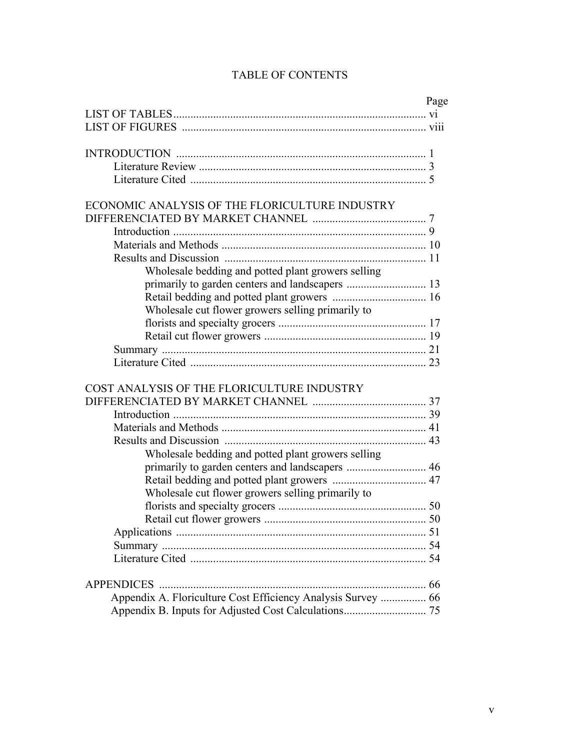|                                                              | Page |
|--------------------------------------------------------------|------|
|                                                              |      |
|                                                              |      |
|                                                              |      |
|                                                              |      |
|                                                              |      |
|                                                              |      |
|                                                              |      |
| ECONOMIC ANALYSIS OF THE FLORICULTURE INDUSTRY               |      |
|                                                              |      |
|                                                              |      |
|                                                              |      |
|                                                              |      |
| Wholesale bedding and potted plant growers selling           |      |
|                                                              |      |
|                                                              |      |
| Wholesale cut flower growers selling primarily to            |      |
|                                                              |      |
|                                                              |      |
|                                                              |      |
|                                                              |      |
|                                                              |      |
| COST ANALYSIS OF THE FLORICULTURE INDUSTRY                   |      |
|                                                              |      |
|                                                              |      |
|                                                              |      |
|                                                              |      |
| Wholesale bedding and potted plant growers selling           |      |
|                                                              |      |
|                                                              |      |
|                                                              |      |
| Wholesale cut flower growers selling primarily to            |      |
|                                                              |      |
|                                                              |      |
|                                                              |      |
|                                                              |      |
|                                                              |      |
|                                                              |      |
| Appendix A. Floriculture Cost Efficiency Analysis Survey  66 |      |
|                                                              |      |

# TABLE OF CONTENTS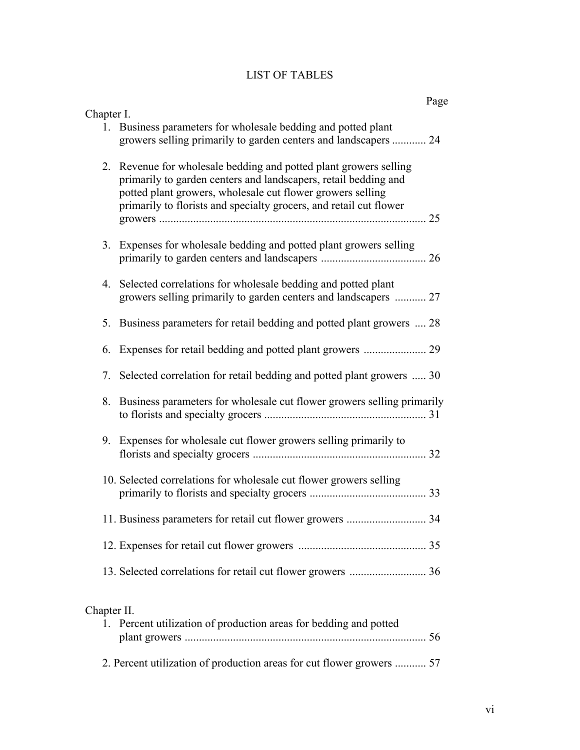# LIST OF TABLES

|             |                                                                                                                                                                                                                                                                          | Page |
|-------------|--------------------------------------------------------------------------------------------------------------------------------------------------------------------------------------------------------------------------------------------------------------------------|------|
| Chapter I.  | 1. Business parameters for wholesale bedding and potted plant<br>growers selling primarily to garden centers and landscapers  24                                                                                                                                         |      |
|             | 2. Revenue for wholesale bedding and potted plant growers selling<br>primarily to garden centers and landscapers, retail bedding and<br>potted plant growers, wholesale cut flower growers selling<br>primarily to florists and specialty grocers, and retail cut flower |      |
|             | 3. Expenses for wholesale bedding and potted plant growers selling                                                                                                                                                                                                       |      |
| 4.          | Selected correlations for wholesale bedding and potted plant<br>growers selling primarily to garden centers and landscapers  27                                                                                                                                          |      |
|             | 5. Business parameters for retail bedding and potted plant growers  28                                                                                                                                                                                                   |      |
|             |                                                                                                                                                                                                                                                                          |      |
| 7.          | Selected correlation for retail bedding and potted plant growers  30                                                                                                                                                                                                     |      |
|             | 8. Business parameters for wholesale cut flower growers selling primarily                                                                                                                                                                                                |      |
|             | 9. Expenses for wholesale cut flower growers selling primarily to                                                                                                                                                                                                        |      |
|             | 10. Selected correlations for wholesale cut flower growers selling                                                                                                                                                                                                       |      |
|             | 11. Business parameters for retail cut flower growers  34                                                                                                                                                                                                                |      |
|             |                                                                                                                                                                                                                                                                          |      |
|             |                                                                                                                                                                                                                                                                          |      |
| Chapter II. | 1. Percent utilization of production areas for bedding and potted                                                                                                                                                                                                        |      |

2. Percent utilization of production areas for cut flower growers ........... 57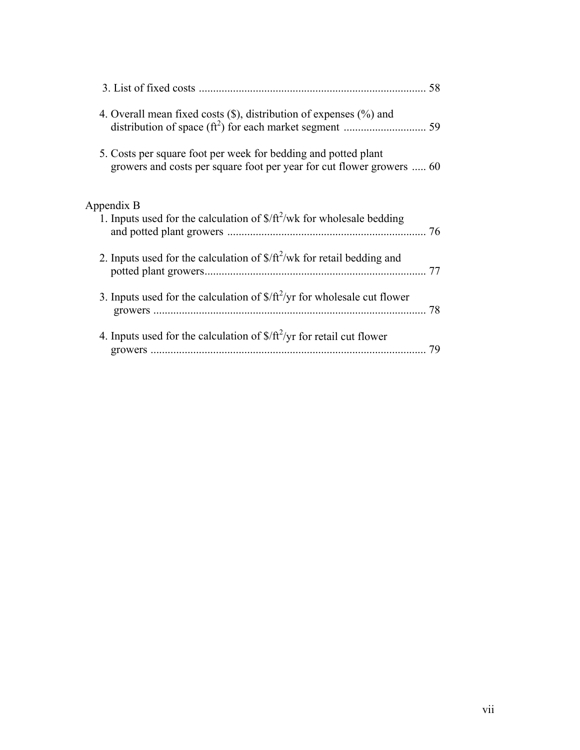|                                                                                                                                         | 58 |
|-----------------------------------------------------------------------------------------------------------------------------------------|----|
| 4. Overall mean fixed costs $(\hat{\mathbf{S}})$ , distribution of expenses $(\%)$ and                                                  |    |
| 5. Costs per square foot per week for bedding and potted plant<br>growers and costs per square foot per year for cut flower growers  60 |    |
| Appendix B<br>1. Inputs used for the calculation of $\frac{\pi^2}{\text{wt}^2}$ wk for wholesale bedding                                | 76 |
| 2. Inputs used for the calculation of $\frac{\pi^2}{\text{w}}$ for retail bedding and                                                   |    |
| 3. Inputs used for the calculation of $\frac{\sqrt{t^2}}{\gamma r}$ for wholesale cut flower                                            | 78 |
| 4. Inputs used for the calculation of $\frac{f}{f}$ / $\frac{f^2}{y}$ for retail cut flower                                             | 79 |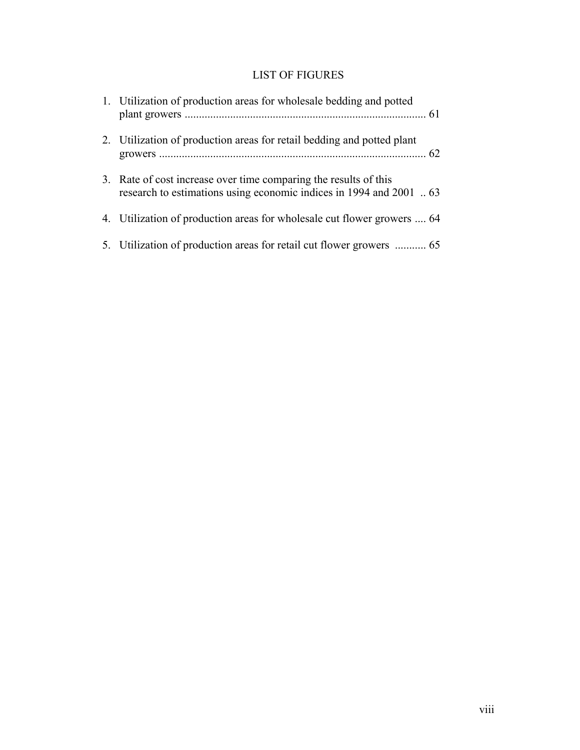## LIST OF FIGURES

| 1. Utilization of production areas for wholesale bedding and potted                                                                     |  |
|-----------------------------------------------------------------------------------------------------------------------------------------|--|
| 2. Utilization of production areas for retail bedding and potted plant                                                                  |  |
| 3. Rate of cost increase over time comparing the results of this<br>research to estimations using economic indices in 1994 and 2001  63 |  |
| 4. Utilization of production areas for wholesale cut flower growers  64                                                                 |  |
|                                                                                                                                         |  |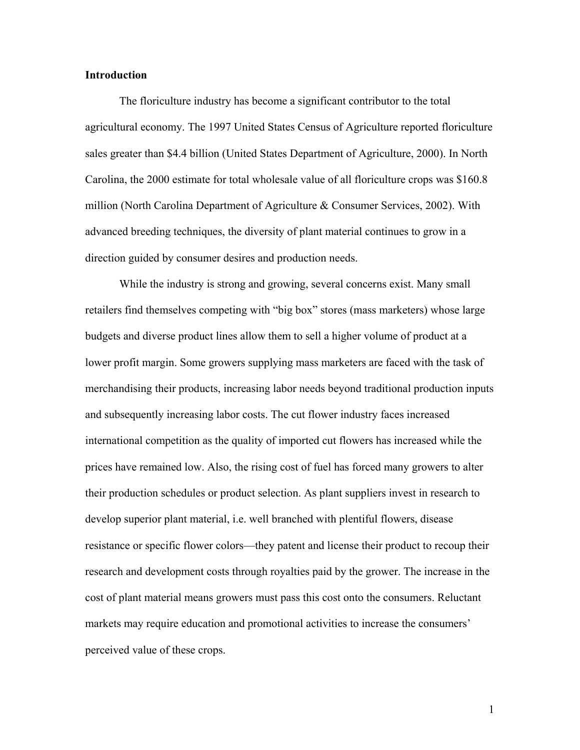#### **Introduction**

 The floriculture industry has become a significant contributor to the total agricultural economy. The 1997 United States Census of Agriculture reported floriculture sales greater than \$4.4 billion (United States Department of Agriculture, 2000). In North Carolina, the 2000 estimate for total wholesale value of all floriculture crops was \$160.8 million (North Carolina Department of Agriculture & Consumer Services, 2002). With advanced breeding techniques, the diversity of plant material continues to grow in a direction guided by consumer desires and production needs.

While the industry is strong and growing, several concerns exist. Many small retailers find themselves competing with "big box" stores (mass marketers) whose large budgets and diverse product lines allow them to sell a higher volume of product at a lower profit margin. Some growers supplying mass marketers are faced with the task of merchandising their products, increasing labor needs beyond traditional production inputs and subsequently increasing labor costs. The cut flower industry faces increased international competition as the quality of imported cut flowers has increased while the prices have remained low. Also, the rising cost of fuel has forced many growers to alter their production schedules or product selection. As plant suppliers invest in research to develop superior plant material, i.e. well branched with plentiful flowers, disease resistance or specific flower colors—they patent and license their product to recoup their research and development costs through royalties paid by the grower. The increase in the cost of plant material means growers must pass this cost onto the consumers. Reluctant markets may require education and promotional activities to increase the consumers' perceived value of these crops.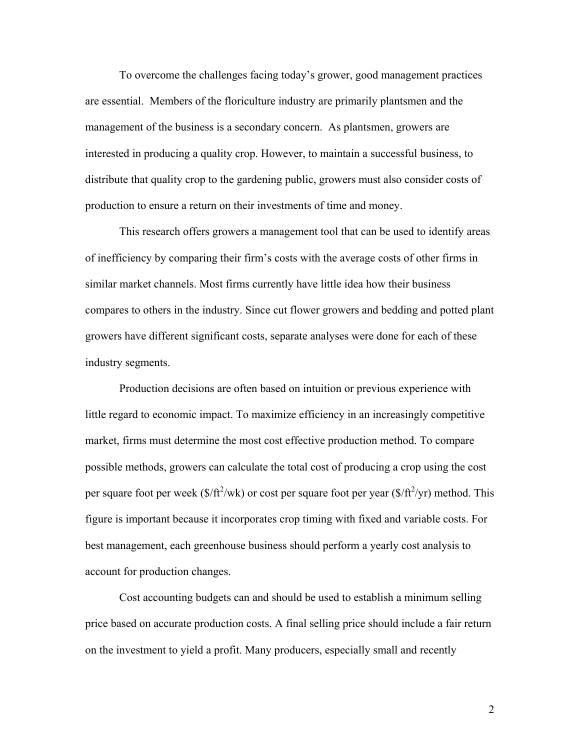To overcome the challenges facing today's grower, good management practices are essential. Members of the floriculture industry are primarily plantsmen and the management of the business is a secondary concern. As plantsmen, growers are interested in producing a quality crop. However, to maintain a successful business, to distribute that quality crop to the gardening public, growers must also consider costs of production to ensure a return on their investments of time and money.

 This research offers growers a management tool that can be used to identify areas of inefficiency by comparing their firm's costs with the average costs of other firms in similar market channels. Most firms currently have little idea how their business compares to others in the industry. Since cut flower growers and bedding and potted plant growers have different significant costs, separate analyses were done for each of these industry segments.

 Production decisions are often based on intuition or previous experience with little regard to economic impact. To maximize efficiency in an increasingly competitive market, firms must determine the most cost effective production method. To compare possible methods, growers can calculate the total cost of producing a crop using the cost per square foot per week ( $\frac{f}{f}$ /wk) or cost per square foot per year ( $\frac{f}{f}$ /yr) method. This figure is important because it incorporates crop timing with fixed and variable costs. For best management, each greenhouse business should perform a yearly cost analysis to account for production changes.

 Cost accounting budgets can and should be used to establish a minimum selling price based on accurate production costs. A final selling price should include a fair return on the investment to yield a profit. Many producers, especially small and recently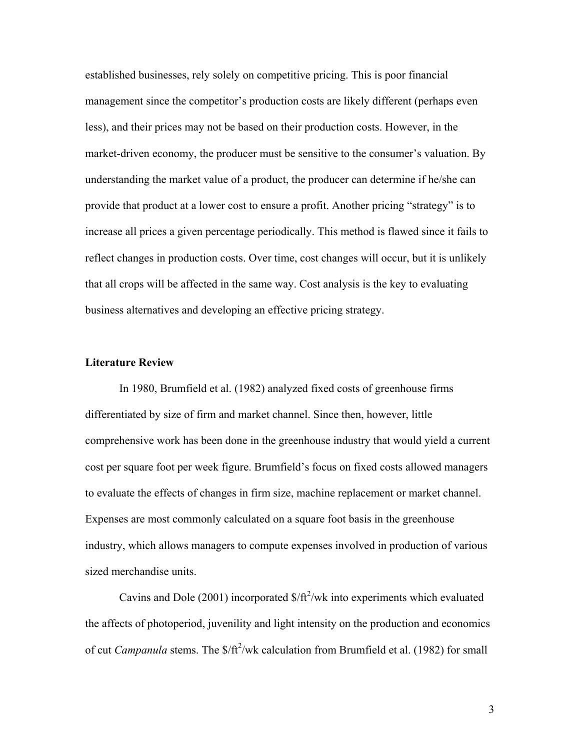established businesses, rely solely on competitive pricing. This is poor financial management since the competitor's production costs are likely different (perhaps even less), and their prices may not be based on their production costs. However, in the market-driven economy, the producer must be sensitive to the consumer's valuation. By understanding the market value of a product, the producer can determine if he/she can provide that product at a lower cost to ensure a profit. Another pricing "strategy" is to increase all prices a given percentage periodically. This method is flawed since it fails to reflect changes in production costs. Over time, cost changes will occur, but it is unlikely that all crops will be affected in the same way. Cost analysis is the key to evaluating business alternatives and developing an effective pricing strategy.

#### **Literature Review**

 In 1980, Brumfield et al. (1982) analyzed fixed costs of greenhouse firms differentiated by size of firm and market channel. Since then, however, little comprehensive work has been done in the greenhouse industry that would yield a current cost per square foot per week figure. Brumfield's focus on fixed costs allowed managers to evaluate the effects of changes in firm size, machine replacement or market channel. Expenses are most commonly calculated on a square foot basis in the greenhouse industry, which allows managers to compute expenses involved in production of various sized merchandise units.

Cavins and Dole  $(2001)$  incorporated  $\frac{f(t^2)}{w}$  into experiments which evaluated the affects of photoperiod, juvenility and light intensity on the production and economics of cut *Campanula* stems. The  $\frac{f(t^2)}{w}$ k calculation from Brumfield et al. (1982) for small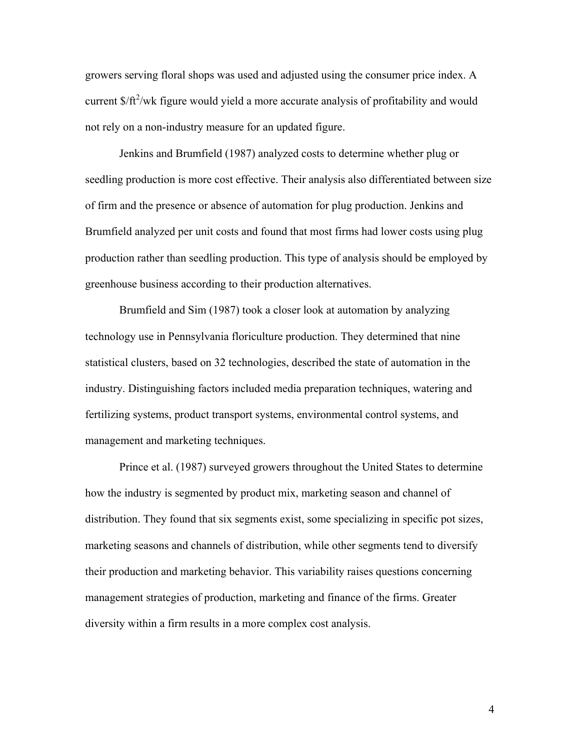growers serving floral shops was used and adjusted using the consumer price index. A current  $\frac{f(t^2)}{w}$  figure would yield a more accurate analysis of profitability and would not rely on a non-industry measure for an updated figure.

 Jenkins and Brumfield (1987) analyzed costs to determine whether plug or seedling production is more cost effective. Their analysis also differentiated between size of firm and the presence or absence of automation for plug production. Jenkins and Brumfield analyzed per unit costs and found that most firms had lower costs using plug production rather than seedling production. This type of analysis should be employed by greenhouse business according to their production alternatives.

Brumfield and Sim (1987) took a closer look at automation by analyzing technology use in Pennsylvania floriculture production. They determined that nine statistical clusters, based on 32 technologies, described the state of automation in the industry. Distinguishing factors included media preparation techniques, watering and fertilizing systems, product transport systems, environmental control systems, and management and marketing techniques.

 Prince et al. (1987) surveyed growers throughout the United States to determine how the industry is segmented by product mix, marketing season and channel of distribution. They found that six segments exist, some specializing in specific pot sizes, marketing seasons and channels of distribution, while other segments tend to diversify their production and marketing behavior. This variability raises questions concerning management strategies of production, marketing and finance of the firms. Greater diversity within a firm results in a more complex cost analysis.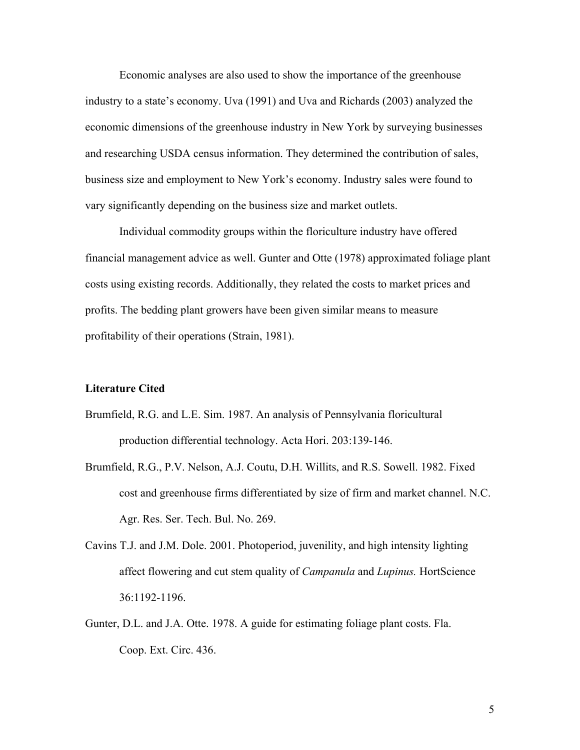Economic analyses are also used to show the importance of the greenhouse industry to a state's economy. Uva (1991) and Uva and Richards (2003) analyzed the economic dimensions of the greenhouse industry in New York by surveying businesses and researching USDA census information. They determined the contribution of sales, business size and employment to New York's economy. Industry sales were found to vary significantly depending on the business size and market outlets.

 Individual commodity groups within the floriculture industry have offered financial management advice as well. Gunter and Otte (1978) approximated foliage plant costs using existing records. Additionally, they related the costs to market prices and profits. The bedding plant growers have been given similar means to measure profitability of their operations (Strain, 1981).

#### **Literature Cited**

- Brumfield, R.G. and L.E. Sim. 1987. An analysis of Pennsylvania floricultural production differential technology. Acta Hori. 203:139-146.
- Brumfield, R.G., P.V. Nelson, A.J. Coutu, D.H. Willits, and R.S. Sowell. 1982. Fixed cost and greenhouse firms differentiated by size of firm and market channel. N.C. Agr. Res. Ser. Tech. Bul. No. 269.
- Cavins T.J. and J.M. Dole. 2001. Photoperiod, juvenility, and high intensity lighting affect flowering and cut stem quality of *Campanula* and *Lupinus.* HortScience 36:1192-1196.
- Gunter, D.L. and J.A. Otte. 1978. A guide for estimating foliage plant costs. Fla. Coop. Ext. Circ. 436.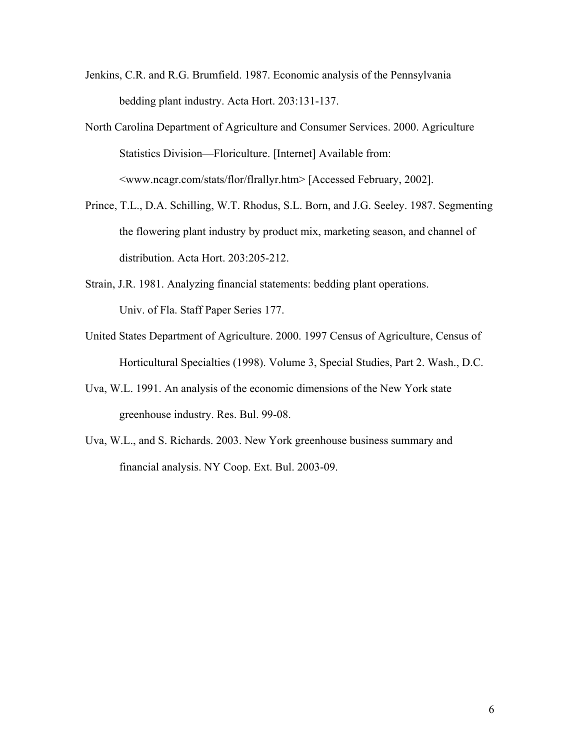- Jenkins, C.R. and R.G. Brumfield. 1987. Economic analysis of the Pennsylvania bedding plant industry. Acta Hort. 203:131-137.
- North Carolina Department of Agriculture and Consumer Services. 2000. Agriculture Statistics Division—Floriculture. [Internet] Available from: <www.ncagr.com/stats/flor/flrallyr.htm> [Accessed February, 2002].
- Prince, T.L., D.A. Schilling, W.T. Rhodus, S.L. Born, and J.G. Seeley. 1987. Segmenting the flowering plant industry by product mix, marketing season, and channel of distribution. Acta Hort. 203:205-212.
- Strain, J.R. 1981. Analyzing financial statements: bedding plant operations. Univ. of Fla. Staff Paper Series 177.
- United States Department of Agriculture. 2000. 1997 Census of Agriculture, Census of Horticultural Specialties (1998). Volume 3, Special Studies, Part 2. Wash., D.C.
- Uva, W.L. 1991. An analysis of the economic dimensions of the New York state greenhouse industry. Res. Bul. 99-08.
- Uva, W.L., and S. Richards. 2003. New York greenhouse business summary and financial analysis. NY Coop. Ext. Bul. 2003-09.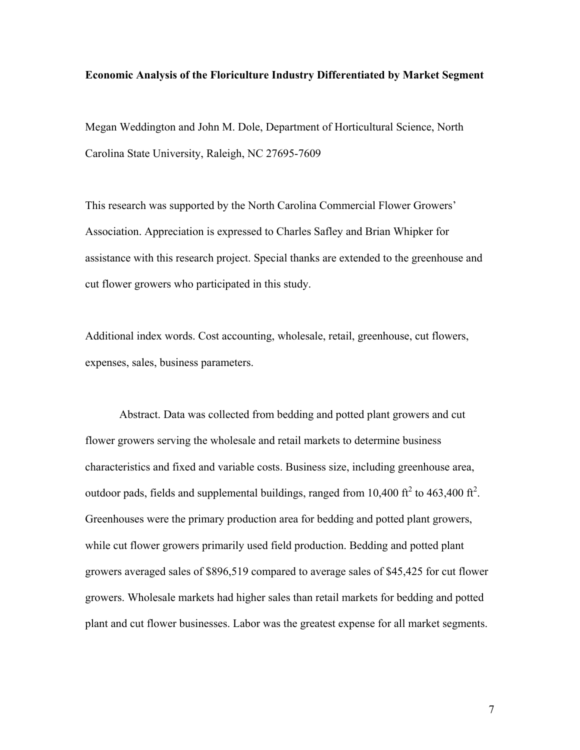#### **Economic Analysis of the Floriculture Industry Differentiated by Market Segment**

Megan Weddington and John M. Dole, Department of Horticultural Science, North Carolina State University, Raleigh, NC 27695-7609

This research was supported by the North Carolina Commercial Flower Growers' Association. Appreciation is expressed to Charles Safley and Brian Whipker for assistance with this research project. Special thanks are extended to the greenhouse and cut flower growers who participated in this study.

Additional index words. Cost accounting, wholesale, retail, greenhouse, cut flowers, expenses, sales, business parameters.

Abstract. Data was collected from bedding and potted plant growers and cut flower growers serving the wholesale and retail markets to determine business characteristics and fixed and variable costs. Business size, including greenhouse area, outdoor pads, fields and supplemental buildings, ranged from 10,400 ft<sup>2</sup> to 463,400 ft<sup>2</sup>. Greenhouses were the primary production area for bedding and potted plant growers, while cut flower growers primarily used field production. Bedding and potted plant growers averaged sales of \$896,519 compared to average sales of \$45,425 for cut flower growers. Wholesale markets had higher sales than retail markets for bedding and potted plant and cut flower businesses. Labor was the greatest expense for all market segments.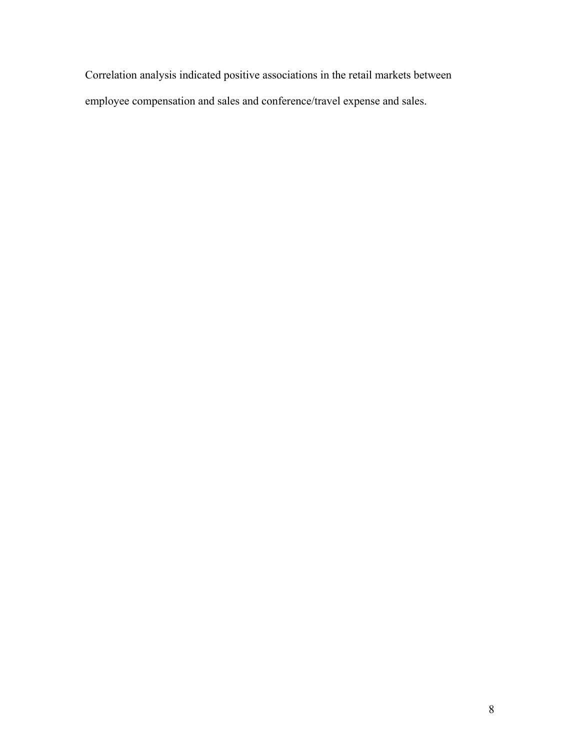Correlation analysis indicated positive associations in the retail markets between employee compensation and sales and conference/travel expense and sales.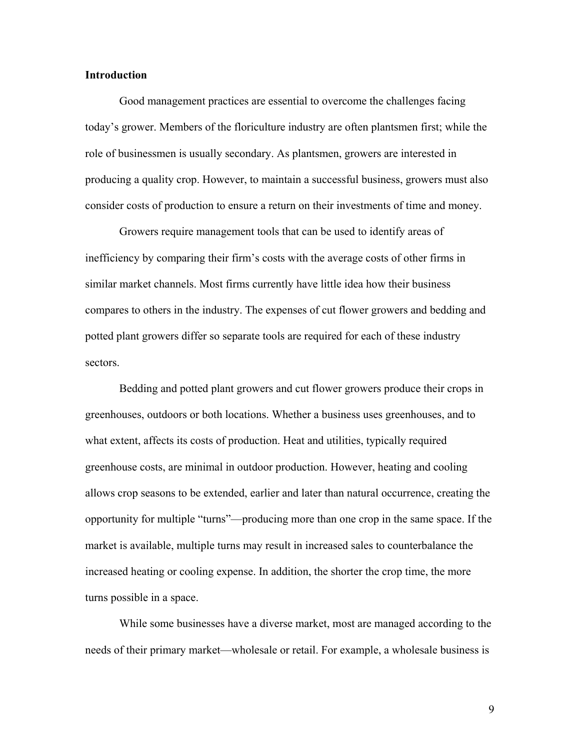#### **Introduction**

Good management practices are essential to overcome the challenges facing today's grower. Members of the floriculture industry are often plantsmen first; while the role of businessmen is usually secondary. As plantsmen, growers are interested in producing a quality crop. However, to maintain a successful business, growers must also consider costs of production to ensure a return on their investments of time and money.

Growers require management tools that can be used to identify areas of inefficiency by comparing their firm's costs with the average costs of other firms in similar market channels. Most firms currently have little idea how their business compares to others in the industry. The expenses of cut flower growers and bedding and potted plant growers differ so separate tools are required for each of these industry sectors.

Bedding and potted plant growers and cut flower growers produce their crops in greenhouses, outdoors or both locations. Whether a business uses greenhouses, and to what extent, affects its costs of production. Heat and utilities, typically required greenhouse costs, are minimal in outdoor production. However, heating and cooling allows crop seasons to be extended, earlier and later than natural occurrence, creating the opportunity for multiple "turns"—producing more than one crop in the same space. If the market is available, multiple turns may result in increased sales to counterbalance the increased heating or cooling expense. In addition, the shorter the crop time, the more turns possible in a space.

While some businesses have a diverse market, most are managed according to the needs of their primary market—wholesale or retail. For example, a wholesale business is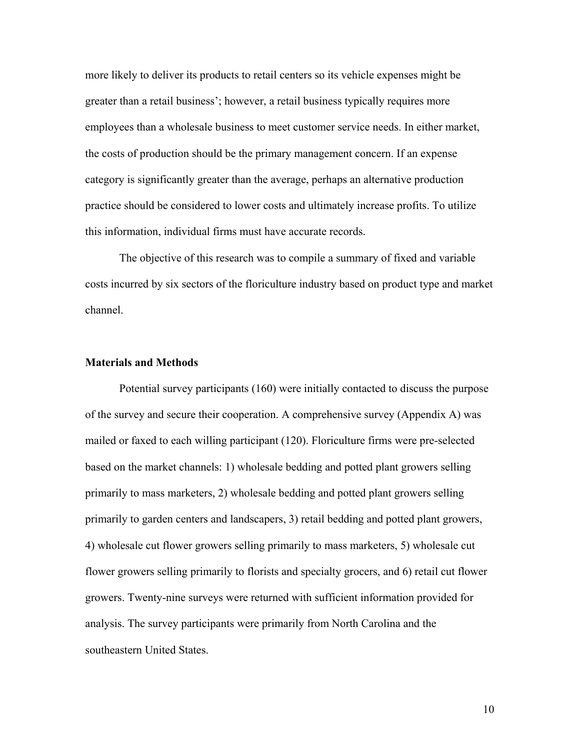more likely to deliver its products to retail centers so its vehicle expenses might be greater than a retail business'; however, a retail business typically requires more employees than a wholesale business to meet customer service needs. In either market, the costs of production should be the primary management concern. If an expense category is significantly greater than the average, perhaps an alternative production practice should be considered to lower costs and ultimately increase profits. To utilize this information, individual firms must have accurate records.

The objective of this research was to compile a summary of fixed and variable costs incurred by six sectors of the floriculture industry based on product type and market channel.

#### **Materials and Methods**

 Potential survey participants (160) were initially contacted to discuss the purpose of the survey and secure their cooperation. A comprehensive survey (Appendix A) was mailed or faxed to each willing participant (120). Floriculture firms were pre-selected based on the market channels: 1) wholesale bedding and potted plant growers selling primarily to mass marketers, 2) wholesale bedding and potted plant growers selling primarily to garden centers and landscapers, 3) retail bedding and potted plant growers, 4) wholesale cut flower growers selling primarily to mass marketers, 5) wholesale cut flower growers selling primarily to florists and specialty grocers, and 6) retail cut flower growers. Twenty-nine surveys were returned with sufficient information provided for analysis. The survey participants were primarily from North Carolina and the southeastern United States.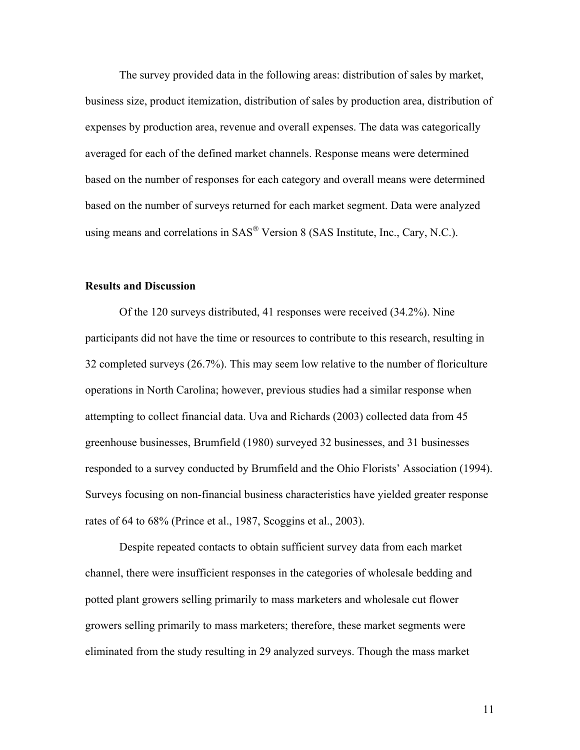The survey provided data in the following areas: distribution of sales by market, business size, product itemization, distribution of sales by production area, distribution of expenses by production area, revenue and overall expenses. The data was categorically averaged for each of the defined market channels. Response means were determined based on the number of responses for each category and overall means were determined based on the number of surveys returned for each market segment. Data were analyzed using means and correlations in SAS® Version 8 (SAS Institute, Inc., Cary, N.C.).

#### **Results and Discussion**

Of the 120 surveys distributed, 41 responses were received (34.2%). Nine participants did not have the time or resources to contribute to this research, resulting in 32 completed surveys (26.7%). This may seem low relative to the number of floriculture operations in North Carolina; however, previous studies had a similar response when attempting to collect financial data. Uva and Richards (2003) collected data from 45 greenhouse businesses, Brumfield (1980) surveyed 32 businesses, and 31 businesses responded to a survey conducted by Brumfield and the Ohio Florists' Association (1994). Surveys focusing on non-financial business characteristics have yielded greater response rates of 64 to 68% (Prince et al., 1987, Scoggins et al., 2003).

Despite repeated contacts to obtain sufficient survey data from each market channel, there were insufficient responses in the categories of wholesale bedding and potted plant growers selling primarily to mass marketers and wholesale cut flower growers selling primarily to mass marketers; therefore, these market segments were eliminated from the study resulting in 29 analyzed surveys. Though the mass market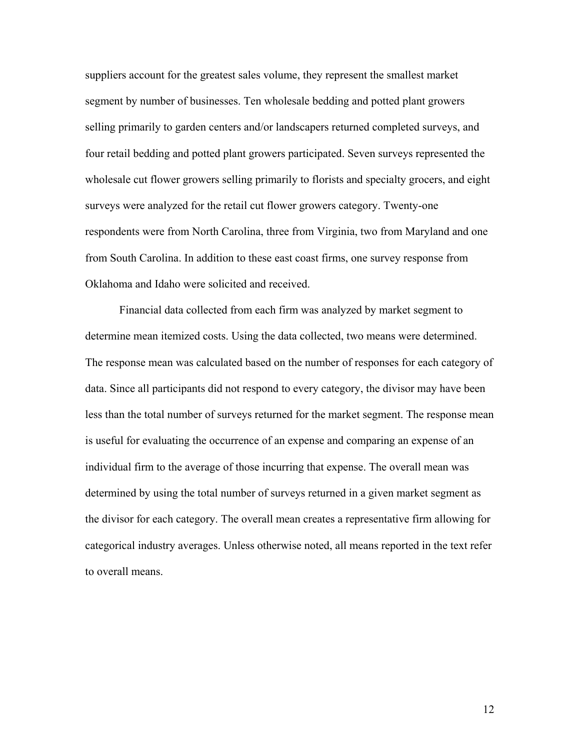suppliers account for the greatest sales volume, they represent the smallest market segment by number of businesses. Ten wholesale bedding and potted plant growers selling primarily to garden centers and/or landscapers returned completed surveys, and four retail bedding and potted plant growers participated. Seven surveys represented the wholesale cut flower growers selling primarily to florists and specialty grocers, and eight surveys were analyzed for the retail cut flower growers category. Twenty-one respondents were from North Carolina, three from Virginia, two from Maryland and one from South Carolina. In addition to these east coast firms, one survey response from Oklahoma and Idaho were solicited and received.

Financial data collected from each firm was analyzed by market segment to determine mean itemized costs. Using the data collected, two means were determined. The response mean was calculated based on the number of responses for each category of data. Since all participants did not respond to every category, the divisor may have been less than the total number of surveys returned for the market segment. The response mean is useful for evaluating the occurrence of an expense and comparing an expense of an individual firm to the average of those incurring that expense. The overall mean was determined by using the total number of surveys returned in a given market segment as the divisor for each category. The overall mean creates a representative firm allowing for categorical industry averages. Unless otherwise noted, all means reported in the text refer to overall means.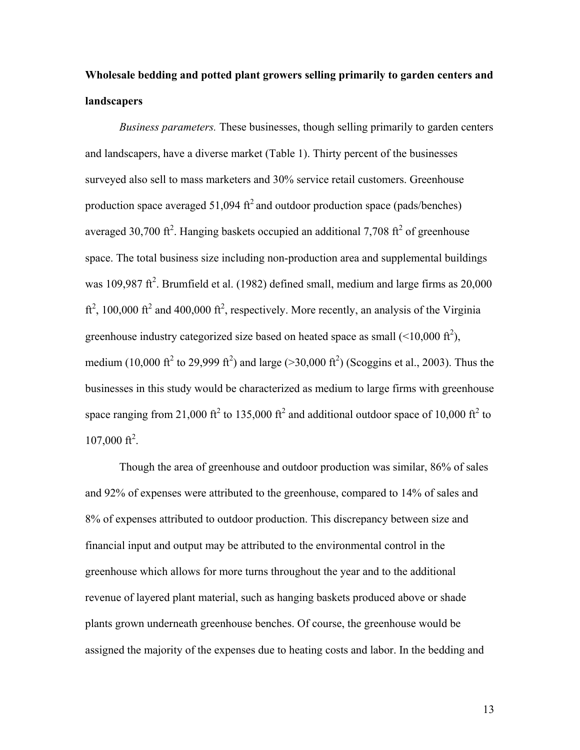# **Wholesale bedding and potted plant growers selling primarily to garden centers and landscapers**

*Business parameters.* These businesses, though selling primarily to garden centers and landscapers, have a diverse market (Table 1). Thirty percent of the businesses surveyed also sell to mass marketers and 30% service retail customers. Greenhouse production space averaged  $51,094 \text{ ft}^2$  and outdoor production space (pads/benches) averaged 30,700 ft<sup>2</sup>. Hanging baskets occupied an additional 7,708 ft<sup>2</sup> of greenhouse space. The total business size including non-production area and supplemental buildings was 109,987 ft<sup>2</sup>. Brumfield et al. (1982) defined small, medium and large firms as  $20,000$  $\text{ft}^2$ , 100,000  $\text{ft}^2$  and 400,000  $\text{ft}^2$ , respectively. More recently, an analysis of the Virginia greenhouse industry categorized size based on heated space as small  $(\leq 10,000 \text{ ft}^2)$ , medium (10,000 ft<sup>2</sup> to 29,999 ft<sup>2</sup>) and large (>30,000 ft<sup>2</sup>) (Scoggins et al., 2003). Thus the businesses in this study would be characterized as medium to large firms with greenhouse space ranging from 21,000 ft<sup>2</sup> to 135,000 ft<sup>2</sup> and additional outdoor space of 10,000 ft<sup>2</sup> to  $107,000 \text{ ft}^2$ .

Though the area of greenhouse and outdoor production was similar, 86% of sales and 92% of expenses were attributed to the greenhouse, compared to 14% of sales and 8% of expenses attributed to outdoor production. This discrepancy between size and financial input and output may be attributed to the environmental control in the greenhouse which allows for more turns throughout the year and to the additional revenue of layered plant material, such as hanging baskets produced above or shade plants grown underneath greenhouse benches. Of course, the greenhouse would be assigned the majority of the expenses due to heating costs and labor. In the bedding and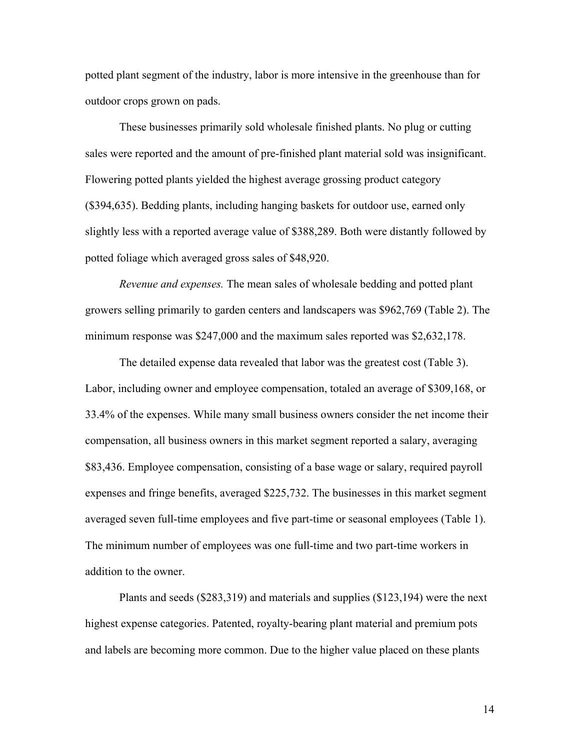potted plant segment of the industry, labor is more intensive in the greenhouse than for outdoor crops grown on pads.

 These businesses primarily sold wholesale finished plants. No plug or cutting sales were reported and the amount of pre-finished plant material sold was insignificant. Flowering potted plants yielded the highest average grossing product category (\$394,635). Bedding plants, including hanging baskets for outdoor use, earned only slightly less with a reported average value of \$388,289. Both were distantly followed by potted foliage which averaged gross sales of \$48,920.

*Revenue and expenses.* The mean sales of wholesale bedding and potted plant growers selling primarily to garden centers and landscapers was \$962,769 (Table 2). The minimum response was \$247,000 and the maximum sales reported was \$2,632,178.

The detailed expense data revealed that labor was the greatest cost (Table 3). Labor, including owner and employee compensation, totaled an average of \$309,168, or 33.4% of the expenses. While many small business owners consider the net income their compensation, all business owners in this market segment reported a salary, averaging \$83,436. Employee compensation, consisting of a base wage or salary, required payroll expenses and fringe benefits, averaged \$225,732. The businesses in this market segment averaged seven full-time employees and five part-time or seasonal employees (Table 1). The minimum number of employees was one full-time and two part-time workers in addition to the owner.

Plants and seeds (\$283,319) and materials and supplies (\$123,194) were the next highest expense categories. Patented, royalty-bearing plant material and premium pots and labels are becoming more common. Due to the higher value placed on these plants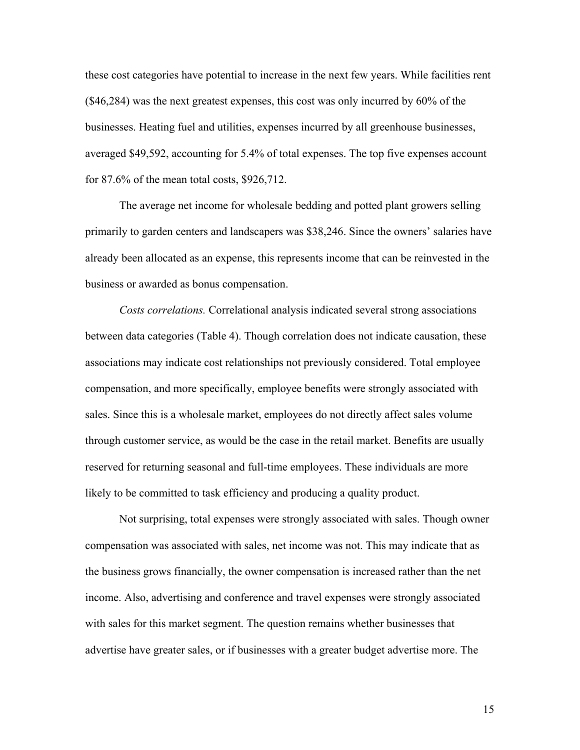these cost categories have potential to increase in the next few years. While facilities rent (\$46,284) was the next greatest expenses, this cost was only incurred by 60% of the businesses. Heating fuel and utilities, expenses incurred by all greenhouse businesses, averaged \$49,592, accounting for 5.4% of total expenses. The top five expenses account for 87.6% of the mean total costs, \$926,712.

The average net income for wholesale bedding and potted plant growers selling primarily to garden centers and landscapers was \$38,246. Since the owners' salaries have already been allocated as an expense, this represents income that can be reinvested in the business or awarded as bonus compensation.

*Costs correlations.* Correlational analysis indicated several strong associations between data categories (Table 4). Though correlation does not indicate causation, these associations may indicate cost relationships not previously considered. Total employee compensation, and more specifically, employee benefits were strongly associated with sales. Since this is a wholesale market, employees do not directly affect sales volume through customer service, as would be the case in the retail market. Benefits are usually reserved for returning seasonal and full-time employees. These individuals are more likely to be committed to task efficiency and producing a quality product.

Not surprising, total expenses were strongly associated with sales. Though owner compensation was associated with sales, net income was not. This may indicate that as the business grows financially, the owner compensation is increased rather than the net income. Also, advertising and conference and travel expenses were strongly associated with sales for this market segment. The question remains whether businesses that advertise have greater sales, or if businesses with a greater budget advertise more. The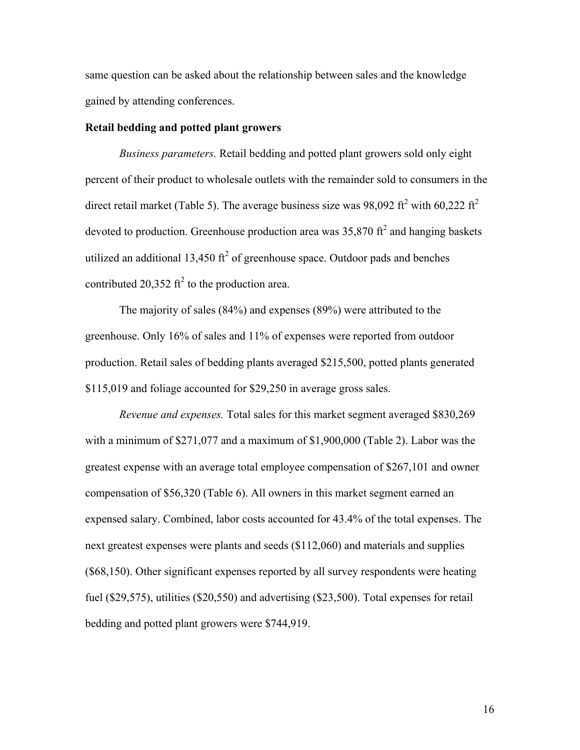same question can be asked about the relationship between sales and the knowledge gained by attending conferences.

#### **Retail bedding and potted plant growers**

*Business parameters.* Retail bedding and potted plant growers sold only eight percent of their product to wholesale outlets with the remainder sold to consumers in the direct retail market (Table 5). The average business size was 98,092 ft<sup>2</sup> with 60,222 ft<sup>2</sup> devoted to production. Greenhouse production area was  $35,870$  ft<sup>2</sup> and hanging baskets utilized an additional 13,450 ft<sup>2</sup> of greenhouse space. Outdoor pads and benches contributed 20,352 ft<sup>2</sup> to the production area.

 The majority of sales (84%) and expenses (89%) were attributed to the greenhouse. Only 16% of sales and 11% of expenses were reported from outdoor production. Retail sales of bedding plants averaged \$215,500, potted plants generated \$115,019 and foliage accounted for \$29,250 in average gross sales.

*Revenue and expenses.* Total sales for this market segment averaged \$830,269 with a minimum of \$271,077 and a maximum of \$1,900,000 (Table 2). Labor was the greatest expense with an average total employee compensation of \$267,101 and owner compensation of \$56,320 (Table 6). All owners in this market segment earned an expensed salary. Combined, labor costs accounted for 43.4% of the total expenses. The next greatest expenses were plants and seeds (\$112,060) and materials and supplies (\$68,150). Other significant expenses reported by all survey respondents were heating fuel (\$29,575), utilities (\$20,550) and advertising (\$23,500). Total expenses for retail bedding and potted plant growers were \$744,919.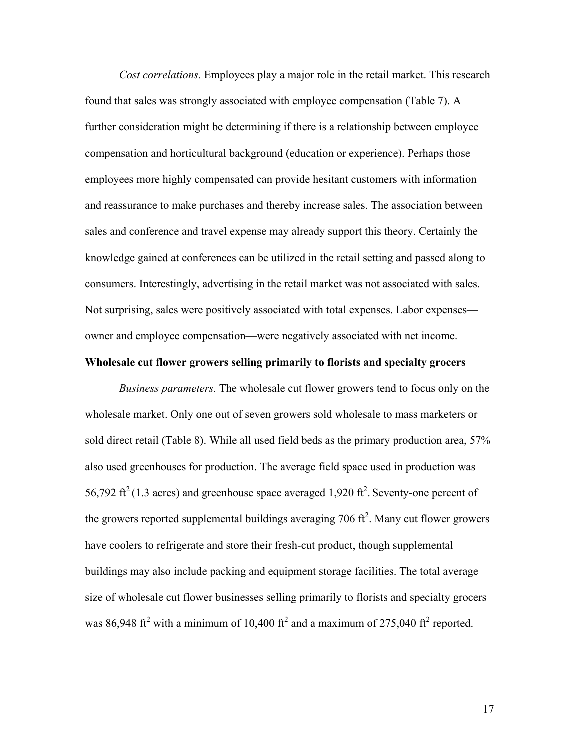*Cost correlations.* Employees play a major role in the retail market. This research found that sales was strongly associated with employee compensation (Table 7). A further consideration might be determining if there is a relationship between employee compensation and horticultural background (education or experience). Perhaps those employees more highly compensated can provide hesitant customers with information and reassurance to make purchases and thereby increase sales. The association between sales and conference and travel expense may already support this theory. Certainly the knowledge gained at conferences can be utilized in the retail setting and passed along to consumers. Interestingly, advertising in the retail market was not associated with sales. Not surprising, sales were positively associated with total expenses. Labor expenses owner and employee compensation—were negatively associated with net income.

#### **Wholesale cut flower growers selling primarily to florists and specialty grocers**

*Business parameters.* The wholesale cut flower growers tend to focus only on the wholesale market. Only one out of seven growers sold wholesale to mass marketers or sold direct retail (Table 8). While all used field beds as the primary production area, 57% also used greenhouses for production. The average field space used in production was 56,792 ft<sup>2</sup> (1.3 acres) and greenhouse space averaged 1,920 ft<sup>2</sup>. Seventy-one percent of the growers reported supplemental buildings averaging 706  $\text{ft}^2$ . Many cut flower growers have coolers to refrigerate and store their fresh-cut product, though supplemental buildings may also include packing and equipment storage facilities. The total average size of wholesale cut flower businesses selling primarily to florists and specialty grocers was 86,948 ft<sup>2</sup> with a minimum of 10,400 ft<sup>2</sup> and a maximum of 275,040 ft<sup>2</sup> reported.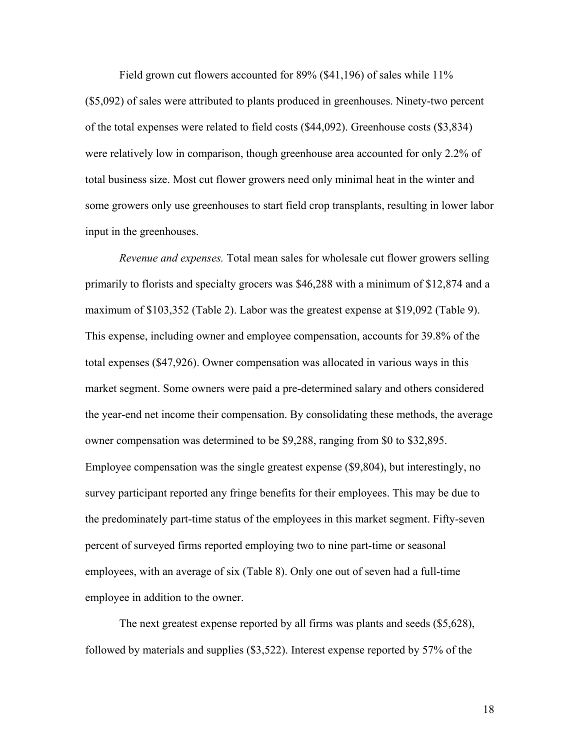Field grown cut flowers accounted for 89% (\$41,196) of sales while 11% (\$5,092) of sales were attributed to plants produced in greenhouses. Ninety-two percent of the total expenses were related to field costs (\$44,092). Greenhouse costs (\$3,834) were relatively low in comparison, though greenhouse area accounted for only 2.2% of total business size. Most cut flower growers need only minimal heat in the winter and some growers only use greenhouses to start field crop transplants, resulting in lower labor input in the greenhouses.

*Revenue and expenses.* Total mean sales for wholesale cut flower growers selling primarily to florists and specialty grocers was \$46,288 with a minimum of \$12,874 and a maximum of \$103,352 (Table 2). Labor was the greatest expense at \$19,092 (Table 9). This expense, including owner and employee compensation, accounts for 39.8% of the total expenses (\$47,926). Owner compensation was allocated in various ways in this market segment. Some owners were paid a pre-determined salary and others considered the year-end net income their compensation. By consolidating these methods, the average owner compensation was determined to be \$9,288, ranging from \$0 to \$32,895. Employee compensation was the single greatest expense (\$9,804), but interestingly, no survey participant reported any fringe benefits for their employees. This may be due to the predominately part-time status of the employees in this market segment. Fifty-seven percent of surveyed firms reported employing two to nine part-time or seasonal employees, with an average of six (Table 8). Only one out of seven had a full-time employee in addition to the owner.

The next greatest expense reported by all firms was plants and seeds (\$5,628), followed by materials and supplies (\$3,522). Interest expense reported by 57% of the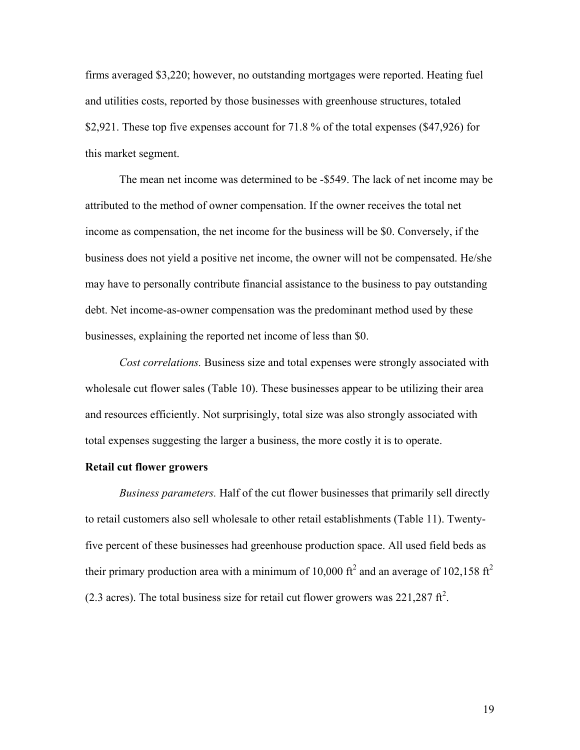firms averaged \$3,220; however, no outstanding mortgages were reported. Heating fuel and utilities costs, reported by those businesses with greenhouse structures, totaled \$2,921. These top five expenses account for 71.8 % of the total expenses (\$47,926) for this market segment.

The mean net income was determined to be -\$549. The lack of net income may be attributed to the method of owner compensation. If the owner receives the total net income as compensation, the net income for the business will be \$0. Conversely, if the business does not yield a positive net income, the owner will not be compensated. He/she may have to personally contribute financial assistance to the business to pay outstanding debt. Net income-as-owner compensation was the predominant method used by these businesses, explaining the reported net income of less than \$0.

*Cost correlations.* Business size and total expenses were strongly associated with wholesale cut flower sales (Table 10). These businesses appear to be utilizing their area and resources efficiently. Not surprisingly, total size was also strongly associated with total expenses suggesting the larger a business, the more costly it is to operate.

#### **Retail cut flower growers**

*Business parameters.* Half of the cut flower businesses that primarily sell directly to retail customers also sell wholesale to other retail establishments (Table 11). Twentyfive percent of these businesses had greenhouse production space. All used field beds as their primary production area with a minimum of 10,000 ft<sup>2</sup> and an average of 102,158 ft<sup>2</sup> (2.3 acres). The total business size for retail cut flower growers was  $221,287 \text{ ft}^2$ .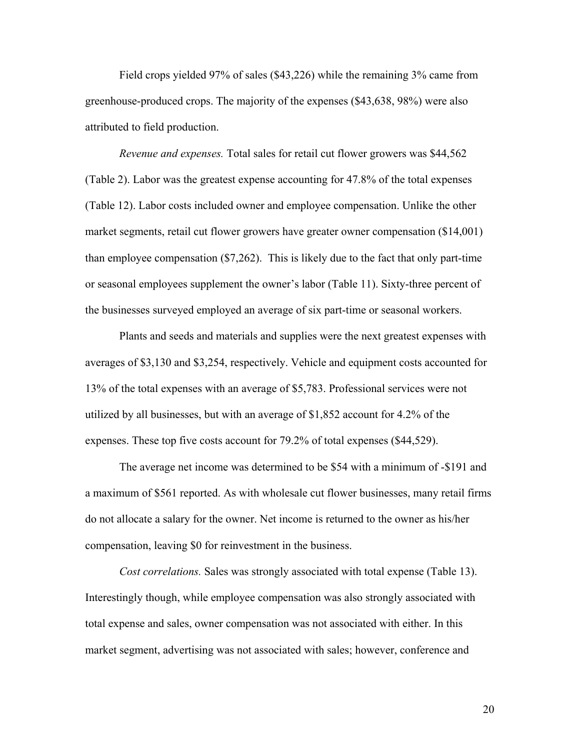Field crops yielded 97% of sales (\$43,226) while the remaining 3% came from greenhouse-produced crops. The majority of the expenses (\$43,638, 98%) were also attributed to field production.

*Revenue and expenses.* Total sales for retail cut flower growers was \$44,562 (Table 2). Labor was the greatest expense accounting for 47.8% of the total expenses (Table 12). Labor costs included owner and employee compensation. Unlike the other market segments, retail cut flower growers have greater owner compensation (\$14,001) than employee compensation (\$7,262). This is likely due to the fact that only part-time or seasonal employees supplement the owner's labor (Table 11). Sixty-three percent of the businesses surveyed employed an average of six part-time or seasonal workers.

Plants and seeds and materials and supplies were the next greatest expenses with averages of \$3,130 and \$3,254, respectively. Vehicle and equipment costs accounted for 13% of the total expenses with an average of \$5,783. Professional services were not utilized by all businesses, but with an average of \$1,852 account for 4.2% of the expenses. These top five costs account for 79.2% of total expenses (\$44,529).

The average net income was determined to be \$54 with a minimum of -\$191 and a maximum of \$561 reported. As with wholesale cut flower businesses, many retail firms do not allocate a salary for the owner. Net income is returned to the owner as his/her compensation, leaving \$0 for reinvestment in the business.

*Cost correlations.* Sales was strongly associated with total expense (Table 13). Interestingly though, while employee compensation was also strongly associated with total expense and sales, owner compensation was not associated with either. In this market segment, advertising was not associated with sales; however, conference and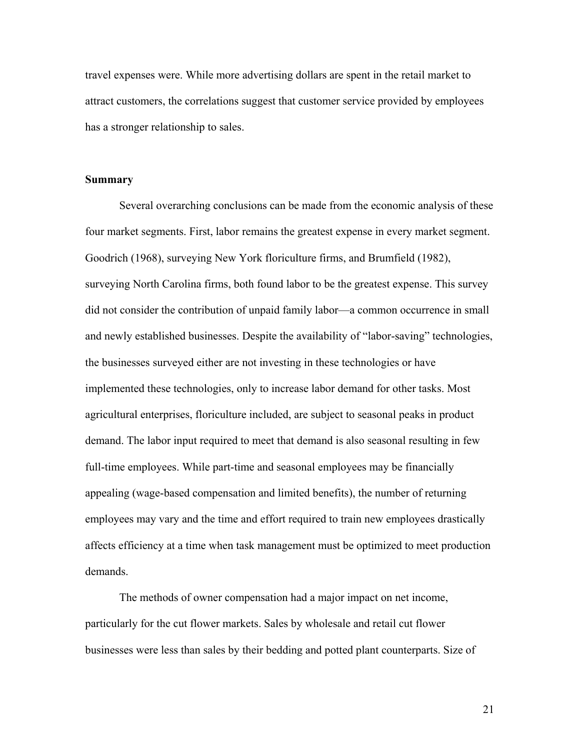travel expenses were. While more advertising dollars are spent in the retail market to attract customers, the correlations suggest that customer service provided by employees has a stronger relationship to sales.

#### **Summary**

 Several overarching conclusions can be made from the economic analysis of these four market segments. First, labor remains the greatest expense in every market segment. Goodrich (1968), surveying New York floriculture firms, and Brumfield (1982), surveying North Carolina firms, both found labor to be the greatest expense. This survey did not consider the contribution of unpaid family labor—a common occurrence in small and newly established businesses. Despite the availability of "labor-saving" technologies, the businesses surveyed either are not investing in these technologies or have implemented these technologies, only to increase labor demand for other tasks. Most agricultural enterprises, floriculture included, are subject to seasonal peaks in product demand. The labor input required to meet that demand is also seasonal resulting in few full-time employees. While part-time and seasonal employees may be financially appealing (wage-based compensation and limited benefits), the number of returning employees may vary and the time and effort required to train new employees drastically affects efficiency at a time when task management must be optimized to meet production demands.

 The methods of owner compensation had a major impact on net income, particularly for the cut flower markets. Sales by wholesale and retail cut flower businesses were less than sales by their bedding and potted plant counterparts. Size of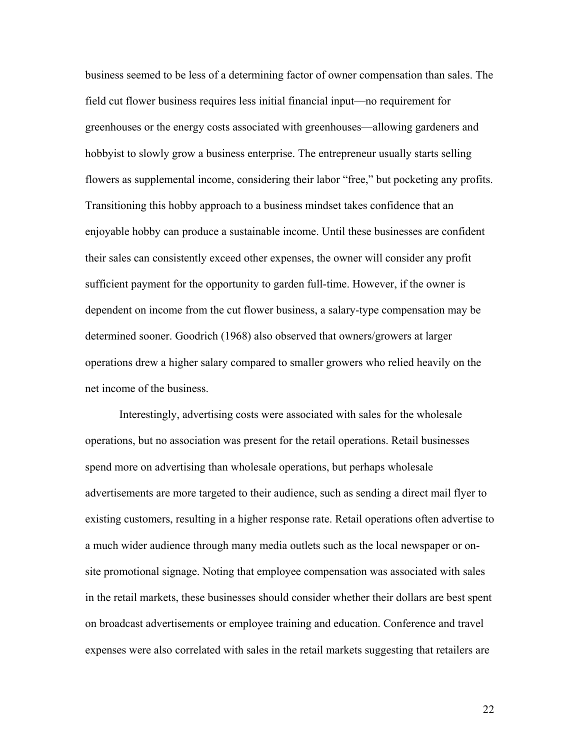business seemed to be less of a determining factor of owner compensation than sales. The field cut flower business requires less initial financial input—no requirement for greenhouses or the energy costs associated with greenhouses—allowing gardeners and hobbyist to slowly grow a business enterprise. The entrepreneur usually starts selling flowers as supplemental income, considering their labor "free," but pocketing any profits. Transitioning this hobby approach to a business mindset takes confidence that an enjoyable hobby can produce a sustainable income. Until these businesses are confident their sales can consistently exceed other expenses, the owner will consider any profit sufficient payment for the opportunity to garden full-time. However, if the owner is dependent on income from the cut flower business, a salary-type compensation may be determined sooner. Goodrich (1968) also observed that owners/growers at larger operations drew a higher salary compared to smaller growers who relied heavily on the net income of the business.

 Interestingly, advertising costs were associated with sales for the wholesale operations, but no association was present for the retail operations. Retail businesses spend more on advertising than wholesale operations, but perhaps wholesale advertisements are more targeted to their audience, such as sending a direct mail flyer to existing customers, resulting in a higher response rate. Retail operations often advertise to a much wider audience through many media outlets such as the local newspaper or onsite promotional signage. Noting that employee compensation was associated with sales in the retail markets, these businesses should consider whether their dollars are best spent on broadcast advertisements or employee training and education. Conference and travel expenses were also correlated with sales in the retail markets suggesting that retailers are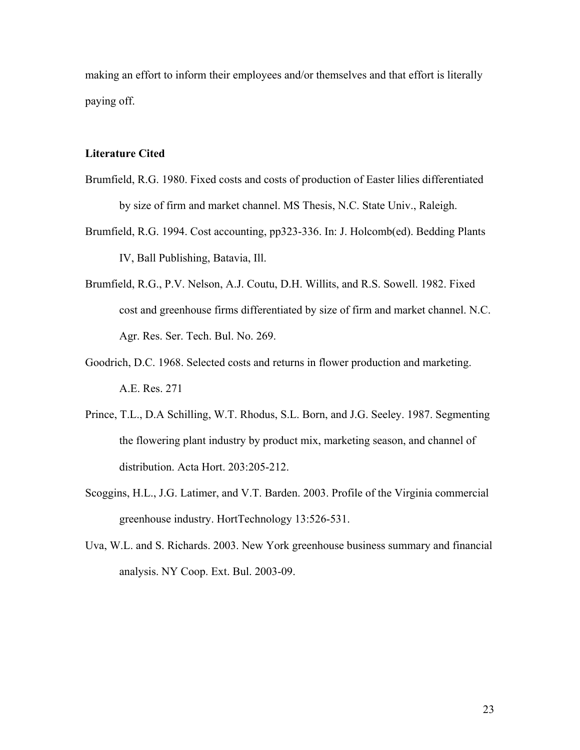making an effort to inform their employees and/or themselves and that effort is literally paying off.

#### **Literature Cited**

- Brumfield, R.G. 1980. Fixed costs and costs of production of Easter lilies differentiated by size of firm and market channel. MS Thesis, N.C. State Univ., Raleigh.
- Brumfield, R.G. 1994. Cost accounting, pp323-336. In: J. Holcomb(ed). Bedding Plants IV, Ball Publishing, Batavia, Ill.
- Brumfield, R.G., P.V. Nelson, A.J. Coutu, D.H. Willits, and R.S. Sowell. 1982. Fixed cost and greenhouse firms differentiated by size of firm and market channel. N.C. Agr. Res. Ser. Tech. Bul. No. 269.
- Goodrich, D.C. 1968. Selected costs and returns in flower production and marketing. A.E. Res. 271
- Prince, T.L., D.A Schilling, W.T. Rhodus, S.L. Born, and J.G. Seeley. 1987. Segmenting the flowering plant industry by product mix, marketing season, and channel of distribution. Acta Hort. 203:205-212.
- Scoggins, H.L., J.G. Latimer, and V.T. Barden. 2003. Profile of the Virginia commercial greenhouse industry. HortTechnology 13:526-531.
- Uva, W.L. and S. Richards. 2003. New York greenhouse business summary and financial analysis. NY Coop. Ext. Bul. 2003-09.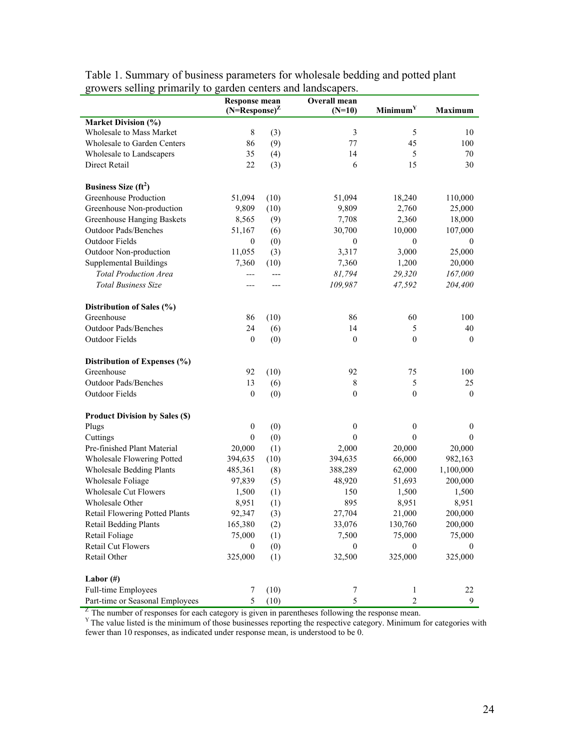|                                       | <b>Response mean</b><br>$(N=Response)^Z$ |       | Overall mean     |                      | <b>Maximum</b>   |  |
|---------------------------------------|------------------------------------------|-------|------------------|----------------------|------------------|--|
|                                       |                                          |       | $(N=10)$         | Minimum <sup>Y</sup> |                  |  |
| <b>Market Division (%)</b>            |                                          |       |                  |                      |                  |  |
| Wholesale to Mass Market              | 8                                        | (3)   | $\mathfrak{Z}$   | 5                    | 10               |  |
| <b>Wholesale to Garden Centers</b>    | 86                                       | (9)   | 77               | 45                   | 100              |  |
| Wholesale to Landscapers              | 35                                       | (4)   | 14               | 5                    | 70               |  |
| Direct Retail                         | 22                                       | (3)   | 6                | 15                   | 30               |  |
| Business Size $(ft^2)$                |                                          |       |                  |                      |                  |  |
| Greenhouse Production                 | 51,094                                   | (10)  | 51,094           | 18,240               | 110,000          |  |
| Greenhouse Non-production             | 9,809                                    | (10)  | 9,809            | 2,760                | 25,000           |  |
| <b>Greenhouse Hanging Baskets</b>     | 8,565                                    | (9)   | 7,708            | 2,360                | 18,000           |  |
| <b>Outdoor Pads/Benches</b>           | 51,167                                   | (6)   | 30,700           | 10,000               | 107,000          |  |
| Outdoor Fields                        | $\boldsymbol{0}$                         | (0)   | $\boldsymbol{0}$ | $\boldsymbol{0}$     | $\mathbf{0}$     |  |
| Outdoor Non-production                | 11,055                                   | (3)   | 3,317            | 3,000                | 25,000           |  |
| <b>Supplemental Buildings</b>         | 7,360                                    | (10)  | 7,360            | 1,200                | 20,000           |  |
| <b>Total Production Area</b>          | $---$                                    | $---$ | 81,794           | 29,320               | 167,000          |  |
| <b>Total Business Size</b>            | ---                                      | ---   | 109,987          | 47,592               | 204,400          |  |
| Distribution of Sales (%)             |                                          |       |                  |                      |                  |  |
| Greenhouse                            | 86                                       | (10)  | 86               | 60                   | 100              |  |
| Outdoor Pads/Benches                  | 24                                       | (6)   | 14               | 5                    | 40               |  |
| Outdoor Fields                        | $\boldsymbol{0}$                         | (0)   | $\mathbf{0}$     | $\mathbf{0}$         | $\mathbf{0}$     |  |
|                                       |                                          |       |                  |                      |                  |  |
| Distribution of Expenses (%)          |                                          |       |                  |                      |                  |  |
| Greenhouse                            | 92                                       | (10)  | 92               | 75                   | 100              |  |
| Outdoor Pads/Benches                  | 13                                       | (6)   | $\,8\,$          | 5                    | 25               |  |
| Outdoor Fields                        | $\boldsymbol{0}$                         | (0)   | $\mathbf{0}$     | $\mathbf{0}$         | $\mathbf{0}$     |  |
| <b>Product Division by Sales (\$)</b> |                                          |       |                  |                      |                  |  |
| Plugs                                 | $\boldsymbol{0}$                         | (0)   | $\boldsymbol{0}$ | $\boldsymbol{0}$     | $\boldsymbol{0}$ |  |
| Cuttings                              | $\boldsymbol{0}$                         | (0)   | $\theta$         | $\overline{0}$       | $\theta$         |  |
| Pre-finished Plant Material           | 20,000                                   | (1)   | 2,000            | 20,000               | 20,000           |  |
| Wholesale Flowering Potted            | 394,635                                  | (10)  | 394,635          | 66,000               | 982,163          |  |
| <b>Wholesale Bedding Plants</b>       | 485,361                                  | (8)   | 388,289          | 62,000               | 1,100,000        |  |
| Wholesale Foliage                     | 97,839                                   | (5)   | 48,920           | 51,693               | 200,000          |  |
| <b>Wholesale Cut Flowers</b>          | 1,500                                    | (1)   | 150              | 1,500                | 1,500            |  |
| Wholesale Other                       | 8,951                                    | (1)   | 895              | 8,951                | 8,951            |  |
| Retail Flowering Potted Plants        | 92,347                                   | (3)   | 27,704           | 21,000               | 200,000          |  |
| <b>Retail Bedding Plants</b>          | 165,380                                  | (2)   | 33,076           | 130,760              | 200,000          |  |
| Retail Foliage                        | 75,000                                   | (1)   | 7,500            | 75,000               | 75,000           |  |
| Retail Cut Flowers                    | $\boldsymbol{0}$                         | (0)   | $\mathbf{0}$     | $\boldsymbol{0}$     | $\bf{0}$         |  |
| Retail Other                          | 325,000                                  | (1)   | 32,500           | 325,000              | 325,000          |  |
| Labor $(\#)$                          |                                          |       |                  |                      |                  |  |
| Full-time Employees                   | 7                                        | (10)  | 7                | 1                    | 22               |  |
| Part-time or Seasonal Employees       | $\sqrt{5}$                               | (10)  | 5                | $\overline{2}$       | 9                |  |

Table 1. Summary of business parameters for wholesale bedding and potted plant growers selling primarily to garden centers and landscapers.

 $Z^Z$  The number of responses for each category is given in parentheses following the response mean.  $Y^Y$  The value listed is the minimum of those businesses reporting the respective category. Minimum for categories with fewer than 10 responses, as indicated under response mean, is understood to be 0.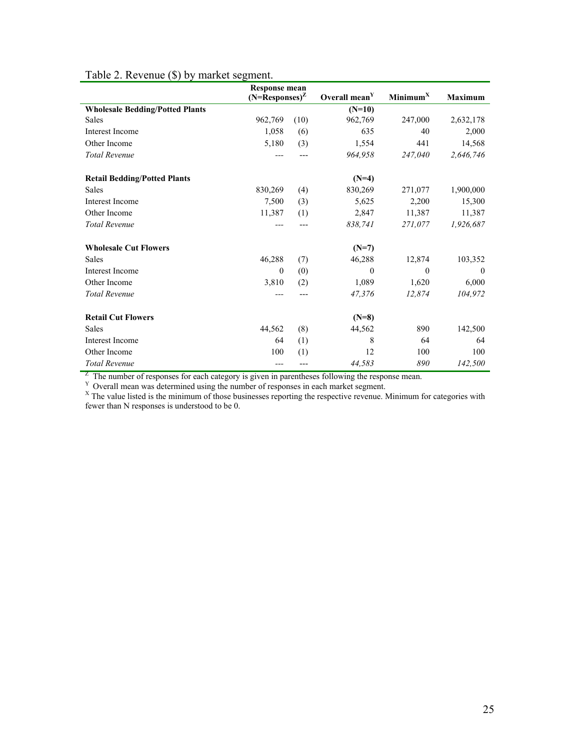|                                        | <b>Response mean</b>  |      |                           |                      |                |  |
|----------------------------------------|-----------------------|------|---------------------------|----------------------|----------------|--|
|                                        | $(N=$ Responses $)^Z$ |      | Overall mean <sup>Y</sup> | Minimum <sup>X</sup> | <b>Maximum</b> |  |
| <b>Wholesale Bedding/Potted Plants</b> |                       |      | $(N=10)$                  |                      |                |  |
| <b>Sales</b>                           | 962,769               | (10) | 962,769                   | 247,000              | 2,632,178      |  |
| <b>Interest Income</b>                 | 1,058                 | (6)  | 635                       | 40                   | 2,000          |  |
| Other Income                           | 5,180                 | (3)  | 1,554                     | 441                  | 14,568         |  |
| <b>Total Revenue</b>                   | $---$                 |      | 964,958                   | 247,040              | 2,646,746      |  |
| <b>Retail Bedding/Potted Plants</b>    |                       |      | $(N=4)$                   |                      |                |  |
| Sales                                  | 830,269               | (4)  | 830,269                   | 271,077              | 1,900,000      |  |
| Interest Income                        | 7,500                 | (3)  | 5,625                     | 2,200                | 15,300         |  |
| Other Income                           | 11,387                | (1)  | 2,847                     | 11,387               | 11,387         |  |
| <b>Total Revenue</b>                   |                       |      | 838,741                   | 271,077              | 1,926,687      |  |
| <b>Wholesale Cut Flowers</b>           |                       |      | $(N=7)$                   |                      |                |  |
| <b>Sales</b>                           | 46,288                | (7)  | 46,288                    | 12,874               | 103,352        |  |
| Interest Income                        | $\mathbf{0}$          | (0)  | $\theta$                  | $\theta$             | $\left($       |  |
| Other Income                           | 3,810                 | (2)  | 1,089                     | 1,620                | 6,000          |  |
| <b>Total Revenue</b>                   | ---                   |      | 47,376                    | 12,874               | 104,972        |  |
| <b>Retail Cut Flowers</b>              |                       |      | $(N=8)$                   |                      |                |  |
| <b>Sales</b>                           | 44,562                | (8)  | 44,562                    | 890                  | 142,500        |  |
| <b>Interest Income</b>                 | 64                    | (1)  | 8                         | 64                   | 64             |  |
| Other Income                           | 100                   | (1)  | 12                        | 100                  | 100            |  |
| <b>Total Revenue</b>                   | ---                   |      | 44,583                    | 890                  | 142,500        |  |

# Table 2. Revenue (\$) by market segment.

The number of responses for each category is given in parentheses following the response mean.<br>
<sup>Y</sup> Overall mean was determined using the number of responses in each market segment.<br>
<sup>X</sup> The value listed is the minimum of fewer than N responses is understood to be 0.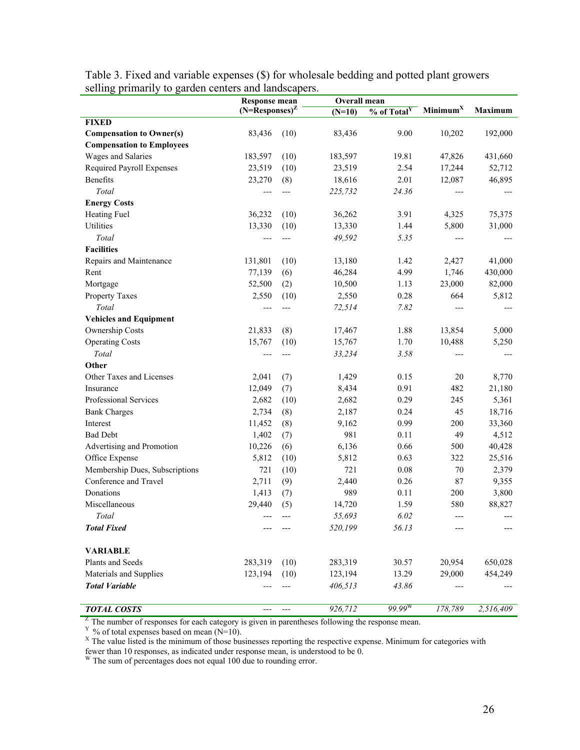|                                  | <b>Response mean</b>              |      |          | Overall mean              |                      |                |
|----------------------------------|-----------------------------------|------|----------|---------------------------|----------------------|----------------|
|                                  | $(N=Response)^Z$                  |      | $(N=10)$ | $%$ of Total <sup>Y</sup> | Minimum <sup>X</sup> | <b>Maximum</b> |
| <b>FIXED</b>                     |                                   |      |          |                           |                      |                |
| <b>Compensation to Owner(s)</b>  | 83,436                            | (10) | 83,436   | 9.00                      | 10,202               | 192,000        |
| <b>Compensation to Employees</b> |                                   |      |          |                           |                      |                |
| Wages and Salaries               | 183,597                           | (10) | 183,597  | 19.81                     | 47,826               | 431,660        |
| Required Payroll Expenses        | 23,519                            | (10) | 23,519   | 2.54                      | 17,244               | 52,712         |
| Benefits                         | 23,270                            | (8)  | 18,616   | 2.01                      | 12,087               | 46,895         |
| Total                            | ---                               | ---  | 225,732  | 24.36                     | ---                  |                |
| <b>Energy Costs</b>              |                                   |      |          |                           |                      |                |
| Heating Fuel                     | 36,232                            | (10) | 36,262   | 3.91                      | 4,325                | 75,375         |
| Utilities                        | 13,330                            | (10) | 13,330   | 1.44                      | 5,800                | 31,000         |
| Total                            | ---                               | ---  | 49,592   | 5.35                      | ---                  |                |
| <b>Facilities</b>                |                                   |      |          |                           |                      |                |
| Repairs and Maintenance          | 131,801                           | (10) | 13,180   | 1.42                      | 2,427                | 41,000         |
| Rent                             | 77,139                            | (6)  | 46,284   | 4.99                      | 1,746                | 430,000        |
| Mortgage                         | 52,500                            | (2)  | 10,500   | 1.13                      | 23,000               | 82,000         |
| Property Taxes                   | 2,550                             | (10) | 2,550    | 0.28                      | 664                  | 5,812          |
| Total                            | ---                               | ---  | 72,514   | 7.82                      | ---                  |                |
| <b>Vehicles and Equipment</b>    |                                   |      |          |                           |                      |                |
| Ownership Costs                  | 21,833                            | (8)  | 17,467   | 1.88                      | 13,854               | 5,000          |
| <b>Operating Costs</b>           | 15,767                            | (10) | 15,767   | 1.70                      | 10,488               | 5,250          |
| Total                            | ---                               | ---  | 33,234   | 3.58                      | ---                  |                |
| Other                            |                                   |      |          |                           |                      |                |
| Other Taxes and Licenses         | 2,041                             | (7)  | 1,429    | 0.15                      | 20                   | 8,770          |
| Insurance                        | 12,049                            | (7)  | 8,434    | 0.91                      | 482                  | 21,180         |
| Professional Services            | 2,682                             | (10) | 2,682    | 0.29                      | 245                  | 5,361          |
| <b>Bank Charges</b>              | 2,734                             | (8)  | 2,187    | 0.24                      | 45                   | 18,716         |
| Interest                         | 11,452                            | (8)  | 9,162    | 0.99                      | 200                  | 33,360         |
| <b>Bad Debt</b>                  | 1,402                             | (7)  | 981      | 0.11                      | 49                   | 4,512          |
| Advertising and Promotion        | 10,226                            | (6)  | 6,136    | 0.66                      | 500                  | 40,428         |
| Office Expense                   | 5,812                             | (10) | 5,812    | 0.63                      | 322                  | 25,516         |
| Membership Dues, Subscriptions   | 721                               | (10) | 721      | 0.08                      | 70                   | 2,379          |
| Conference and Travel            | 2,711                             | (9)  | 2,440    | 0.26                      | 87                   | 9,355          |
| Donations                        | 1,413                             | (7)  | 989      | 0.11                      | 200                  | 3,800          |
| Miscellaneous                    | 29,440                            | (5)  | 14,720   | 1.59                      | 580                  | 88,827         |
| Total                            | $\hspace{0.05cm} \dashrightarrow$ | ---  | 55,693   | 6.02                      | ---                  |                |
| <b>Total Fixed</b>               |                                   |      | 520,199  | 56.13                     |                      |                |
| <b>VARIABLE</b>                  |                                   |      |          |                           |                      |                |
| Plants and Seeds                 | 283,319                           | (10) | 283,319  | 30.57                     | 20,954               | 650,028        |
| Materials and Supplies           | 123,194                           | (10) | 123,194  | 13.29                     | 29,000               | 454,249        |
| <b>Total Variable</b>            |                                   |      | 406,513  | 43.86                     |                      |                |
| <b>TOTAL COSTS</b>               |                                   |      | 926,712  | $99.99^{\rm W}$           | 178,789              | 2,516,409      |

Table 3. Fixed and variable expenses (\$) for wholesale bedding and potted plant growers selling primarily to garden centers and landscapers.

<sup>Z</sup> The number of responses for each category is given in parentheses following the response mean.<br><sup>Y</sup> % of total expenses based on mean (N=10).<br><sup>X</sup> The value listed is the minimum of those businesses reporting the respec fewer than 10 responses, as indicated under response mean, is understood to be 0. W The sum of percentages does not equal 100 due to rounding error.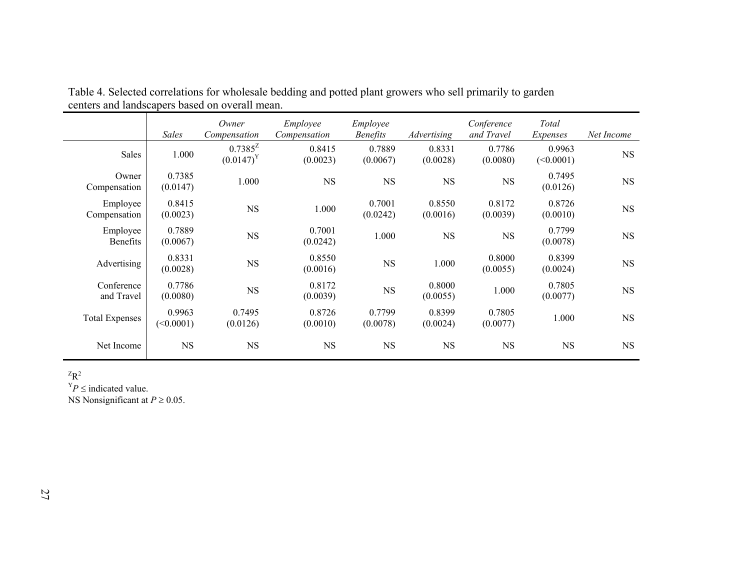|                             | <b>Sales</b>        | Owner<br>Compensation        | Employee<br>Compensation | Employee<br><b>Benefits</b> | Advertising        | Conference<br>and Travel | Total<br>Expenses   | Net Income |
|-----------------------------|---------------------|------------------------------|--------------------------|-----------------------------|--------------------|--------------------------|---------------------|------------|
| Sales                       | 1.000               | $0.7385^Z$<br>$(0.0147)^{Y}$ | 0.8415<br>(0.0023)       | 0.7889<br>(0.0067)          | 0.8331<br>(0.0028) | 0.7786<br>(0.0080)       | 0.9963<br>(<0.0001) | <b>NS</b>  |
| Owner<br>Compensation       | 0.7385<br>(0.0147)  | 1.000                        | <b>NS</b>                | <b>NS</b>                   | <b>NS</b>          | $_{\rm NS}$              | 0.7495<br>(0.0126)  | NS         |
| Employee<br>Compensation    | 0.8415<br>(0.0023)  | <b>NS</b>                    | 1.000                    | 0.7001<br>(0.0242)          | 0.8550<br>(0.0016) | 0.8172<br>(0.0039)       | 0.8726<br>(0.0010)  | NS         |
| Employee<br><b>Benefits</b> | 0.7889<br>(0.0067)  | <b>NS</b>                    | 0.7001<br>(0.0242)       | 1.000                       | NS                 | NS                       | 0.7799<br>(0.0078)  | NS         |
| Advertising                 | 0.8331<br>(0.0028)  | <b>NS</b>                    | 0.8550<br>(0.0016)       | $_{\rm NS}$                 | 1.000              | 0.8000<br>(0.0055)       | 0.8399<br>(0.0024)  | <b>NS</b>  |
| Conference<br>and Travel    | 0.7786<br>(0.0080)  | $_{\rm NS}$                  | 0.8172<br>(0.0039)       | $_{\rm NS}$                 | 0.8000<br>(0.0055) | 1.000                    | 0.7805<br>(0.0077)  | NS         |
| <b>Total Expenses</b>       | 0.9963<br>(<0.0001) | 0.7495<br>(0.0126)           | 0.8726<br>(0.0010)       | 0.7799<br>(0.0078)          | 0.8399<br>(0.0024) | 0.7805<br>(0.0077)       | 1.000               | <b>NS</b>  |
| Net Income                  | <b>NS</b>           | <b>NS</b>                    | <b>NS</b>                | <b>NS</b>                   | <b>NS</b>          | <b>NS</b>                | <b>NS</b>           | <b>NS</b>  |

Table 4. Selected correlations for wholesale bedding and potted plant growers who sell primarily to garden centers and landscapers based on overall mean.

 $Z_{\mathbf{R}^2}$ 

 $Y_P \leq \text{indicated value}.$ 

NS Nonsignificant at *P* ≥ 0.05.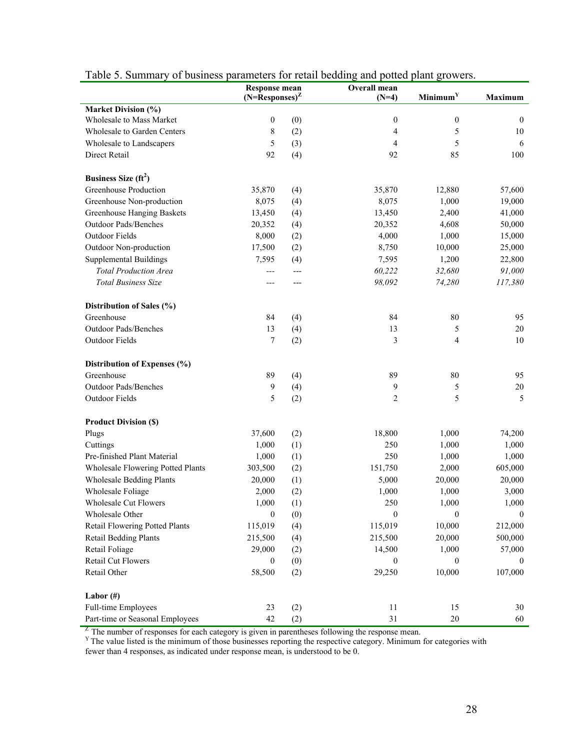|                                   | <b>Response mean</b>  |     | Overall mean     |                      |                  |  |
|-----------------------------------|-----------------------|-----|------------------|----------------------|------------------|--|
|                                   | $(N=$ Responses $)^Z$ |     | $(N=4)$          | Minimum <sup>Y</sup> | Maximum          |  |
| <b>Market Division (%)</b>        |                       |     |                  |                      |                  |  |
| Wholesale to Mass Market          | $\boldsymbol{0}$      | (0) | $\boldsymbol{0}$ | $\boldsymbol{0}$     | $\boldsymbol{0}$ |  |
| Wholesale to Garden Centers       | 8                     | (2) | 4                | 5                    | 10               |  |
| Wholesale to Landscapers          | 5                     | (3) | 4                | 5                    | 6                |  |
| Direct Retail                     | 92                    | (4) | 92               | 85                   | 100              |  |
| Business Size $(ft^2)$            |                       |     |                  |                      |                  |  |
| <b>Greenhouse Production</b>      | 35,870                | (4) | 35,870           | 12,880               | 57,600           |  |
| Greenhouse Non-production         | 8,075                 | (4) | 8,075            | 1,000                | 19,000           |  |
| Greenhouse Hanging Baskets        | 13,450                | (4) | 13,450           | 2,400                | 41,000           |  |
| Outdoor Pads/Benches              | 20,352                | (4) | 20,352           | 4,608                | 50,000           |  |
| Outdoor Fields                    | 8,000                 | (2) | 4,000            | 1,000                | 15,000           |  |
| Outdoor Non-production            | 17,500                | (2) | 8,750            | 10,000               | 25,000           |  |
| <b>Supplemental Buildings</b>     | 7,595                 | (4) | 7,595            | 1,200                | 22,800           |  |
| <b>Total Production Area</b>      | ---                   | --- | 60,222           | 32,680               | 91,000           |  |
| <b>Total Business Size</b>        | ---                   | --- | 98,092           | 74,280               | 117,380          |  |
|                                   |                       |     |                  |                      |                  |  |
| Distribution of Sales (%)         |                       |     |                  |                      |                  |  |
| Greenhouse                        | 84                    | (4) | 84               | 80                   | 95               |  |
| <b>Outdoor Pads/Benches</b>       | 13                    | (4) | 13               | 5                    | 20               |  |
| Outdoor Fields                    | 7                     | (2) | 3                | 4                    | 10               |  |
| Distribution of Expenses (%)      |                       |     |                  |                      |                  |  |
| Greenhouse                        | 89                    | (4) | 89               | 80                   | 95               |  |
| Outdoor Pads/Benches              | 9                     | (4) | 9                | 5                    | $20\,$           |  |
| Outdoor Fields                    | 5                     | (2) | 2                | 5                    | 5                |  |
| <b>Product Division (\$)</b>      |                       |     |                  |                      |                  |  |
| Plugs                             | 37,600                | (2) | 18,800           | 1,000                | 74,200           |  |
| Cuttings                          | 1,000                 | (1) | 250              | 1,000                | 1,000            |  |
| Pre-finished Plant Material       | 1,000                 | (1) | 250              | 1,000                | 1,000            |  |
| Wholesale Flowering Potted Plants | 303,500               | (2) | 151,750          | 2,000                | 605,000          |  |
| <b>Wholesale Bedding Plants</b>   | 20,000                | (1) | 5,000            | 20,000               | 20,000           |  |
| Wholesale Foliage                 | 2,000                 | (2) | 1,000            | 1,000                | 3,000            |  |
| Wholesale Cut Flowers             | 1,000                 | (1) | 250              | 1,000                | 1,000            |  |
| Wholesale Other                   | $\boldsymbol{0}$      |     | $\boldsymbol{0}$ | $\boldsymbol{0}$     | $\mathbf{0}$     |  |
| Retail Flowering Potted Plants    | 115,019               | (0) | 115,019          | 10,000               | 212,000          |  |
|                                   |                       | (4) |                  |                      |                  |  |
| <b>Retail Bedding Plants</b>      | 215,500               | (4) | 215,500          | 20,000               | 500,000          |  |
| Retail Foliage                    | 29,000                | (2) | 14,500           | 1,000                | 57,000           |  |
| <b>Retail Cut Flowers</b>         | $\boldsymbol{0}$      | (0) | $\mathbf{0}$     | $\overline{0}$       | $\theta$         |  |
| Retail Other                      | 58,500                | (2) | 29,250           | 10,000               | 107,000          |  |
| Labor $(\#)$                      |                       |     |                  |                      |                  |  |
| Full-time Employees               | 23                    | (2) | 11               | 15                   | 30               |  |
| Part-time or Seasonal Employees   | 42                    | (2) | 31               | $20\,$               | 60               |  |

## Table 5. Summary of business parameters for retail bedding and potted plant growers.

 $Z$ <sup>T</sup> The number of responses for each category is given in parentheses following the response mean. Y The value listed is the minimum of those businesses reporting the respective category. Minimum for categories with

fewer than 4 responses, as indicated under response mean, is understood to be 0.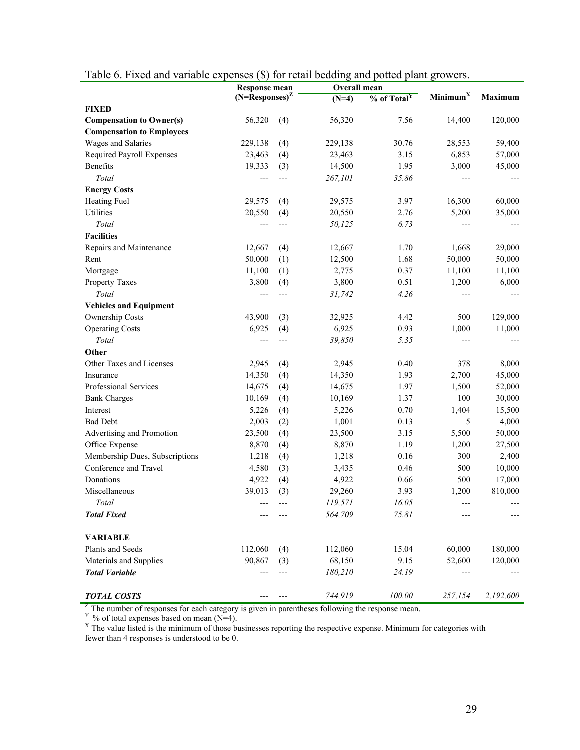|                                  | <b>Response mean</b>    |       | Tuble 0. I then and variable expenses ( $\psi$ ) for feath beauting and police plant growers.<br>Overall mean |                         |                      |                |  |
|----------------------------------|-------------------------|-------|---------------------------------------------------------------------------------------------------------------|-------------------------|----------------------|----------------|--|
|                                  | $(N=\text{Respones})^Z$ |       | $(N=4)$                                                                                                       | % of Total <sup>Y</sup> | Minimum <sup>X</sup> | <b>Maximum</b> |  |
| <b>FIXED</b>                     |                         |       |                                                                                                               |                         |                      |                |  |
| <b>Compensation to Owner(s)</b>  | 56,320                  | (4)   | 56,320                                                                                                        | 7.56                    | 14,400               | 120,000        |  |
| <b>Compensation to Employees</b> |                         |       |                                                                                                               |                         |                      |                |  |
| Wages and Salaries               | 229,138                 | (4)   | 229,138                                                                                                       | 30.76                   | 28,553               | 59,400         |  |
| Required Payroll Expenses        | 23,463                  | (4)   | 23,463                                                                                                        | 3.15                    | 6,853                | 57,000         |  |
| Benefits                         | 19,333                  | (3)   | 14,500                                                                                                        | 1.95                    | 3,000                | 45,000         |  |
| Total                            |                         | ---   | 267,101                                                                                                       | 35.86                   | ---                  |                |  |
| <b>Energy Costs</b>              |                         |       |                                                                                                               |                         |                      |                |  |
| Heating Fuel                     | 29,575                  | (4)   | 29,575                                                                                                        | 3.97                    | 16,300               | 60,000         |  |
| Utilities                        | 20,550                  | (4)   | 20,550                                                                                                        | 2.76                    | 5,200                | 35,000         |  |
| Total                            | $---$                   | ---   | 50,125                                                                                                        | 6.73                    |                      |                |  |
| <b>Facilities</b>                |                         |       |                                                                                                               |                         |                      |                |  |
| Repairs and Maintenance          | 12,667                  | (4)   | 12,667                                                                                                        | 1.70                    | 1,668                | 29,000         |  |
| Rent                             | 50,000                  | (1)   | 12,500                                                                                                        | 1.68                    | 50,000               | 50,000         |  |
| Mortgage                         | 11,100                  | (1)   | 2,775                                                                                                         | 0.37                    | 11,100               | 11,100         |  |
| Property Taxes                   | 3,800                   | (4)   | 3,800                                                                                                         | 0.51                    | 1,200                | 6,000          |  |
| Total                            | $---$                   | $---$ | 31,742                                                                                                        | 4.26                    |                      |                |  |
| <b>Vehicles and Equipment</b>    |                         |       |                                                                                                               |                         |                      |                |  |
| Ownership Costs                  | 43,900                  | (3)   | 32,925                                                                                                        | 4.42                    | 500                  | 129,000        |  |
| <b>Operating Costs</b>           | 6,925                   | (4)   | 6,925                                                                                                         | 0.93                    | 1,000                | 11,000         |  |
| Total                            | $---$                   | ---   | 39,850                                                                                                        | 5.35                    | ---                  |                |  |
| Other                            |                         |       |                                                                                                               |                         |                      |                |  |
| Other Taxes and Licenses         | 2,945                   | (4)   | 2,945                                                                                                         | 0.40                    | 378                  | 8,000          |  |
| Insurance                        | 14,350                  | (4)   | 14,350                                                                                                        | 1.93                    | 2,700                | 45,000         |  |
| Professional Services            | 14,675                  | (4)   | 14,675                                                                                                        | 1.97                    | 1,500                | 52,000         |  |
| <b>Bank Charges</b>              | 10,169                  | (4)   | 10,169                                                                                                        | 1.37                    | 100                  | 30,000         |  |
| Interest                         | 5,226                   | (4)   | 5,226                                                                                                         | 0.70                    | 1,404                | 15,500         |  |
| <b>Bad Debt</b>                  | 2,003                   | (2)   | 1,001                                                                                                         | 0.13                    | 5                    | 4,000          |  |
| Advertising and Promotion        | 23,500                  | (4)   | 23,500                                                                                                        | 3.15                    | 5,500                | 50,000         |  |
| Office Expense                   | 8,870                   | (4)   | 8,870                                                                                                         | 1.19                    | 1,200                | 27,500         |  |
| Membership Dues, Subscriptions   | 1,218                   | (4)   | 1,218                                                                                                         | 0.16                    | 300                  | 2,400          |  |
| Conference and Travel            | 4,580                   | (3)   | 3,435                                                                                                         | 0.46                    | 500                  | 10,000         |  |
| Donations                        | 4,922                   | (4)   | 4,922                                                                                                         | 0.66                    | 500                  | 17,000         |  |
| Miscellaneous                    | 39,013                  | (3)   | 29,260                                                                                                        | 3.93                    | 1,200                | 810,000        |  |
| Total                            |                         |       | 119,571                                                                                                       | 16.05                   |                      |                |  |
| <b>Total Fixed</b>               |                         |       | 564,709                                                                                                       | 75.81                   |                      |                |  |
|                                  |                         |       |                                                                                                               |                         |                      |                |  |
| <b>VARIABLE</b>                  |                         |       |                                                                                                               |                         |                      |                |  |
| Plants and Seeds                 | 112,060                 | (4)   | 112,060                                                                                                       | 15.04                   | 60,000               | 180,000        |  |
| Materials and Supplies           | 90,867                  | (3)   | 68,150                                                                                                        | 9.15                    | 52,600               | 120,000        |  |
| <b>Total Variable</b>            |                         |       | 180,210                                                                                                       | 24.19                   |                      |                |  |
| <b>TOTAL COSTS</b>               | $---$                   | ---   | 744,919                                                                                                       | 100.00                  | 257,154              | 2,192,600      |  |

|  |  |  | Table 6. Fixed and variable expenses (\$) for retail bedding and potted plant growers. |
|--|--|--|----------------------------------------------------------------------------------------|
|  |  |  |                                                                                        |

<sup>Z</sup> The number of responses for each category is given in parentheses following the response mean.<br><sup>Y</sup> % of total expenses based on mean (N=4).<br><sup>X</sup> The value listed is the minimum of those businesses reporting the respect fewer than 4 responses is understood to be 0.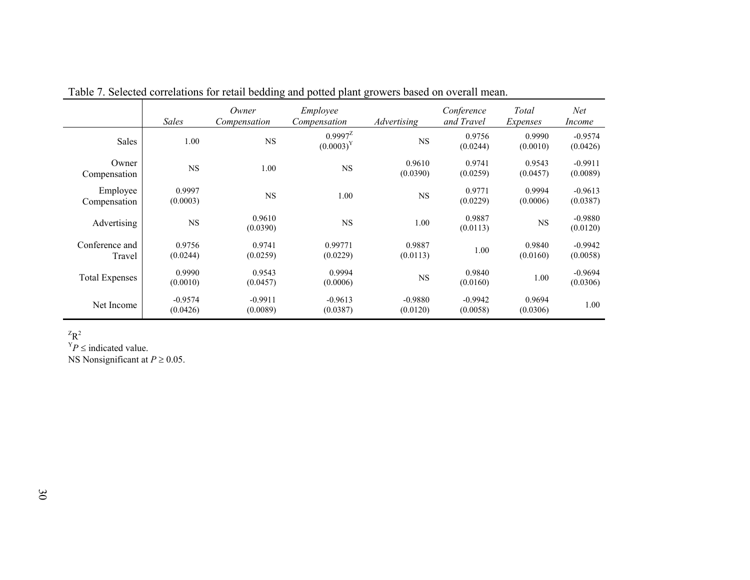|                          | <b>Sales</b>          | Owner<br>Compensation | Employee<br>Compensation     | Advertising           | Conference<br>and Travel | Total<br>Expenses  | Net<br><i>Income</i>  |
|--------------------------|-----------------------|-----------------------|------------------------------|-----------------------|--------------------------|--------------------|-----------------------|
| Sales                    | 1.00                  | <b>NS</b>             | $0.9997^2$<br>$(0.0003)^{Y}$ | $_{\rm NS}$           | 0.9756<br>(0.0244)       | 0.9990<br>(0.0010) | $-0.9574$<br>(0.0426) |
| Owner<br>Compensation    | <b>NS</b>             | 1.00                  | <b>NS</b>                    | 0.9610<br>(0.0390)    | 0.9741<br>(0.0259)       | 0.9543<br>(0.0457) | $-0.9911$<br>(0.0089) |
| Employee<br>Compensation | 0.9997<br>(0.0003)    | $_{\rm NS}$           | 1.00                         | $_{\rm NS}$           | 0.9771<br>(0.0229)       | 0.9994<br>(0.0006) | $-0.9613$<br>(0.0387) |
| Advertising              | NS                    | 0.9610<br>(0.0390)    | <b>NS</b>                    | 1.00                  | 0.9887<br>(0.0113)       | $_{\rm NS}$        | $-0.9880$<br>(0.0120) |
| Conference and<br>Travel | 0.9756<br>(0.0244)    | 0.9741<br>(0.0259)    | 0.99771<br>(0.0229)          | 0.9887<br>(0.0113)    | 1.00                     | 0.9840<br>(0.0160) | $-0.9942$<br>(0.0058) |
| <b>Total Expenses</b>    | 0.9990<br>(0.0010)    | 0.9543<br>(0.0457)    | 0.9994<br>(0.0006)           | <b>NS</b>             | 0.9840<br>(0.0160)       | 1.00               | $-0.9694$<br>(0.0306) |
| Net Income               | $-0.9574$<br>(0.0426) | $-0.9911$<br>(0.0089) | $-0.9613$<br>(0.0387)        | $-0.9880$<br>(0.0120) | $-0.9942$<br>(0.0058)    | 0.9694<br>(0.0306) | 1.00                  |

Table 7. Selected correlations for retail bedding and potted plant growers based on overall mean.

 $Z_R^2$ 

 $Y_P \leq \text{indicated value}.$ NS Nonsignificant at *P* <sup>≥</sup> 0.05.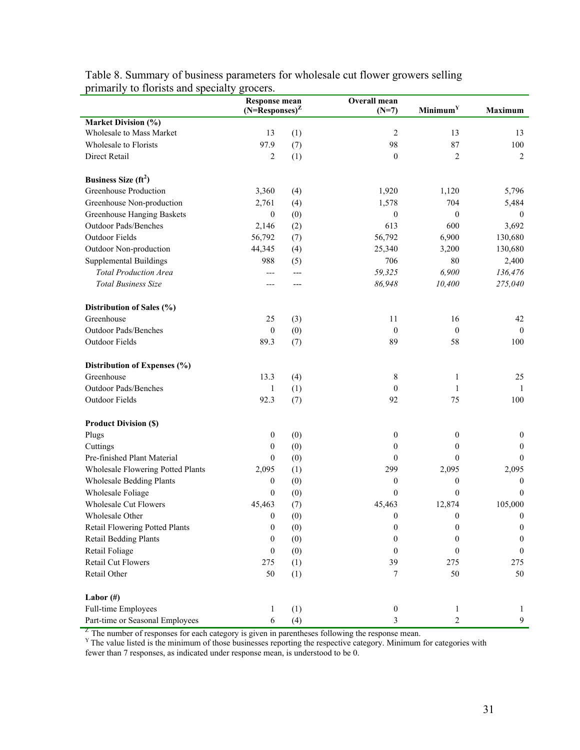|                                                   | <b>Response mean</b><br>$(N=\bar{R}$ esponses) <sup>Z</sup> |     | Overall mean<br>$(N=7)$ | Minimum <sup>Y</sup> | <b>Maximum</b>   |  |
|---------------------------------------------------|-------------------------------------------------------------|-----|-------------------------|----------------------|------------------|--|
| <b>Market Division</b> $(\frac{\overline{0}}{0})$ |                                                             |     |                         |                      |                  |  |
| Wholesale to Mass Market                          | 13                                                          | (1) | $\overline{2}$          | 13                   | 13               |  |
| Wholesale to Florists                             | 97.9                                                        | (7) | 98                      | 87                   | 100              |  |
| Direct Retail                                     | $\overline{c}$                                              | (1) | $\boldsymbol{0}$        | $\overline{c}$       | 2                |  |
|                                                   |                                                             |     |                         |                      |                  |  |
| Business Size $(ft^2)$                            |                                                             |     |                         |                      |                  |  |
| Greenhouse Production                             | 3,360                                                       | (4) | 1,920                   | 1,120                | 5,796            |  |
| Greenhouse Non-production                         | 2,761                                                       | (4) | 1,578                   | 704                  | 5,484            |  |
| Greenhouse Hanging Baskets                        | $\boldsymbol{0}$                                            | (0) | $\boldsymbol{0}$        | $\mathbf{0}$         | $\mathbf{0}$     |  |
| Outdoor Pads/Benches                              | 2,146                                                       | (2) | 613                     | 600                  | 3,692            |  |
| Outdoor Fields                                    | 56,792                                                      | (7) | 56,792                  | 6,900                | 130,680          |  |
| Outdoor Non-production                            | 44,345                                                      | (4) | 25,340                  | 3,200                | 130,680          |  |
| <b>Supplemental Buildings</b>                     | 988                                                         | (5) | 706                     | 80                   | 2,400            |  |
| <b>Total Production Area</b>                      | ---                                                         | --- | 59,325                  | 6,900                | 136,476          |  |
| <b>Total Business Size</b>                        | ---                                                         | --- | 86,948                  | 10,400               | 275,040          |  |
|                                                   |                                                             |     |                         |                      |                  |  |
| Distribution of Sales (%)                         |                                                             |     |                         |                      |                  |  |
| Greenhouse                                        | 25                                                          | (3) | 11                      | 16                   | 42               |  |
| <b>Outdoor Pads/Benches</b>                       | $\boldsymbol{0}$                                            | (0) | $\boldsymbol{0}$        | $\mathbf{0}$         | $\theta$         |  |
| Outdoor Fields                                    | 89.3                                                        | (7) | 89                      | 58                   | 100              |  |
|                                                   |                                                             |     |                         |                      |                  |  |
| Distribution of Expenses (%)                      |                                                             |     |                         |                      |                  |  |
| Greenhouse                                        | 13.3                                                        | (4) | 8                       | $\mathbf{1}$         | 25               |  |
| Outdoor Pads/Benches                              | 1                                                           | (1) | $\theta$                | 1                    | -1               |  |
| Outdoor Fields                                    | 92.3                                                        | (7) | 92                      | 75                   | 100              |  |
|                                                   |                                                             |     |                         |                      |                  |  |
| <b>Product Division (\$)</b>                      |                                                             |     |                         |                      |                  |  |
| Plugs                                             | $\boldsymbol{0}$                                            | (0) | $\boldsymbol{0}$        | 0                    | $\boldsymbol{0}$ |  |
| Cuttings                                          | $\boldsymbol{0}$                                            | (0) | 0                       | 0                    | $\boldsymbol{0}$ |  |
| Pre-finished Plant Material                       | $\boldsymbol{0}$                                            | (0) | $\boldsymbol{0}$        | $\mathbf{0}$         | $\mathbf{0}$     |  |
| Wholesale Flowering Potted Plants                 | 2,095                                                       | (1) | 299                     | 2,095                | 2,095            |  |
| <b>Wholesale Bedding Plants</b>                   | $\boldsymbol{0}$                                            | (0) | $\boldsymbol{0}$        | $\boldsymbol{0}$     | $\boldsymbol{0}$ |  |
| Wholesale Foliage                                 | $\boldsymbol{0}$                                            | (0) | $\boldsymbol{0}$        | $\mathbf{0}$         | $\mathbf{0}$     |  |
| <b>Wholesale Cut Flowers</b>                      | 45,463                                                      | (7) | 45,463                  | 12,874               | 105,000          |  |
| Wholesale Other                                   | $\boldsymbol{0}$                                            | (0) | $\boldsymbol{0}$        | $\boldsymbol{0}$     | $\boldsymbol{0}$ |  |
| Retail Flowering Potted Plants                    | $\boldsymbol{0}$                                            | (0) | $\boldsymbol{0}$        | 0                    | $\boldsymbol{0}$ |  |
| <b>Retail Bedding Plants</b>                      | $\boldsymbol{0}$                                            | (0) | $\mathbf{0}$            | $\boldsymbol{0}$     | $\boldsymbol{0}$ |  |
| Retail Foliage                                    | $\boldsymbol{0}$                                            | (0) | $\mathbf{0}$            | $\overline{0}$       | $\mathbf{0}$     |  |
| <b>Retail Cut Flowers</b>                         | 275                                                         | (1) | 39                      | 275                  | 275              |  |
| Retail Other                                      | 50                                                          | (1) | 7                       | 50                   | 50               |  |
|                                                   |                                                             |     |                         |                      |                  |  |
| Labor $(\#)$                                      |                                                             |     |                         |                      |                  |  |
| Full-time Employees                               | 1                                                           | (1) | $\boldsymbol{0}$        | 1                    | 1                |  |
| Part-time or Seasonal Employees                   | $\sqrt{6}$                                                  | (4) | 3                       | $\overline{c}$       | 9                |  |

Table 8. Summary of business parameters for wholesale cut flower growers selling primarily to florists and specialty grocers.

 $Z^Z$  The number of responses for each category is given in parentheses following the response mean.  $Y^Y$  The value listed is the minimum of those businesses reporting the respective category. Minimum for categories with

fewer than 7 responses, as indicated under response mean, is understood to be 0.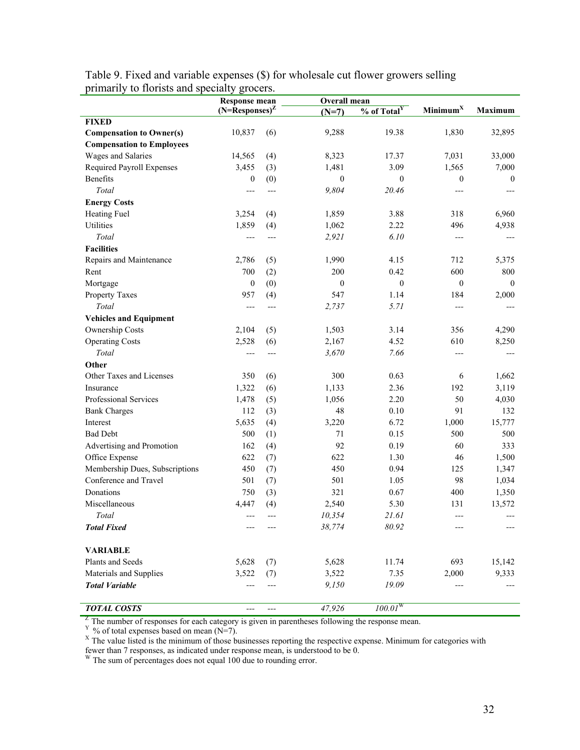|                                  | <b>Response mean</b> |       |                  | Overall mean              |                      |                |
|----------------------------------|----------------------|-------|------------------|---------------------------|----------------------|----------------|
|                                  | $(N=Response)^Z$     |       | $(N=7)$          | $%$ of Total <sup>Y</sup> | Minimum <sup>X</sup> | <b>Maximum</b> |
| <b>FIXED</b>                     |                      |       |                  |                           |                      |                |
| <b>Compensation to Owner(s)</b>  | 10,837               | (6)   | 9,288            | 19.38                     | 1,830                | 32,895         |
| <b>Compensation to Employees</b> |                      |       |                  |                           |                      |                |
| Wages and Salaries               | 14,565               | (4)   | 8,323            | 17.37                     | 7,031                | 33,000         |
| Required Payroll Expenses        | 3,455                | (3)   | 1,481            | 3.09                      | 1,565                | 7,000          |
| Benefits                         | $\boldsymbol{0}$     | (0)   | $\boldsymbol{0}$ | $\boldsymbol{0}$          | $\boldsymbol{0}$     | $\mathbf{0}$   |
| Total                            | ---                  | ---   | 9,804            | 20.46                     | $---$                | $---$          |
| <b>Energy Costs</b>              |                      |       |                  |                           |                      |                |
| <b>Heating Fuel</b>              | 3,254                | (4)   | 1,859            | 3.88                      | 318                  | 6,960          |
| Utilities                        | 1,859                | (4)   | 1,062            | 2.22                      | 496                  | 4,938          |
| Total                            | ---                  | $---$ | 2,921            | 6.10                      | ---                  | $---$          |
| <b>Facilities</b>                |                      |       |                  |                           |                      |                |
| Repairs and Maintenance          | 2,786                | (5)   | 1,990            | 4.15                      | 712                  | 5,375          |
| Rent                             | 700                  | (2)   | 200              | 0.42                      | 600                  | 800            |
| Mortgage                         | $\boldsymbol{0}$     | (0)   | $\boldsymbol{0}$ | $\mathbf{0}$              | $\mathbf{0}$         | $\mathbf{0}$   |
| Property Taxes                   | 957                  | (4)   | 547              | 1.14                      | 184                  | 2,000          |
| Total                            | $---$                | $---$ | 2,737            | 5.71                      | ---                  |                |
| <b>Vehicles and Equipment</b>    |                      |       |                  |                           |                      |                |
| Ownership Costs                  | 2,104                | (5)   | 1,503            | 3.14                      | 356                  | 4,290          |
| <b>Operating Costs</b>           | 2,528                | (6)   | 2,167            | 4.52                      | 610                  | 8,250          |
| Total                            | $---$                | $---$ | 3,670            | 7.66                      | ---                  | $---$          |
| Other                            |                      |       |                  |                           |                      |                |
| Other Taxes and Licenses         | 350                  | (6)   | 300              | 0.63                      | 6                    | 1,662          |
| Insurance                        | 1,322                | (6)   | 1,133            | 2.36                      | 192                  | 3,119          |
| Professional Services            | 1,478                | (5)   | 1,056            | 2.20                      | 50                   | 4,030          |
| <b>Bank Charges</b>              | 112                  | (3)   | 48               | 0.10                      | 91                   | 132            |
| Interest                         | 5,635                | (4)   | 3,220            | 6.72                      | 1,000                | 15,777         |
| <b>Bad Debt</b>                  | 500                  | (1)   | 71               | 0.15                      | 500                  | 500            |
| Advertising and Promotion        | 162                  | (4)   | 92               | 0.19                      | 60                   | 333            |
| Office Expense                   | 622                  | (7)   | 622              | 1.30                      | 46                   | 1,500          |
| Membership Dues, Subscriptions   | 450                  | (7)   | 450              | 0.94                      | 125                  | 1,347          |
| Conference and Travel            | 501                  | (7)   | 501              | 1.05                      | 98                   | 1,034          |
| Donations                        | 750                  | (3)   | 321              | 0.67                      | 400                  | 1,350          |
| Miscellaneous                    | 4,447                | (4)   | 2,540            | 5.30                      | 131                  | 13,572         |
| Total                            | $---$                | $---$ | 10,354           | 21.61                     | $---$                |                |
| <b>Total Fixed</b>               |                      |       | 38,774           | 80.92                     |                      |                |
|                                  |                      |       |                  |                           |                      |                |
| <b>VARIABLE</b>                  |                      |       |                  |                           |                      |                |
| Plants and Seeds                 | 5,628                | (7)   | 5,628            | 11.74                     | 693                  | 15,142         |
| Materials and Supplies           | 3,522                | (7)   | 3,522            | 7.35                      | 2,000                | 9,333          |
| <b>Total Variable</b>            |                      |       | 9,150            | 19.09                     | $---$                |                |
| <b>TOTAL COSTS</b>               | ---                  |       | 47,926           | $100.01^{\rm W}$          |                      |                |

Table 9. Fixed and variable expenses (\$) for wholesale cut flower growers selling primarily to florists and specialty grocers.

<sup>Z</sup> The number of responses for each category is given in parentheses following the response mean.<br><sup>Y</sup> % of total expenses based on mean (N=7).<br><sup>X</sup> The value listed is the minimum of those businesses reporting the respect fewer than 7 responses, as indicated under response mean, is understood to be 0. W The sum of percentages does not equal 100 due to rounding error.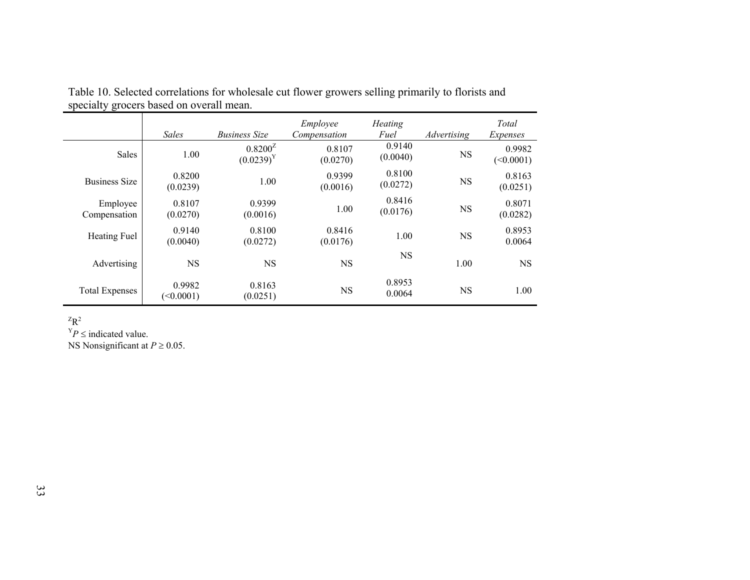|                          | <b>Sales</b>        | <b>Business Size</b>         | Employee<br>Compensation | <b>Heating</b><br>Fuel | Advertising | Total<br>Expenses   |
|--------------------------|---------------------|------------------------------|--------------------------|------------------------|-------------|---------------------|
| Sales                    | 1.00                | $0.8200^2$<br>$(0.0239)^{Y}$ | 0.8107<br>(0.0270)       | 0.9140<br>(0.0040)     | <b>NS</b>   | 0.9982<br>(<0.0001) |
| <b>Business Size</b>     | 0.8200<br>(0.0239)  | 1.00                         | 0.9399<br>(0.0016)       | 0.8100<br>(0.0272)     | <b>NS</b>   | 0.8163<br>(0.0251)  |
| Employee<br>Compensation | 0.8107<br>(0.0270)  | 0.9399<br>(0.0016)           | 1.00                     | 0.8416<br>(0.0176)     | <b>NS</b>   | 0.8071<br>(0.0282)  |
| Heating Fuel             | 0.9140<br>(0.0040)  | 0.8100<br>(0.0272)           | 0.8416<br>(0.0176)       | 1.00                   | <b>NS</b>   | 0.8953<br>0.0064    |
| Advertising              | <b>NS</b>           | <b>NS</b>                    | <b>NS</b>                | NS.                    | 1.00        | <b>NS</b>           |
| <b>Total Expenses</b>    | 0.9982<br>(<0.0001) | 0.8163<br>(0.0251)           | <b>NS</b>                | 0.8953<br>0.0064       | <b>NS</b>   | 1.00                |

Table 10. Selected correlations for wholesale cut flower growers selling primarily to florists and specialty grocers based on overall mean.

 $Z_{\mathbf{R}^2}$ 

 $Y_P \leq$  indicated value.

NS Nonsignificant at *P* <sup>≥</sup> 0.05.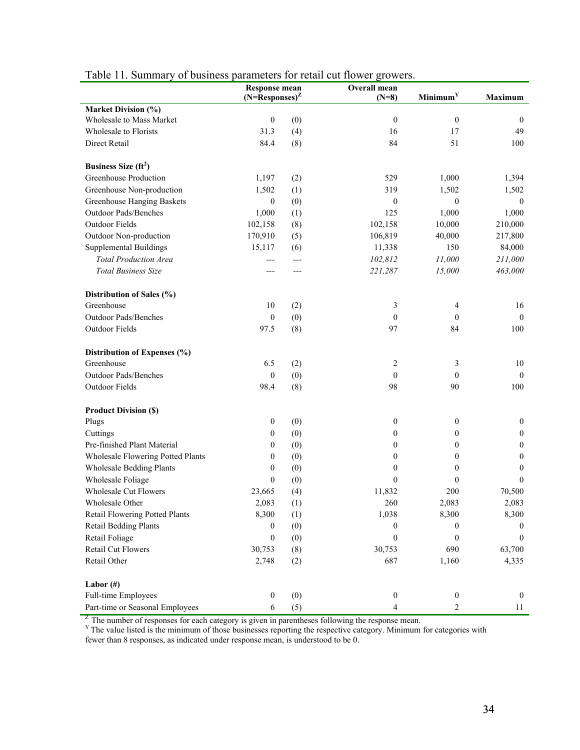|                                          | <b>Response mean</b> |     | Overall mean             |                         |                  |  |  |
|------------------------------------------|----------------------|-----|--------------------------|-------------------------|------------------|--|--|
|                                          | $(N=Response)^Z$     |     | $(N=8)$                  | Minimum <sup>Y</sup>    | <b>Maximum</b>   |  |  |
| <b>Market Division (%)</b>               |                      |     |                          |                         |                  |  |  |
| Wholesale to Mass Market                 | $\mathbf{0}$         | (0) | $\mathbf{0}$             | $\mathbf{0}$            | $\overline{0}$   |  |  |
| Wholesale to Florists                    | 31.3                 | (4) | 16                       | 17                      | 49               |  |  |
| Direct Retail                            | 84.4                 | (8) | 84                       | 51                      | 100              |  |  |
| Business Size $(ft^2)$                   |                      |     |                          |                         |                  |  |  |
| Greenhouse Production                    | 1,197                | (2) | 529                      | 1,000                   | 1,394            |  |  |
| Greenhouse Non-production                | 1,502                | (1) | 319                      | 1,502                   | 1,502            |  |  |
| Greenhouse Hanging Baskets               | $\mathbf{0}$         | (0) | $\boldsymbol{0}$         | $\mathbf{0}$            | $\mathbf{0}$     |  |  |
| Outdoor Pads/Benches                     | 1,000                | (1) | 125                      | 1,000                   | 1,000            |  |  |
| <b>Outdoor Fields</b>                    | 102,158              | (8) | 102,158                  | 10,000                  | 210,000          |  |  |
| Outdoor Non-production                   | 170,910              | (5) | 106,819                  | 40,000                  | 217,800          |  |  |
| <b>Supplemental Buildings</b>            | 15,117               | (6) | 11,338                   | 150                     | 84,000           |  |  |
| <b>Total Production Area</b>             | ---                  | --- | 102,812                  | $\it 11,000$            | 211,000          |  |  |
| <b>Total Business Size</b>               | ---                  | --- | 221,287                  | 15,000                  | 463,000          |  |  |
|                                          |                      |     |                          |                         |                  |  |  |
| Distribution of Sales (%)                |                      |     |                          |                         |                  |  |  |
| Greenhouse                               | 10                   | (2) | 3                        | 4                       | 16               |  |  |
| Outdoor Pads/Benches                     | $\boldsymbol{0}$     | (0) | $\mathbf{0}$             | $\boldsymbol{0}$        | $\overline{0}$   |  |  |
| <b>Outdoor Fields</b>                    | 97.5                 | (8) | 97                       | 84                      | 100              |  |  |
| Distribution of Expenses (%)             |                      |     |                          |                         |                  |  |  |
| Greenhouse                               | 6.5                  | (2) | $\overline{c}$           | 3                       | 10               |  |  |
| <b>Outdoor Pads/Benches</b>              | $\boldsymbol{0}$     | (0) | $\mathbf{0}$             | $\boldsymbol{0}$        | $\overline{0}$   |  |  |
| Outdoor Fields                           | 98.4                 | (8) | 98                       | 90                      | 100              |  |  |
| <b>Product Division (\$)</b>             |                      |     |                          |                         |                  |  |  |
| Plugs                                    | $\boldsymbol{0}$     | (0) | $\mathbf{0}$             | $\boldsymbol{0}$        | $\boldsymbol{0}$ |  |  |
| Cuttings                                 | $\boldsymbol{0}$     | (0) | $\theta$                 | 0                       | $\boldsymbol{0}$ |  |  |
| Pre-finished Plant Material              | $\boldsymbol{0}$     | (0) | $\mathbf{0}$             | $\theta$                | $\boldsymbol{0}$ |  |  |
| <b>Wholesale Flowering Potted Plants</b> | $\mathbf{0}$         | (0) | $\theta$                 | $\theta$                | $\boldsymbol{0}$ |  |  |
| <b>Wholesale Bedding Plants</b>          | $\mathbf{0}$         | (0) | $\theta$                 | $\boldsymbol{0}$        | $\boldsymbol{0}$ |  |  |
| Wholesale Foliage                        | $\mathbf{0}$         | (0) | $\mathbf{0}$             | $\mathbf{0}$            | $\mathbf{0}$     |  |  |
| Wholesale Cut Flowers                    | 23,665               | (4) | 11,832                   | 200                     | 70,500           |  |  |
| Wholesale Other                          | 2,083                | (1) | 260                      | 2,083                   | 2,083            |  |  |
| Retail Flowering Potted Plants           | 8,300                | (1) | 1,038                    | 8,300                   | 8,300            |  |  |
| <b>Retail Bedding Plants</b>             | $\boldsymbol{0}$     | (0) | $\boldsymbol{0}$         | 0                       | $\bf{0}$         |  |  |
| Retail Foliage                           | $\boldsymbol{0}$     | (0) | $\mathbf{0}$             | $\mathbf{0}$            | $\overline{0}$   |  |  |
| <b>Retail Cut Flowers</b>                | 30,753               | (8) | 30,753                   | 690                     | 63,700           |  |  |
| Retail Other                             | 2,748                | (2) | 687                      | 1,160                   | 4,335            |  |  |
| Labor $(\#)$                             |                      |     |                          |                         |                  |  |  |
| Full-time Employees                      | $\boldsymbol{0}$     | (0) | $\boldsymbol{0}$         | $\boldsymbol{0}$        | $\mathbf{0}$     |  |  |
| Part-time or Seasonal Employees          | 6                    | (5) | $\overline{\mathcal{A}}$ | $\overline{\mathbf{c}}$ | 11               |  |  |

# Table 11. Summary of business parameters for retail cut flower growers.

 $Z^Z$  The number of responses for each category is given in parentheses following the response mean.  $Y^Y$  The value listed is the minimum of those businesses reporting the respective category. Minimum for categories with fewer than 8 responses, as indicated under response mean, is understood to be 0.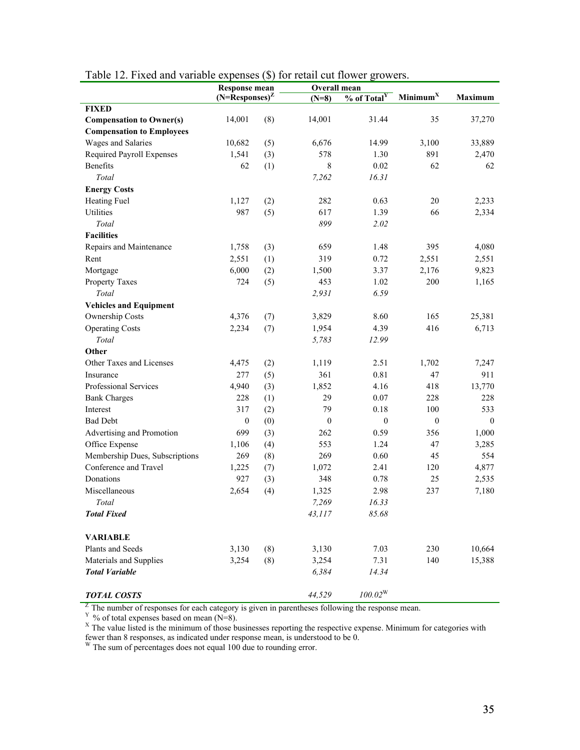|                                  | $(N=$ Responses $)^Z$ |     | $(N=8)$          | % of Total <sup>Y</sup> | Minimum <sup>X</sup> | Maximum  |
|----------------------------------|-----------------------|-----|------------------|-------------------------|----------------------|----------|
| <b>FIXED</b>                     |                       |     |                  |                         |                      |          |
| <b>Compensation to Owner(s)</b>  | 14,001                | (8) | 14,001           | 31.44                   | 35                   | 37,270   |
| <b>Compensation to Employees</b> |                       |     |                  |                         |                      |          |
| Wages and Salaries               | 10,682                | (5) | 6,676            | 14.99                   | 3,100                | 33,889   |
| Required Payroll Expenses        | 1,541                 | (3) | 578              | 1.30                    | 891                  | 2,470    |
| <b>Benefits</b>                  | 62                    | (1) | 8                | 0.02                    | 62                   | 62       |
| Total                            |                       |     | 7,262            | 16.31                   |                      |          |
| <b>Energy Costs</b>              |                       |     |                  |                         |                      |          |
| <b>Heating Fuel</b>              | 1,127                 | (2) | 282              | 0.63                    | 20                   | 2,233    |
| Utilities                        | 987                   | (5) | 617              | 1.39                    | 66                   | 2,334    |
| Total                            |                       |     | 899              | 2.02                    |                      |          |
| <b>Facilities</b>                |                       |     |                  |                         |                      |          |
| Repairs and Maintenance          | 1,758                 | (3) | 659              | 1.48                    | 395                  | 4,080    |
| Rent                             | 2,551                 | (1) | 319              | 0.72                    | 2,551                | 2,551    |
| Mortgage                         | 6,000                 | (2) | 1,500            | 3.37                    | 2,176                | 9,823    |
| Property Taxes                   | 724                   | (5) | 453              | 1.02                    | 200                  | 1,165    |
| Total                            |                       |     | 2,931            | 6.59                    |                      |          |
| <b>Vehicles and Equipment</b>    |                       |     |                  |                         |                      |          |
| Ownership Costs                  | 4,376                 | (7) | 3,829            | 8.60                    | 165                  | 25,381   |
| <b>Operating Costs</b>           | 2,234                 | (7) | 1,954            | 4.39                    | 416                  | 6,713    |
| Total                            |                       |     | 5,783            | 12.99                   |                      |          |
| Other                            |                       |     |                  |                         |                      |          |
| Other Taxes and Licenses         | 4,475                 | (2) | 1,119            | 2.51                    | 1,702                | 7,247    |
| Insurance                        | 277                   | (5) | 361              | 0.81                    | 47                   | 911      |
| Professional Services            | 4,940                 | (3) | 1,852            | 4.16                    | 418                  | 13,770   |
| <b>Bank Charges</b>              | 228                   | (1) | 29               | 0.07                    | 228                  | 228      |
| Interest                         | 317                   | (2) | 79               | 0.18                    | 100                  | 533      |
| <b>Bad Debt</b>                  | $\boldsymbol{0}$      | (0) | $\boldsymbol{0}$ | $\boldsymbol{0}$        | $\boldsymbol{0}$     | $\theta$ |
| Advertising and Promotion        | 699                   | (3) | 262              | 0.59                    | 356                  | 1,000    |
| Office Expense                   | 1,106                 | (4) | 553              | 1.24                    | 47                   | 3,285    |
| Membership Dues, Subscriptions   | 269                   | (8) | 269              | 0.60                    | 45                   | 554      |
| Conference and Travel            | 1,225                 | (7) | 1,072            | 2.41                    | 120                  | 4,877    |
| Donations                        | 927                   | (3) | 348              | 0.78                    | 25                   | 2,535    |
| Miscellaneous                    | 2,654                 | (4) | 1,325            | 2.98                    | 237                  | 7,180    |
| Total                            |                       |     | 7,269            | 16.33                   |                      |          |
| <b>Total Fixed</b>               |                       |     | 43,117           | 85.68                   |                      |          |

|  | Table 12. Fixed and variable expenses (\$) for retail cut flower growers. |
|--|---------------------------------------------------------------------------|
|  |                                                                           |

**Response mean Overall mean** 

*TOTAL COSTS 44,529 100.02*W

*Total Variable 6,384 14.34* 

<sup>Z</sup> The number of responses for each category is given in parentheses following the response mean.<br><sup>Y</sup> % of total expenses based on mean (N=8).<br><sup>X</sup> The value listed is the minimum of those businesses reporting the respect fewer than 8 responses, as indicated under response mean, is understood to be 0. W The sum of percentages does not equal 100 due to rounding error.

Plants and Seeds 3,130 (8) 3,130 7.03 230 10,664 Materials and Supplies 3,254 (8) 3,254 7.31 140 15,388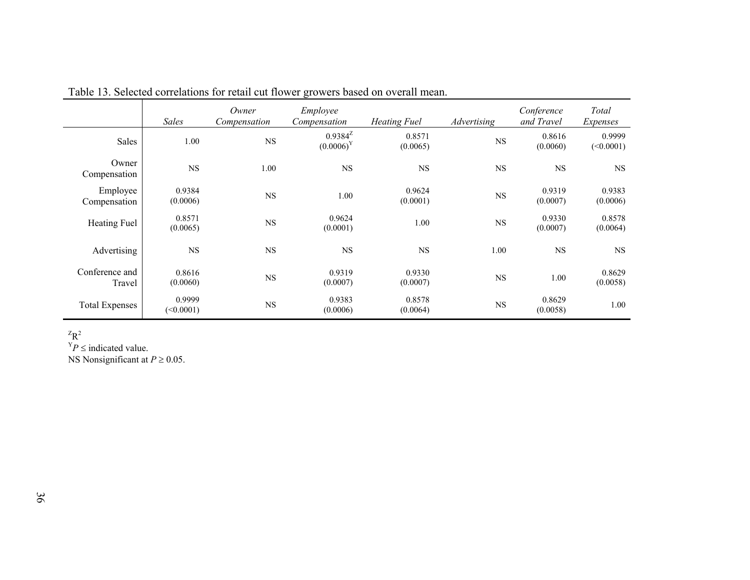|                          | <b>Sales</b>        | Owner<br>Compensation | Employee<br>Compensation     | <b>Heating Fuel</b> | Advertising | Conference<br>and Travel | Total<br>Expenses   |
|--------------------------|---------------------|-----------------------|------------------------------|---------------------|-------------|--------------------------|---------------------|
| Sales                    | 1.00                | $_{\rm NS}$           | $0.9384^Z$<br>$(0.0006)^{Y}$ | 0.8571<br>(0.0065)  | $_{\rm NS}$ | 0.8616<br>(0.0060)       | 0.9999<br>(<0.0001) |
| Owner<br>Compensation    | $_{\rm NS}$         | 1.00                  | $_{\rm NS}$                  | $_{\rm NS}$         | $_{\rm NS}$ | NS                       | <b>NS</b>           |
| Employee<br>Compensation | 0.9384<br>(0.0006)  | <b>NS</b>             | 1.00                         | 0.9624<br>(0.0001)  | $_{\rm NS}$ | 0.9319<br>(0.0007)       | 0.9383<br>(0.0006)  |
| Heating Fuel             | 0.8571<br>(0.0065)  | <b>NS</b>             | 0.9624<br>(0.0001)           | 1.00                | $_{\rm NS}$ | 0.9330<br>(0.0007)       | 0.8578<br>(0.0064)  |
| Advertising              | NS                  | <b>NS</b>             | <b>NS</b>                    | <b>NS</b>           | 1.00        | NS                       | <b>NS</b>           |
| Conference and<br>Travel | 0.8616<br>(0.0060)  | $_{\rm NS}$           | 0.9319<br>(0.0007)           | 0.9330<br>(0.0007)  | $_{\rm NS}$ | 1.00                     | 0.8629<br>(0.0058)  |
| <b>Total Expenses</b>    | 0.9999<br>(<0.0001) | $_{\rm NS}$           | 0.9383<br>(0.0006)           | 0.8578<br>(0.0064)  | $_{\rm NS}$ | 0.8629<br>(0.0058)       | 1.00                |

Table 13. Selected correlations for retail cut flower growers based on overall mean.

 $ZR^2$ 

 $Y_P \leq \text{indicated value}.$ 

NS Nonsignificant at *P* ≥ 0.05.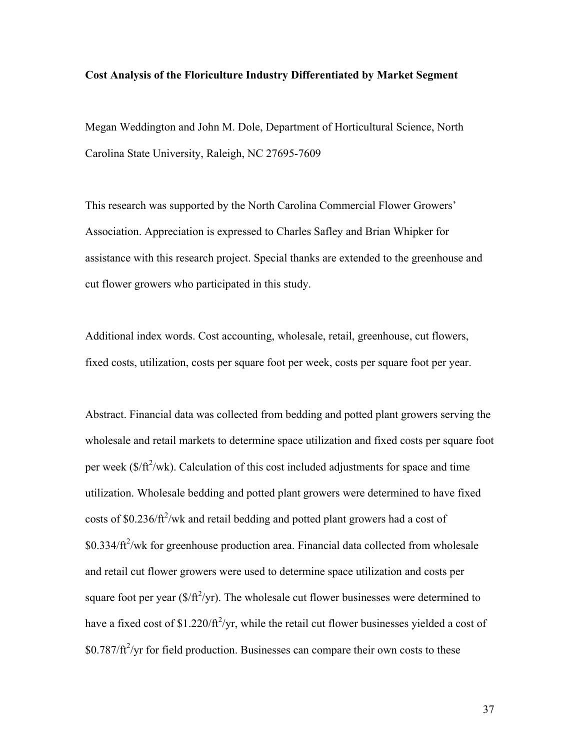### **Cost Analysis of the Floriculture Industry Differentiated by Market Segment**

Megan Weddington and John M. Dole, Department of Horticultural Science, North Carolina State University, Raleigh, NC 27695-7609

This research was supported by the North Carolina Commercial Flower Growers' Association. Appreciation is expressed to Charles Safley and Brian Whipker for assistance with this research project. Special thanks are extended to the greenhouse and cut flower growers who participated in this study.

Additional index words. Cost accounting, wholesale, retail, greenhouse, cut flowers, fixed costs, utilization, costs per square foot per week, costs per square foot per year.

Abstract. Financial data was collected from bedding and potted plant growers serving the wholesale and retail markets to determine space utilization and fixed costs per square foot per week  $(\frac{f}{f} + \frac{f}{f})$  Calculation of this cost included adjustments for space and time utilization. Wholesale bedding and potted plant growers were determined to have fixed costs of \$0.236/ $ft^2$ /wk and retail bedding and potted plant growers had a cost of  $$0.334/ft^2/wk$  for greenhouse production area. Financial data collected from wholesale and retail cut flower growers were used to determine space utilization and costs per square foot per year  $(\frac{f}{f^2}$ yr). The wholesale cut flower businesses were determined to have a fixed cost of \$1.220/ $\frac{f}{f}$ /yr, while the retail cut flower businesses yielded a cost of  $$0.787/ft^2$ /yr for field production. Businesses can compare their own costs to these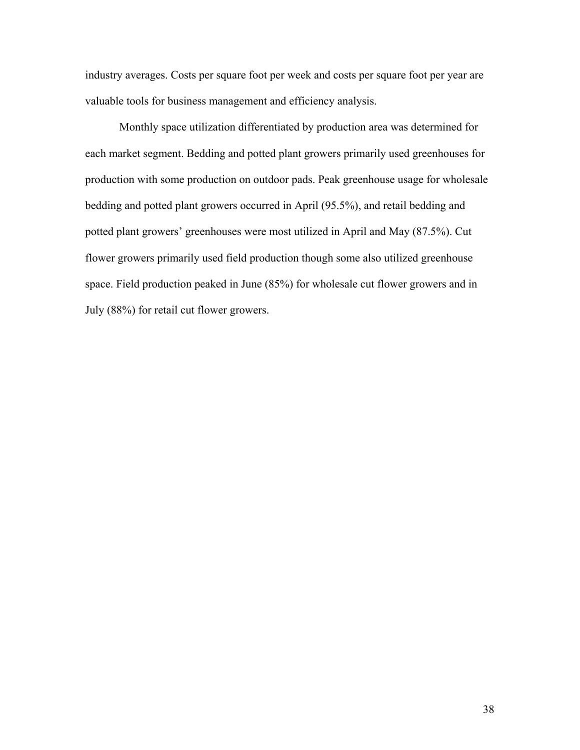industry averages. Costs per square foot per week and costs per square foot per year are valuable tools for business management and efficiency analysis.

 Monthly space utilization differentiated by production area was determined for each market segment. Bedding and potted plant growers primarily used greenhouses for production with some production on outdoor pads. Peak greenhouse usage for wholesale bedding and potted plant growers occurred in April (95.5%), and retail bedding and potted plant growers' greenhouses were most utilized in April and May (87.5%). Cut flower growers primarily used field production though some also utilized greenhouse space. Field production peaked in June (85%) for wholesale cut flower growers and in July (88%) for retail cut flower growers.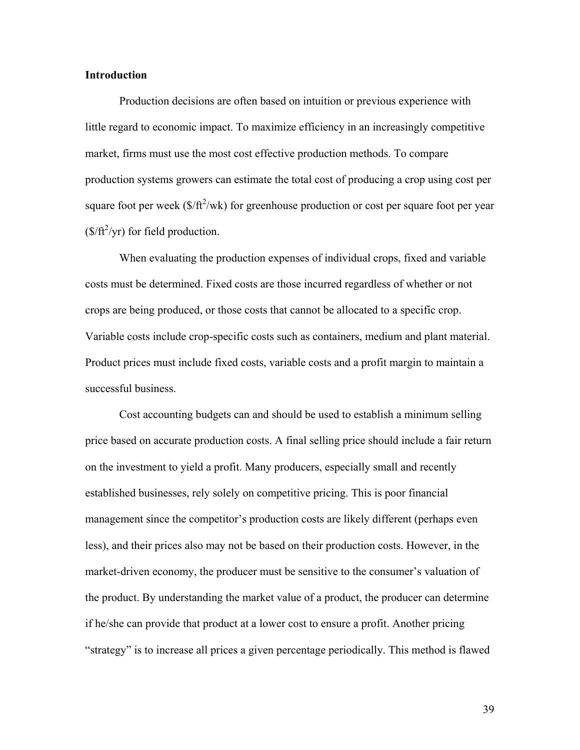#### **Introduction**

Production decisions are often based on intuition or previous experience with little regard to economic impact. To maximize efficiency in an increasingly competitive market, firms must use the most cost effective production methods. To compare production systems growers can estimate the total cost of producing a crop using cost per square foot per week  $(\frac{f}{f}t^2/wk)$  for greenhouse production or cost per square foot per year  $(\frac{\$}{ft^2/yr})$  for field production.

 When evaluating the production expenses of individual crops, fixed and variable costs must be determined. Fixed costs are those incurred regardless of whether or not crops are being produced, or those costs that cannot be allocated to a specific crop. Variable costs include crop-specific costs such as containers, medium and plant material. Product prices must include fixed costs, variable costs and a profit margin to maintain a successful business.

 Cost accounting budgets can and should be used to establish a minimum selling price based on accurate production costs. A final selling price should include a fair return on the investment to yield a profit. Many producers, especially small and recently established businesses, rely solely on competitive pricing. This is poor financial management since the competitor's production costs are likely different (perhaps even less), and their prices also may not be based on their production costs. However, in the market-driven economy, the producer must be sensitive to the consumer's valuation of the product. By understanding the market value of a product, the producer can determine if he/she can provide that product at a lower cost to ensure a profit. Another pricing "strategy" is to increase all prices a given percentage periodically. This method is flawed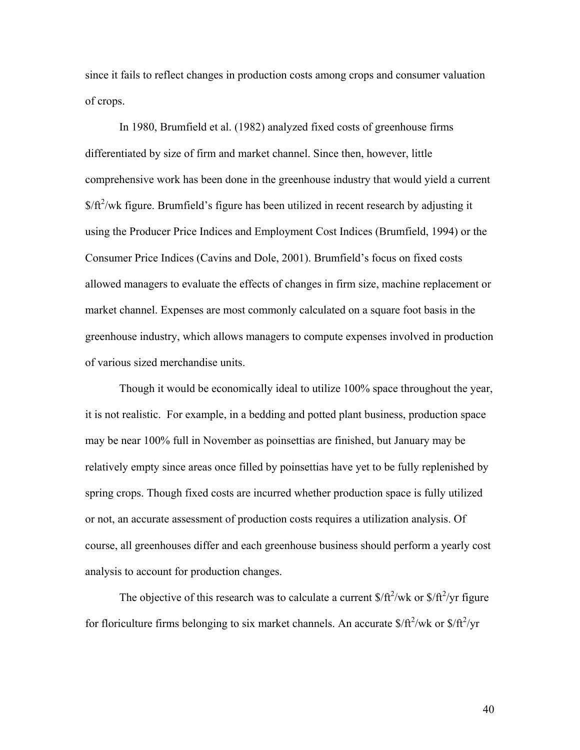since it fails to reflect changes in production costs among crops and consumer valuation of crops.

In 1980, Brumfield et al. (1982) analyzed fixed costs of greenhouse firms differentiated by size of firm and market channel. Since then, however, little comprehensive work has been done in the greenhouse industry that would yield a current  $$/ft^2/wk$  figure. Brumfield's figure has been utilized in recent research by adjusting it using the Producer Price Indices and Employment Cost Indices (Brumfield, 1994) or the Consumer Price Indices (Cavins and Dole, 2001). Brumfield's focus on fixed costs allowed managers to evaluate the effects of changes in firm size, machine replacement or market channel. Expenses are most commonly calculated on a square foot basis in the greenhouse industry, which allows managers to compute expenses involved in production of various sized merchandise units.

Though it would be economically ideal to utilize 100% space throughout the year, it is not realistic. For example, in a bedding and potted plant business, production space may be near 100% full in November as poinsettias are finished, but January may be relatively empty since areas once filled by poinsettias have yet to be fully replenished by spring crops. Though fixed costs are incurred whether production space is fully utilized or not, an accurate assessment of production costs requires a utilization analysis. Of course, all greenhouses differ and each greenhouse business should perform a yearly cost analysis to account for production changes.

The objective of this research was to calculate a current  $\frac{\frac{1}{2}}{k^2}$  wk or  $\frac{\frac{1}{2}}{k^2}$  figure for floriculture firms belonging to six market channels. An accurate  $\frac{\frac{S}{\pi^2}}{wk}$  or  $\frac{\frac{S}{\pi^2}}{yr}$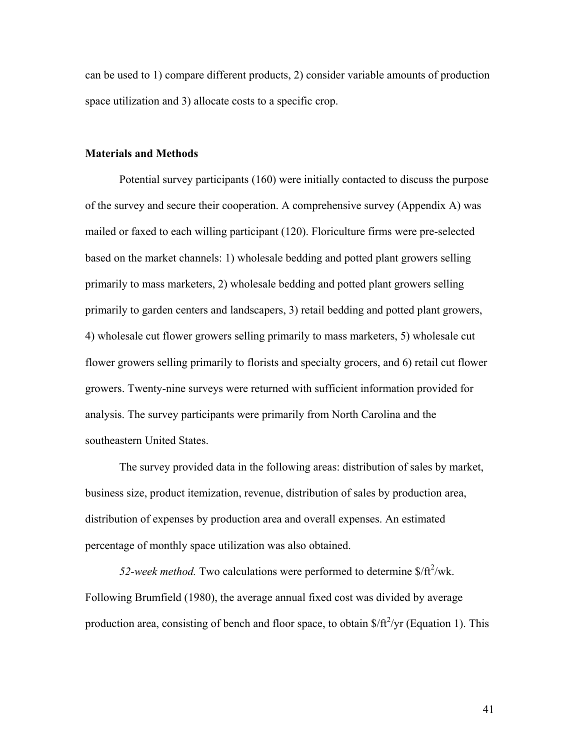can be used to 1) compare different products, 2) consider variable amounts of production space utilization and 3) allocate costs to a specific crop.

### **Materials and Methods**

Potential survey participants (160) were initially contacted to discuss the purpose of the survey and secure their cooperation. A comprehensive survey (Appendix A) was mailed or faxed to each willing participant (120). Floriculture firms were pre-selected based on the market channels: 1) wholesale bedding and potted plant growers selling primarily to mass marketers, 2) wholesale bedding and potted plant growers selling primarily to garden centers and landscapers, 3) retail bedding and potted plant growers, 4) wholesale cut flower growers selling primarily to mass marketers, 5) wholesale cut flower growers selling primarily to florists and specialty grocers, and 6) retail cut flower growers. Twenty-nine surveys were returned with sufficient information provided for analysis. The survey participants were primarily from North Carolina and the southeastern United States.

 The survey provided data in the following areas: distribution of sales by market, business size, product itemization, revenue, distribution of sales by production area, distribution of expenses by production area and overall expenses. An estimated percentage of monthly space utilization was also obtained.

52-week method. Two calculations were performed to determine  $\frac{\pi}{4}$ /wk. Following Brumfield (1980), the average annual fixed cost was divided by average production area, consisting of bench and floor space, to obtain  $\frac{f}{f}$ /yr (Equation 1). This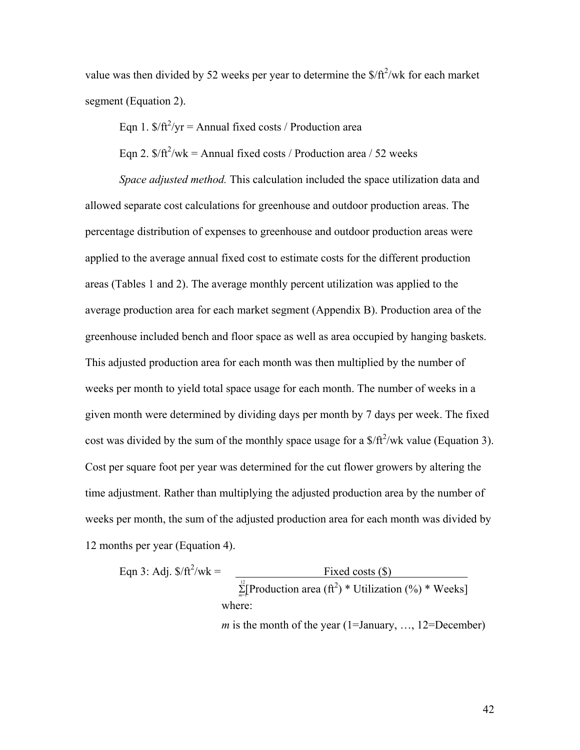value was then divided by 52 weeks per year to determine the  $\frac{f(t^2)}{W}$  for each market segment (Equation 2).

Eqn 1.  $\frac{f(t^2)}{y}$  = Annual fixed costs / Production area

Eqn 2.  $\frac{f(t)}{dt}$  Wk = Annual fixed costs / Production area / 52 weeks

*Space adjusted method.* This calculation included the space utilization data and allowed separate cost calculations for greenhouse and outdoor production areas. The percentage distribution of expenses to greenhouse and outdoor production areas were applied to the average annual fixed cost to estimate costs for the different production areas (Tables 1 and 2). The average monthly percent utilization was applied to the average production area for each market segment (Appendix B). Production area of the greenhouse included bench and floor space as well as area occupied by hanging baskets. This adjusted production area for each month was then multiplied by the number of weeks per month to yield total space usage for each month. The number of weeks in a given month were determined by dividing days per month by 7 days per week. The fixed cost was divided by the sum of the monthly space usage for a  $\frac{\pi}{4}$  wk value (Equation 3). Cost per square foot per year was determined for the cut flower growers by altering the time adjustment. Rather than multiplying the adjusted production area by the number of weeks per month, the sum of the adjusted production area for each month was divided by 12 months per year (Equation 4).

Eqn 3: Adj. 
$$
\$ / \text{ft}^2 / \text{wk} = \frac{\text{Fixed costs (\$)} }{\sum_{m=1}^{12} [\text{Production area (ft}^2) * \text{Utilization } (\%) * \text{Weeks}]}
$$

\nwhere:

\n*m* is the month of the year (1=January, ..., 12=December)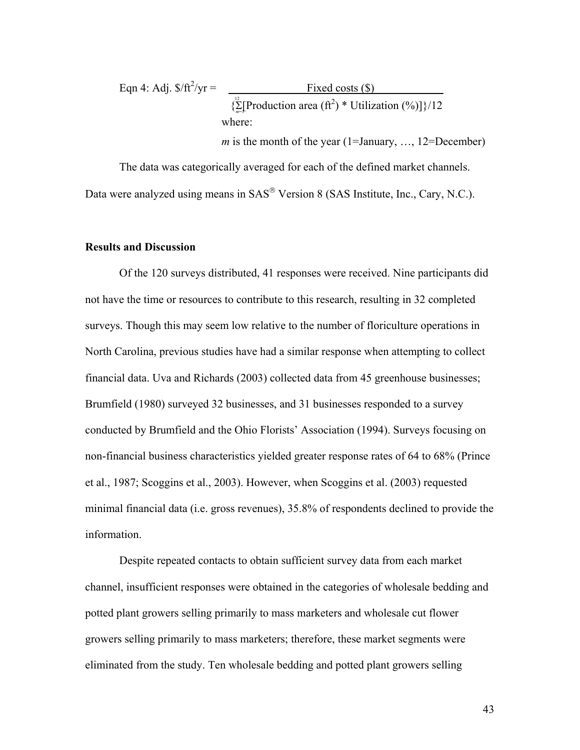Eqn 4: Adj. 
$$
\$\
$$
ft<sup>2</sup>/yr =   
\n
$$
\{\sum_{n=1}^{12} [Production area (ft2) * Utilization (%)]\}/12
$$
\nwhere:

*m* is the month of the year (1=January, ..., 12=December)

The data was categorically averaged for each of the defined market channels. Data were analyzed using means in SAS<sup>®</sup> Version 8 (SAS Institute, Inc., Cary, N.C.).

## **Results and Discussion**

Of the 120 surveys distributed, 41 responses were received. Nine participants did not have the time or resources to contribute to this research, resulting in 32 completed surveys. Though this may seem low relative to the number of floriculture operations in North Carolina, previous studies have had a similar response when attempting to collect financial data. Uva and Richards (2003) collected data from 45 greenhouse businesses; Brumfield (1980) surveyed 32 businesses, and 31 businesses responded to a survey conducted by Brumfield and the Ohio Florists' Association (1994). Surveys focusing on non-financial business characteristics yielded greater response rates of 64 to 68% (Prince et al., 1987; Scoggins et al., 2003). However, when Scoggins et al. (2003) requested minimal financial data (i.e. gross revenues), 35.8% of respondents declined to provide the information.

Despite repeated contacts to obtain sufficient survey data from each market channel, insufficient responses were obtained in the categories of wholesale bedding and potted plant growers selling primarily to mass marketers and wholesale cut flower growers selling primarily to mass marketers; therefore, these market segments were eliminated from the study. Ten wholesale bedding and potted plant growers selling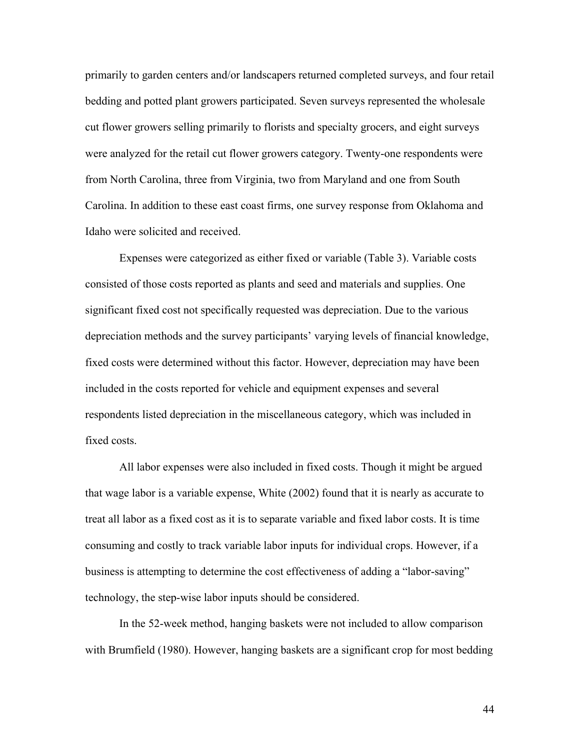primarily to garden centers and/or landscapers returned completed surveys, and four retail bedding and potted plant growers participated. Seven surveys represented the wholesale cut flower growers selling primarily to florists and specialty grocers, and eight surveys were analyzed for the retail cut flower growers category. Twenty-one respondents were from North Carolina, three from Virginia, two from Maryland and one from South Carolina. In addition to these east coast firms, one survey response from Oklahoma and Idaho were solicited and received.

Expenses were categorized as either fixed or variable (Table 3). Variable costs consisted of those costs reported as plants and seed and materials and supplies. One significant fixed cost not specifically requested was depreciation. Due to the various depreciation methods and the survey participants' varying levels of financial knowledge, fixed costs were determined without this factor. However, depreciation may have been included in the costs reported for vehicle and equipment expenses and several respondents listed depreciation in the miscellaneous category, which was included in fixed costs.

All labor expenses were also included in fixed costs. Though it might be argued that wage labor is a variable expense, White (2002) found that it is nearly as accurate to treat all labor as a fixed cost as it is to separate variable and fixed labor costs. It is time consuming and costly to track variable labor inputs for individual crops. However, if a business is attempting to determine the cost effectiveness of adding a "labor-saving" technology, the step-wise labor inputs should be considered.

In the 52-week method, hanging baskets were not included to allow comparison with Brumfield (1980). However, hanging baskets are a significant crop for most bedding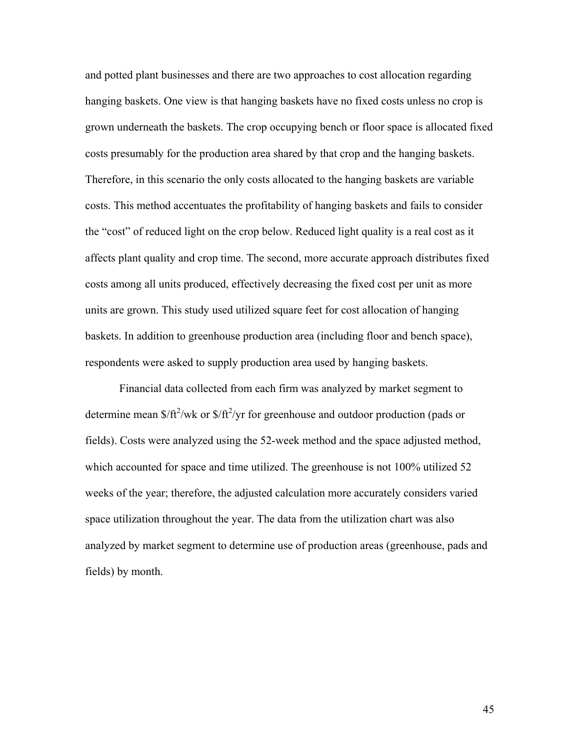and potted plant businesses and there are two approaches to cost allocation regarding hanging baskets. One view is that hanging baskets have no fixed costs unless no crop is grown underneath the baskets. The crop occupying bench or floor space is allocated fixed costs presumably for the production area shared by that crop and the hanging baskets. Therefore, in this scenario the only costs allocated to the hanging baskets are variable costs. This method accentuates the profitability of hanging baskets and fails to consider the "cost" of reduced light on the crop below. Reduced light quality is a real cost as it affects plant quality and crop time. The second, more accurate approach distributes fixed costs among all units produced, effectively decreasing the fixed cost per unit as more units are grown. This study used utilized square feet for cost allocation of hanging baskets. In addition to greenhouse production area (including floor and bench space), respondents were asked to supply production area used by hanging baskets.

Financial data collected from each firm was analyzed by market segment to determine mean  $\frac{\sqrt{ft^2}}{w}$  or  $\frac{\sqrt{ft^2}}{y}$  for greenhouse and outdoor production (pads or fields). Costs were analyzed using the 52-week method and the space adjusted method, which accounted for space and time utilized. The greenhouse is not 100% utilized 52 weeks of the year; therefore, the adjusted calculation more accurately considers varied space utilization throughout the year. The data from the utilization chart was also analyzed by market segment to determine use of production areas (greenhouse, pads and fields) by month.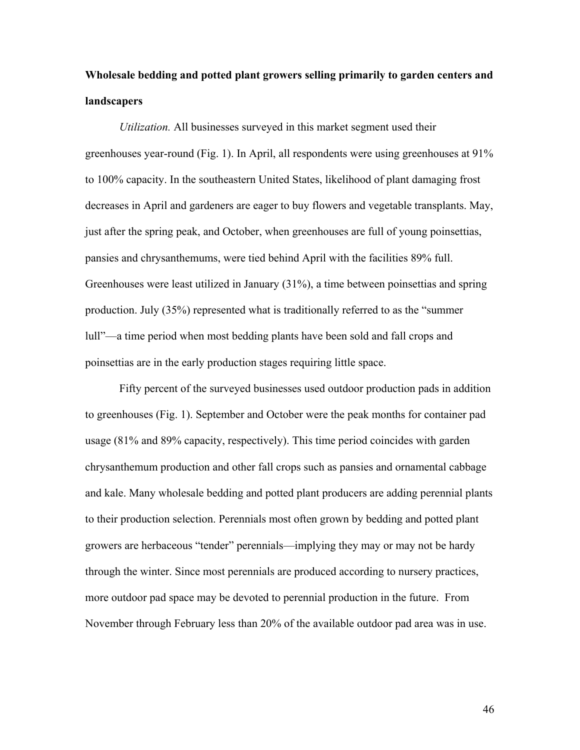## **Wholesale bedding and potted plant growers selling primarily to garden centers and landscapers**

*Utilization.* All businesses surveyed in this market segment used their greenhouses year-round (Fig. 1). In April, all respondents were using greenhouses at 91% to 100% capacity. In the southeastern United States, likelihood of plant damaging frost decreases in April and gardeners are eager to buy flowers and vegetable transplants. May, just after the spring peak, and October, when greenhouses are full of young poinsettias, pansies and chrysanthemums, were tied behind April with the facilities 89% full. Greenhouses were least utilized in January (31%), a time between poinsettias and spring production. July (35%) represented what is traditionally referred to as the "summer lull"—a time period when most bedding plants have been sold and fall crops and poinsettias are in the early production stages requiring little space.

 Fifty percent of the surveyed businesses used outdoor production pads in addition to greenhouses (Fig. 1). September and October were the peak months for container pad usage (81% and 89% capacity, respectively). This time period coincides with garden chrysanthemum production and other fall crops such as pansies and ornamental cabbage and kale. Many wholesale bedding and potted plant producers are adding perennial plants to their production selection. Perennials most often grown by bedding and potted plant growers are herbaceous "tender" perennials—implying they may or may not be hardy through the winter. Since most perennials are produced according to nursery practices, more outdoor pad space may be devoted to perennial production in the future. From November through February less than 20% of the available outdoor pad area was in use.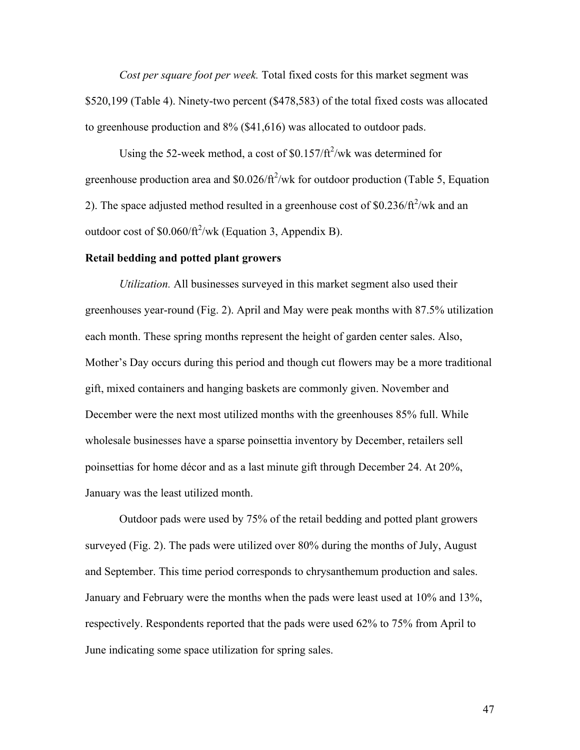*Cost per square foot per week.* Total fixed costs for this market segment was \$520,199 (Table 4). Ninety-two percent (\$478,583) of the total fixed costs was allocated to greenhouse production and 8% (\$41,616) was allocated to outdoor pads.

Using the 52-week method, a cost of  $$0.157/ft^2$ /wk was determined for greenhouse production area and  $$0.026/ft^2/wk$  for outdoor production (Table 5, Equation 2). The space adjusted method resulted in a greenhouse cost of  $$0.236/ft^2/wk$  and an outdoor cost of  $$0.060/ft^2/wk$  (Equation 3, Appendix B).

### **Retail bedding and potted plant growers**

*Utilization.* All businesses surveyed in this market segment also used their greenhouses year-round (Fig. 2). April and May were peak months with 87.5% utilization each month. These spring months represent the height of garden center sales. Also, Mother's Day occurs during this period and though cut flowers may be a more traditional gift, mixed containers and hanging baskets are commonly given. November and December were the next most utilized months with the greenhouses 85% full. While wholesale businesses have a sparse poinsettia inventory by December, retailers sell poinsettias for home décor and as a last minute gift through December 24. At 20%, January was the least utilized month.

Outdoor pads were used by 75% of the retail bedding and potted plant growers surveyed (Fig. 2). The pads were utilized over 80% during the months of July, August and September. This time period corresponds to chrysanthemum production and sales. January and February were the months when the pads were least used at 10% and 13%, respectively. Respondents reported that the pads were used 62% to 75% from April to June indicating some space utilization for spring sales.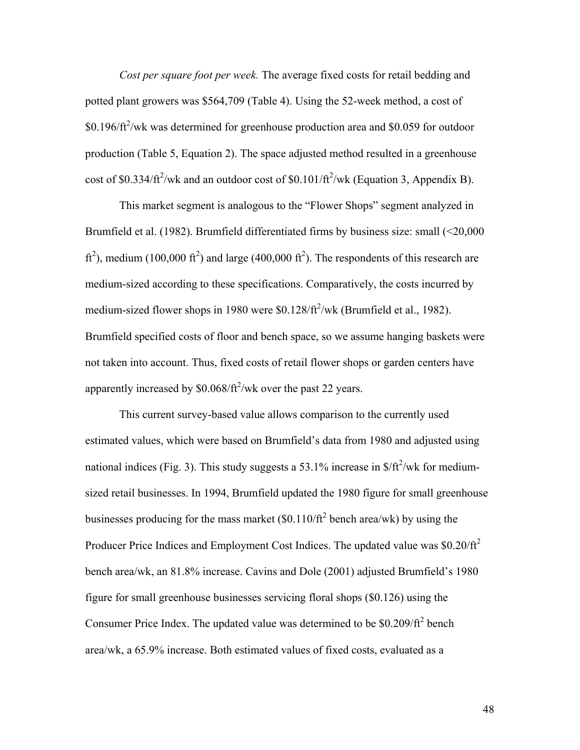*Cost per square foot per week.* The average fixed costs for retail bedding and potted plant growers was \$564,709 (Table 4). Using the 52-week method, a cost of  $$0.196/ft^2$ /wk was determined for greenhouse production area and \$0.059 for outdoor production (Table 5, Equation 2). The space adjusted method resulted in a greenhouse cost of \$0.334/ $\text{ft}^2/\text{wk}$  and an outdoor cost of \$0.101/ $\text{ft}^2/\text{wk}$  (Equation 3, Appendix B).

This market segment is analogous to the "Flower Shops" segment analyzed in Brumfield et al. (1982). Brumfield differentiated firms by business size: small (<20,000 ft<sup>2</sup>), medium (100,000 ft<sup>2</sup>) and large (400,000 ft<sup>2</sup>). The respondents of this research are medium-sized according to these specifications. Comparatively, the costs incurred by medium-sized flower shops in 1980 were  $$0.128/ft^2/wk$  (Brumfield et al., 1982). Brumfield specified costs of floor and bench space, so we assume hanging baskets were not taken into account. Thus, fixed costs of retail flower shops or garden centers have apparently increased by  $$0.068/\text{ft}^2/\text{wk}$  over the past 22 years.

This current survey-based value allows comparison to the currently used estimated values, which were based on Brumfield's data from 1980 and adjusted using national indices (Fig. 3). This study suggests a 53.1% increase in  $\frac{f}{f}$ /wk for mediumsized retail businesses. In 1994, Brumfield updated the 1980 figure for small greenhouse businesses producing for the mass market  $(\$0.110/ft^2$  bench area/wk) by using the Producer Price Indices and Employment Cost Indices. The updated value was \$0.20/ft<sup>2</sup> bench area/wk, an 81.8% increase. Cavins and Dole (2001) adjusted Brumfield's 1980 figure for small greenhouse businesses servicing floral shops (\$0.126) using the Consumer Price Index. The updated value was determined to be  $$0.209/ft^2$  bench area/wk, a 65.9% increase. Both estimated values of fixed costs, evaluated as a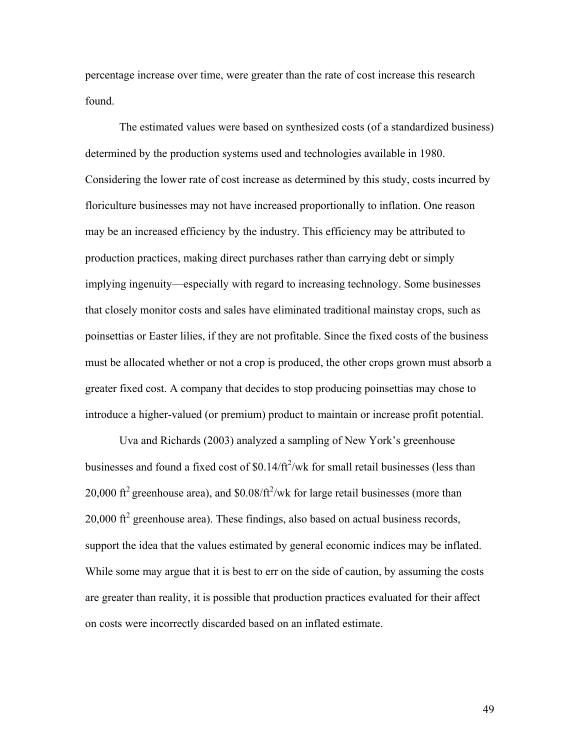percentage increase over time, were greater than the rate of cost increase this research found.

The estimated values were based on synthesized costs (of a standardized business) determined by the production systems used and technologies available in 1980. Considering the lower rate of cost increase as determined by this study, costs incurred by floriculture businesses may not have increased proportionally to inflation. One reason may be an increased efficiency by the industry. This efficiency may be attributed to production practices, making direct purchases rather than carrying debt or simply implying ingenuity—especially with regard to increasing technology. Some businesses that closely monitor costs and sales have eliminated traditional mainstay crops, such as poinsettias or Easter lilies, if they are not profitable. Since the fixed costs of the business must be allocated whether or not a crop is produced, the other crops grown must absorb a greater fixed cost. A company that decides to stop producing poinsettias may chose to introduce a higher-valued (or premium) product to maintain or increase profit potential.

Uva and Richards (2003) analyzed a sampling of New York's greenhouse businesses and found a fixed cost of  $$0.14/ft^2/wk$  for small retail businesses (less than 20,000 ft<sup>2</sup> greenhouse area), and \$0.08/ft<sup>2</sup>/wk for large retail businesses (more than  $20,000$  ft<sup>2</sup> greenhouse area). These findings, also based on actual business records, support the idea that the values estimated by general economic indices may be inflated. While some may argue that it is best to err on the side of caution, by assuming the costs are greater than reality, it is possible that production practices evaluated for their affect on costs were incorrectly discarded based on an inflated estimate.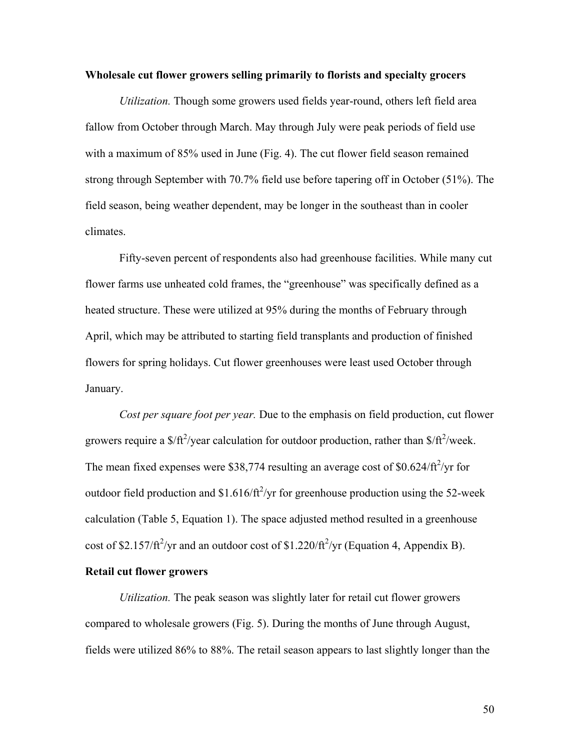#### **Wholesale cut flower growers selling primarily to florists and specialty grocers**

*Utilization.* Though some growers used fields year-round, others left field area fallow from October through March. May through July were peak periods of field use with a maximum of 85% used in June (Fig. 4). The cut flower field season remained strong through September with 70.7% field use before tapering off in October (51%). The field season, being weather dependent, may be longer in the southeast than in cooler climates.

Fifty-seven percent of respondents also had greenhouse facilities. While many cut flower farms use unheated cold frames, the "greenhouse" was specifically defined as a heated structure. These were utilized at 95% during the months of February through April, which may be attributed to starting field transplants and production of finished flowers for spring holidays. Cut flower greenhouses were least used October through January.

*Cost per square foot per year.* Due to the emphasis on field production, cut flower growers require a  $\frac{\frac{1}{2}}{r^2}$  year calculation for outdoor production, rather than  $\frac{\frac{1}{\sqrt{r^2}}}{\frac{1}{r^2}}$  week. The mean fixed expenses were \$38,774 resulting an average cost of  $$0.624/\text{ft}^2/\text{yr}$  for outdoor field production and \$1.616/ $\frac{\hat{\tau}}{2}$  for greenhouse production using the 52-week calculation (Table 5, Equation 1). The space adjusted method resulted in a greenhouse cost of \$2.157/ $\text{ft}^2/\text{yr}$  and an outdoor cost of \$1.220/ $\text{ft}^2/\text{yr}$  (Equation 4, Appendix B).

### **Retail cut flower growers**

*Utilization.* The peak season was slightly later for retail cut flower growers compared to wholesale growers (Fig. 5). During the months of June through August, fields were utilized 86% to 88%. The retail season appears to last slightly longer than the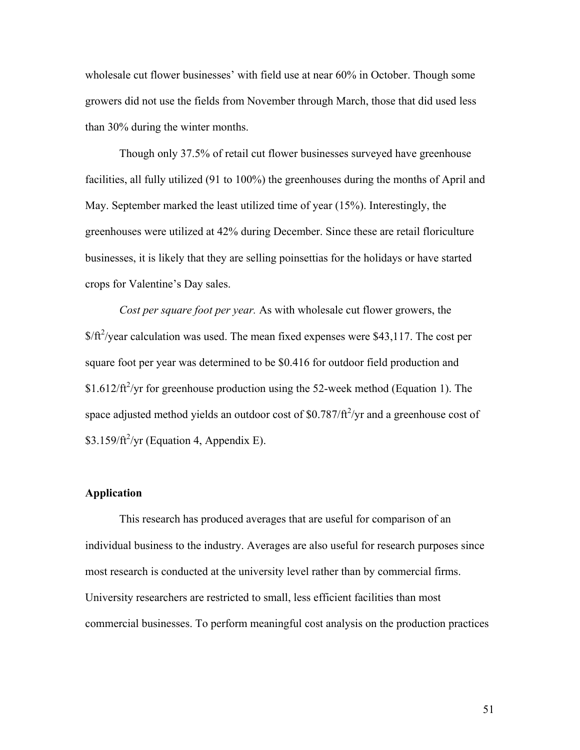wholesale cut flower businesses' with field use at near 60% in October. Though some growers did not use the fields from November through March, those that did used less than 30% during the winter months.

Though only 37.5% of retail cut flower businesses surveyed have greenhouse facilities, all fully utilized (91 to 100%) the greenhouses during the months of April and May. September marked the least utilized time of year (15%). Interestingly, the greenhouses were utilized at 42% during December. Since these are retail floriculture businesses, it is likely that they are selling poinsettias for the holidays or have started crops for Valentine's Day sales.

*Cost per square foot per year.* As with wholesale cut flower growers, the  $$/ft^2$ /year calculation was used. The mean fixed expenses were \$43,117. The cost per square foot per year was determined to be \$0.416 for outdoor field production and \$1.612/ft<sup>2</sup>/yr for greenhouse production using the 52-week method (Equation 1). The space adjusted method yields an outdoor cost of \$0.787/ $\frac{ft^2}{yr}$  and a greenhouse cost of  $$3.159/ft^2$ /yr (Equation 4, Appendix E).

#### **Application**

This research has produced averages that are useful for comparison of an individual business to the industry. Averages are also useful for research purposes since most research is conducted at the university level rather than by commercial firms. University researchers are restricted to small, less efficient facilities than most commercial businesses. To perform meaningful cost analysis on the production practices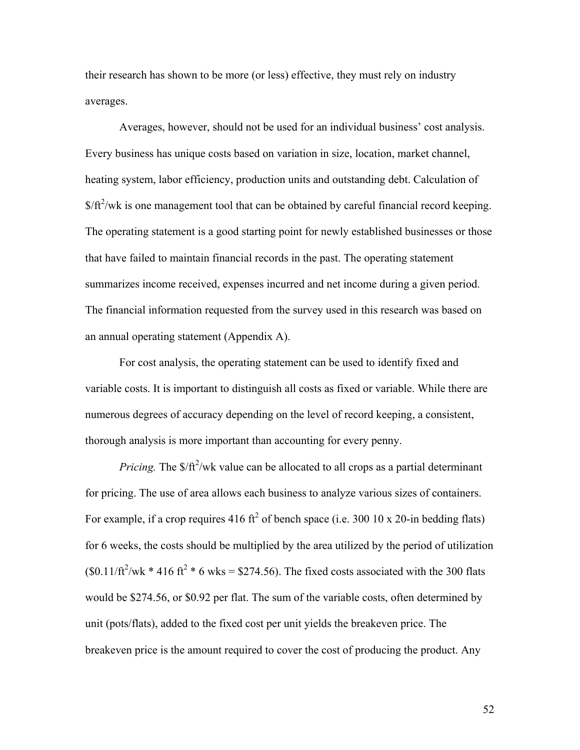their research has shown to be more (or less) effective, they must rely on industry averages.

Averages, however, should not be used for an individual business' cost analysis. Every business has unique costs based on variation in size, location, market channel, heating system, labor efficiency, production units and outstanding debt. Calculation of  $$/ft<sup>2</sup>/wk$  is one management tool that can be obtained by careful financial record keeping. The operating statement is a good starting point for newly established businesses or those that have failed to maintain financial records in the past. The operating statement summarizes income received, expenses incurred and net income during a given period. The financial information requested from the survey used in this research was based on an annual operating statement (Appendix A).

For cost analysis, the operating statement can be used to identify fixed and variable costs. It is important to distinguish all costs as fixed or variable. While there are numerous degrees of accuracy depending on the level of record keeping, a consistent, thorough analysis is more important than accounting for every penny.

*Pricing*. The \$/ft<sup>2</sup>/wk value can be allocated to all crops as a partial determinant for pricing. The use of area allows each business to analyze various sizes of containers. For example, if a crop requires 416 ft<sup>2</sup> of bench space (i.e. 300 10 x 20-in bedding flats) for 6 weeks, the costs should be multiplied by the area utilized by the period of utilization  $($0.11/ft^2/wk * 416 ft^2 * 6 wks = $274.56)$ . The fixed costs associated with the 300 flats would be \$274.56, or \$0.92 per flat. The sum of the variable costs, often determined by unit (pots/flats), added to the fixed cost per unit yields the breakeven price. The breakeven price is the amount required to cover the cost of producing the product. Any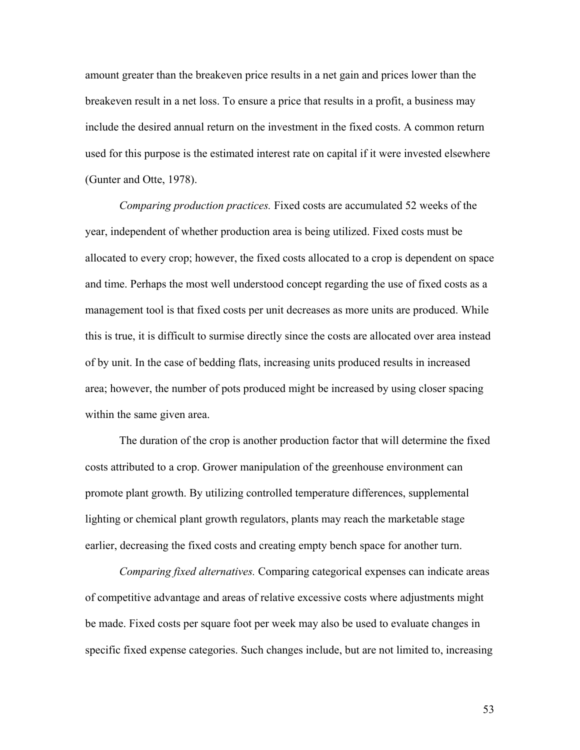amount greater than the breakeven price results in a net gain and prices lower than the breakeven result in a net loss. To ensure a price that results in a profit, a business may include the desired annual return on the investment in the fixed costs. A common return used for this purpose is the estimated interest rate on capital if it were invested elsewhere (Gunter and Otte, 1978).

*Comparing production practices.* Fixed costs are accumulated 52 weeks of the year, independent of whether production area is being utilized. Fixed costs must be allocated to every crop; however, the fixed costs allocated to a crop is dependent on space and time. Perhaps the most well understood concept regarding the use of fixed costs as a management tool is that fixed costs per unit decreases as more units are produced. While this is true, it is difficult to surmise directly since the costs are allocated over area instead of by unit. In the case of bedding flats, increasing units produced results in increased area; however, the number of pots produced might be increased by using closer spacing within the same given area.

The duration of the crop is another production factor that will determine the fixed costs attributed to a crop. Grower manipulation of the greenhouse environment can promote plant growth. By utilizing controlled temperature differences, supplemental lighting or chemical plant growth regulators, plants may reach the marketable stage earlier, decreasing the fixed costs and creating empty bench space for another turn.

*Comparing fixed alternatives.* Comparing categorical expenses can indicate areas of competitive advantage and areas of relative excessive costs where adjustments might be made. Fixed costs per square foot per week may also be used to evaluate changes in specific fixed expense categories. Such changes include, but are not limited to, increasing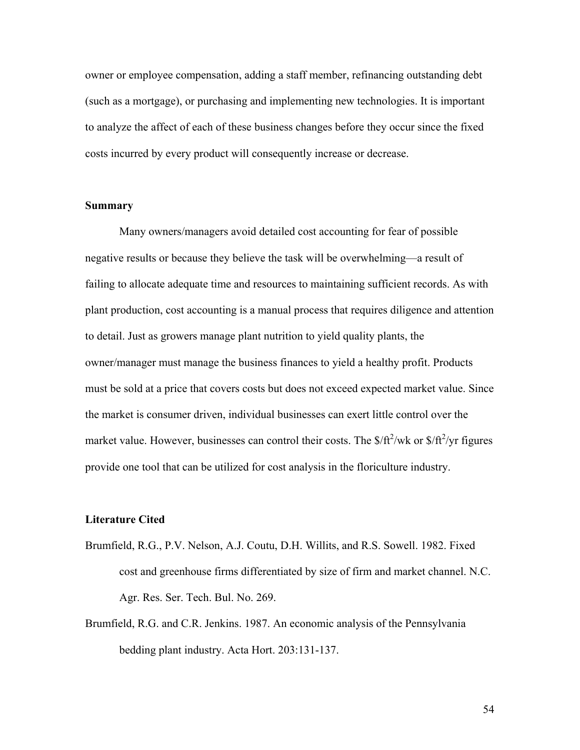owner or employee compensation, adding a staff member, refinancing outstanding debt (such as a mortgage), or purchasing and implementing new technologies. It is important to analyze the affect of each of these business changes before they occur since the fixed costs incurred by every product will consequently increase or decrease.

### **Summary**

Many owners/managers avoid detailed cost accounting for fear of possible negative results or because they believe the task will be overwhelming—a result of failing to allocate adequate time and resources to maintaining sufficient records. As with plant production, cost accounting is a manual process that requires diligence and attention to detail. Just as growers manage plant nutrition to yield quality plants, the owner/manager must manage the business finances to yield a healthy profit. Products must be sold at a price that covers costs but does not exceed expected market value. Since the market is consumer driven, individual businesses can exert little control over the market value. However, businesses can control their costs. The  $\frac{fft^2}{wk}$  or  $\frac{fft^2}{yr}$  figures provide one tool that can be utilized for cost analysis in the floriculture industry.

### **Literature Cited**

- Brumfield, R.G., P.V. Nelson, A.J. Coutu, D.H. Willits, and R.S. Sowell. 1982. Fixed cost and greenhouse firms differentiated by size of firm and market channel. N.C. Agr. Res. Ser. Tech. Bul. No. 269.
- Brumfield, R.G. and C.R. Jenkins. 1987. An economic analysis of the Pennsylvania bedding plant industry. Acta Hort. 203:131-137.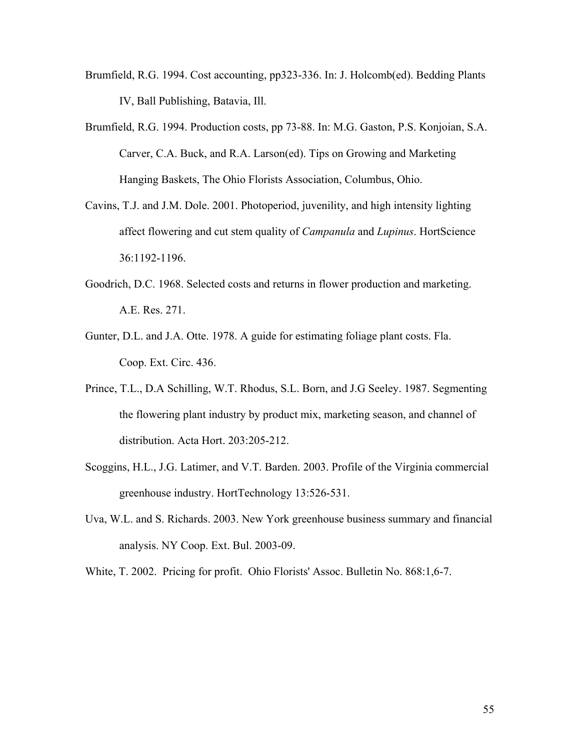- Brumfield, R.G. 1994. Cost accounting, pp323-336. In: J. Holcomb(ed). Bedding Plants IV, Ball Publishing, Batavia, Ill.
- Brumfield, R.G. 1994. Production costs, pp 73-88. In: M.G. Gaston, P.S. Konjoian, S.A. Carver, C.A. Buck, and R.A. Larson(ed). Tips on Growing and Marketing Hanging Baskets, The Ohio Florists Association, Columbus, Ohio.
- Cavins, T.J. and J.M. Dole. 2001. Photoperiod, juvenility, and high intensity lighting affect flowering and cut stem quality of *Campanula* and *Lupinus*. HortScience 36:1192-1196.
- Goodrich, D.C. 1968. Selected costs and returns in flower production and marketing. A.E. Res. 271.
- Gunter, D.L. and J.A. Otte. 1978. A guide for estimating foliage plant costs. Fla. Coop. Ext. Circ. 436.
- Prince, T.L., D.A Schilling, W.T. Rhodus, S.L. Born, and J.G Seeley. 1987. Segmenting the flowering plant industry by product mix, marketing season, and channel of distribution. Acta Hort. 203:205-212.
- Scoggins, H.L., J.G. Latimer, and V.T. Barden. 2003. Profile of the Virginia commercial greenhouse industry. HortTechnology 13:526-531.
- Uva, W.L. and S. Richards. 2003. New York greenhouse business summary and financial analysis. NY Coop. Ext. Bul. 2003-09.
- White, T. 2002. Pricing for profit. Ohio Florists' Assoc. Bulletin No. 868:1,6-7.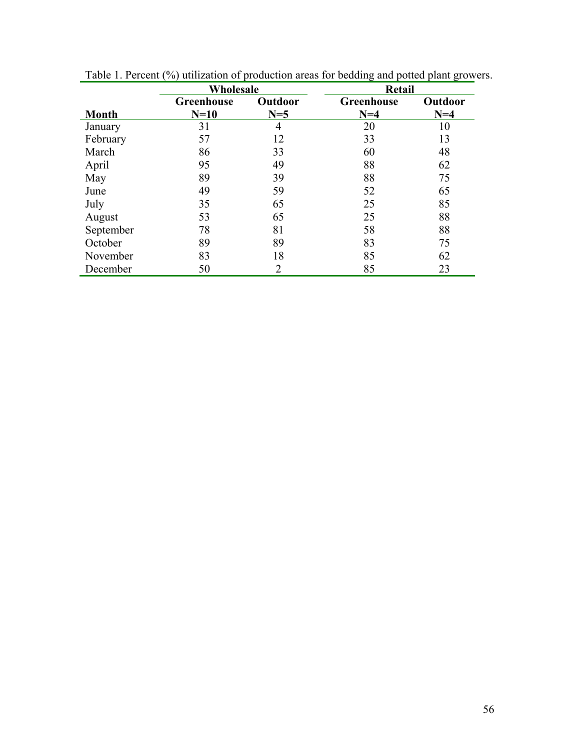|              | Wholesale         |         | Retail     |         |
|--------------|-------------------|---------|------------|---------|
|              | <b>Greenhouse</b> | Outdoor | Greenhouse | Outdoor |
| <b>Month</b> | $N=10$            | $N=5$   | $N=4$      | $N=4$   |
| January      | 31                | 4       | 20         | 10      |
| February     | 57                | 12      | 33         | 13      |
| March        | 86                | 33      | 60         | 48      |
| April        | 95                | 49      | 88         | 62      |
| May          | 89                | 39      | 88         | 75      |
| June         | 49                | 59      | 52         | 65      |
| July         | 35                | 65      | 25         | 85      |
| August       | 53                | 65      | 25         | 88      |
| September    | 78                | 81      | 58         | 88      |
| October      | 89                | 89      | 83         | 75      |
| November     | 83                | 18      | 85         | 62      |
| December     | 50                | 2       | 85         | 23      |

Table 1. Percent (%) utilization of production areas for bedding and potted plant growers.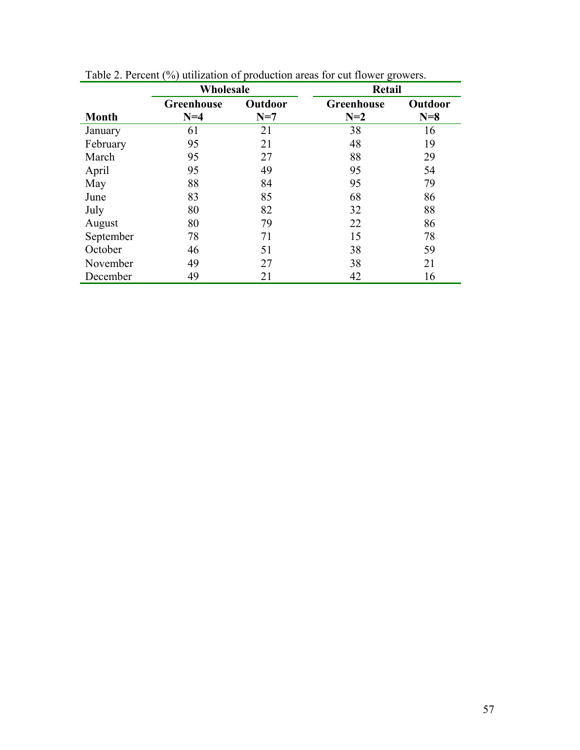|              | Wholesale  |         | Retail     |         |  |
|--------------|------------|---------|------------|---------|--|
|              | Greenhouse | Outdoor | Greenhouse | Outdoor |  |
| <b>Month</b> | $N=4$      | $N=7$   | $N=2$      | $N=8$   |  |
| January      | 61         | 21      | 38         | 16      |  |
| February     | 95         | 21      | 48         | 19      |  |
| March        | 95         | 27      | 88         | 29      |  |
| April        | 95         | 49      | 95         | 54      |  |
| May          | 88         | 84      | 95         | 79      |  |
| June         | 83         | 85      | 68         | 86      |  |
| July         | 80         | 82      | 32         | 88      |  |
| August       | 80         | 79      | 22         | 86      |  |
| September    | 78         | 71      | 15         | 78      |  |
| October      | 46         | 51      | 38         | 59      |  |
| November     | 49         | 27      | 38         | 21      |  |
| December     | 49         | 21      | 42         | 16      |  |

Table 2. Percent (%) utilization of production areas for cut flower growers.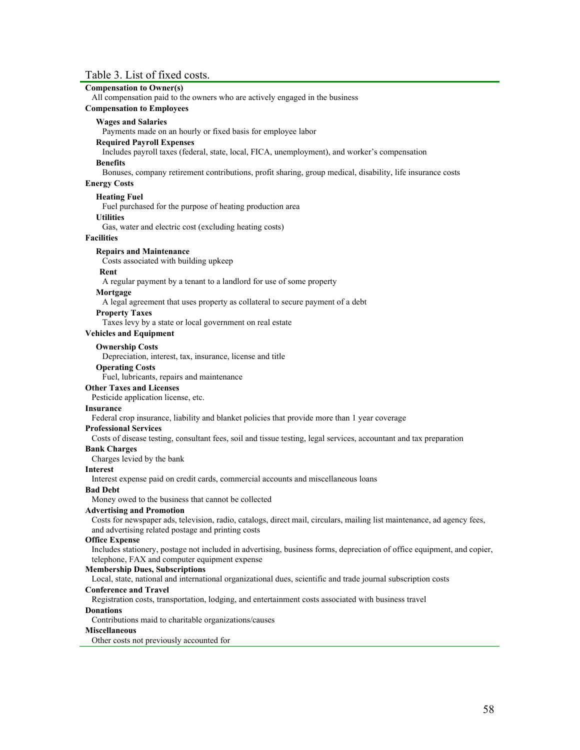## Table 3. List of fixed costs.

| Table 5. List of fixed costs.                                                                                           |
|-------------------------------------------------------------------------------------------------------------------------|
| <b>Compensation to Owner(s)</b><br>All compensation paid to the owners who are actively engaged in the business         |
| <b>Compensation to Employees</b>                                                                                        |
| <b>Wages and Salaries</b>                                                                                               |
| Payments made on an hourly or fixed basis for employee labor                                                            |
| <b>Required Payroll Expenses</b>                                                                                        |
| Includes payroll taxes (federal, state, local, FICA, unemployment), and worker's compensation                           |
| <b>Benefits</b>                                                                                                         |
| Bonuses, company retirement contributions, profit sharing, group medical, disability, life insurance costs              |
| <b>Energy Costs</b>                                                                                                     |
| <b>Heating Fuel</b>                                                                                                     |
| Fuel purchased for the purpose of heating production area                                                               |
| <b>Utilities</b>                                                                                                        |
| Gas, water and electric cost (excluding heating costs)                                                                  |
| <b>Facilities</b>                                                                                                       |
| <b>Repairs and Maintenance</b>                                                                                          |
| Costs associated with building upkeep                                                                                   |
| Rent                                                                                                                    |
| A regular payment by a tenant to a landlord for use of some property                                                    |
| Mortgage                                                                                                                |
| A legal agreement that uses property as collateral to secure payment of a debt                                          |
| <b>Property Taxes</b>                                                                                                   |
| Taxes levy by a state or local government on real estate                                                                |
| <b>Vehicles and Equipment</b>                                                                                           |
| <b>Ownership Costs</b>                                                                                                  |
| Depreciation, interest, tax, insurance, license and title                                                               |
| <b>Operating Costs</b>                                                                                                  |
| Fuel, lubricants, repairs and maintenance                                                                               |
| <b>Other Taxes and Licenses</b>                                                                                         |
| Pesticide application license, etc.                                                                                     |
| <b>Insurance</b>                                                                                                        |
| Federal crop insurance, liability and blanket policies that provide more than 1 year coverage                           |
| <b>Professional Services</b>                                                                                            |
| Costs of disease testing, consultant fees, soil and tissue testing, legal services, accountant and tax preparation      |
| <b>Bank Charges</b><br>Charges levied by the bank                                                                       |
| <b>Interest</b>                                                                                                         |
| Interest expense paid on credit cards, commercial accounts and miscellaneous loans                                      |
| <b>Bad Debt</b>                                                                                                         |
| Money owed to the business that cannot be collected                                                                     |
| <b>Advertising and Promotion</b>                                                                                        |
| Costs for newspaper ads, television, radio, catalogs, direct mail, circulars, mailing list maintenance, ad agency fees, |
| and advertising related postage and printing costs                                                                      |
| <b>Office Expense</b>                                                                                                   |
| Includes stationery, postage not included in advertising, business forms, depreciation of office equipment, and copier, |
| telephone, FAX and computer equipment expense                                                                           |

#### **Membership Dues, Subscriptions**

Local, state, national and international organizational dues, scientific and trade journal subscription costs

#### **Conference and Travel**

Registration costs, transportation, lodging, and entertainment costs associated with business travel

#### **Donations**

Contributions maid to charitable organizations/causes

#### **Miscellaneous**

Other costs not previously accounted for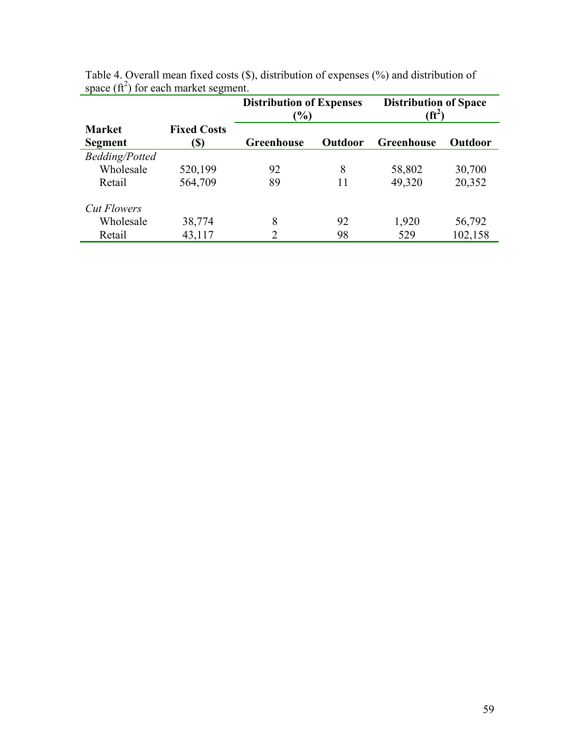|                          |                            | <b>Distribution of Expenses</b><br>$\frac{9}{6}$ |                | <b>Distribution of Space</b><br>(ft <sup>2</sup> |                |
|--------------------------|----------------------------|--------------------------------------------------|----------------|--------------------------------------------------|----------------|
| <b>Market</b><br>Segment | <b>Fixed Costs</b><br>(\$) | <b>Greenhouse</b>                                | <b>Outdoor</b> | Greenhouse                                       | <b>Outdoor</b> |
| <b>Bedding/Potted</b>    |                            |                                                  |                |                                                  |                |
| Wholesale                | 520,199                    | 92                                               | 8              | 58,802                                           | 30,700         |
| Retail                   | 564,709                    | 89                                               | 11             | 49,320                                           | 20,352         |
| <b>Cut Flowers</b>       |                            |                                                  |                |                                                  |                |
| Wholesale                | 38,774                     | 8                                                | 92             | 1,920                                            | 56,792         |
| Retail                   | 43,117                     | 2                                                | 98             | 529                                              | 102,158        |

| Table 4. Overall mean fixed costs $(\hat{\mathbb{S}})$ , distribution of expenses $(\% )$ and distribution of |  |  |  |  |
|---------------------------------------------------------------------------------------------------------------|--|--|--|--|
| space $(ft^2)$ for each market segment.                                                                       |  |  |  |  |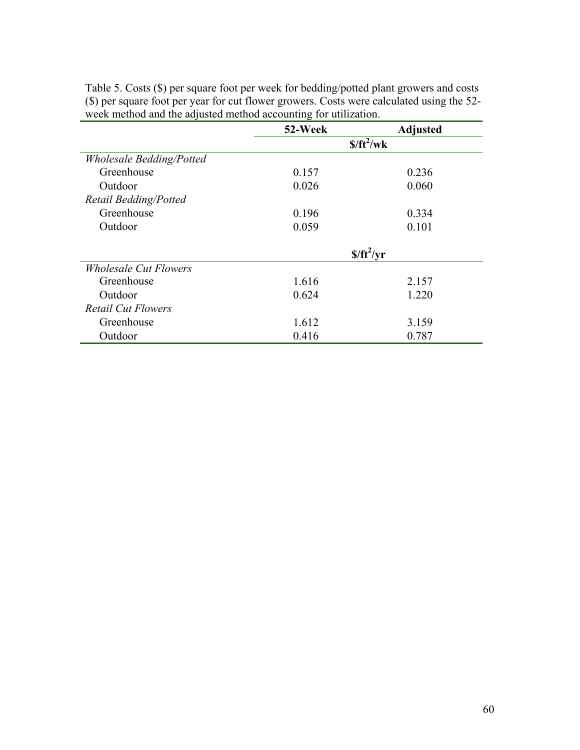|                                     | 52-Week     | <b>Adjusted</b> |  |
|-------------------------------------|-------------|-----------------|--|
|                                     | $$/ft^2/wk$ |                 |  |
| <b>Wholesale Bedding/Potted</b>     |             |                 |  |
| Greenhouse                          | 0.157       | 0.236           |  |
| Outdoor                             | 0.026       | 0.060           |  |
| Retail Bedding/Potted               |             |                 |  |
| Greenhouse                          | 0.196       | 0.334           |  |
| Outdoor                             | 0.059       | 0.101           |  |
|                                     |             |                 |  |
|                                     |             | $$/ft^2/yr$     |  |
| <i><b>Wholesale Cut Flowers</b></i> |             |                 |  |
| Greenhouse                          | 1.616       | 2.157           |  |
| Outdoor                             | 0.624       | 1.220           |  |
| <b>Retail Cut Flowers</b>           |             |                 |  |
| Greenhouse                          | 1.612       | 3.159           |  |
| Outdoor                             | 0.416       | 0.787           |  |

Table 5. Costs (\$) per square foot per week for bedding/potted plant growers and costs (\$) per square foot per year for cut flower growers. Costs were calculated using the 52 week method and the adjusted method accounting for utilization.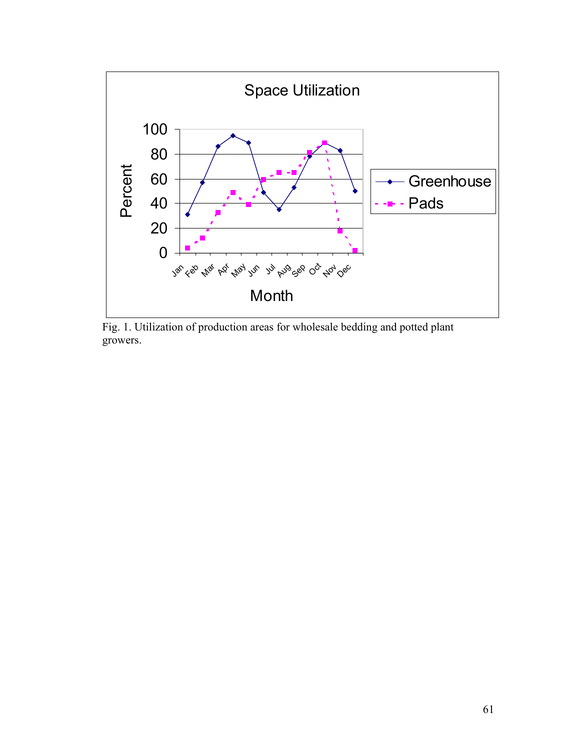

Fig. 1. Utilization of production areas for wholesale bedding and potted plant growers.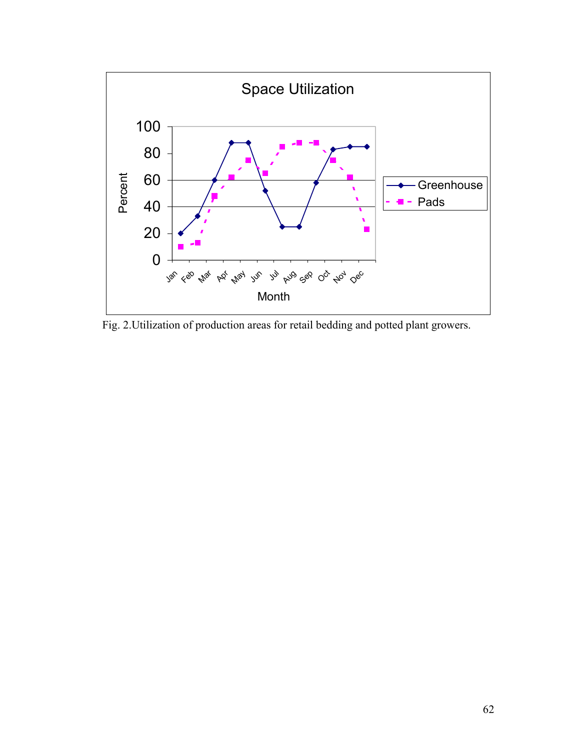

Fig. 2.Utilization of production areas for retail bedding and potted plant growers.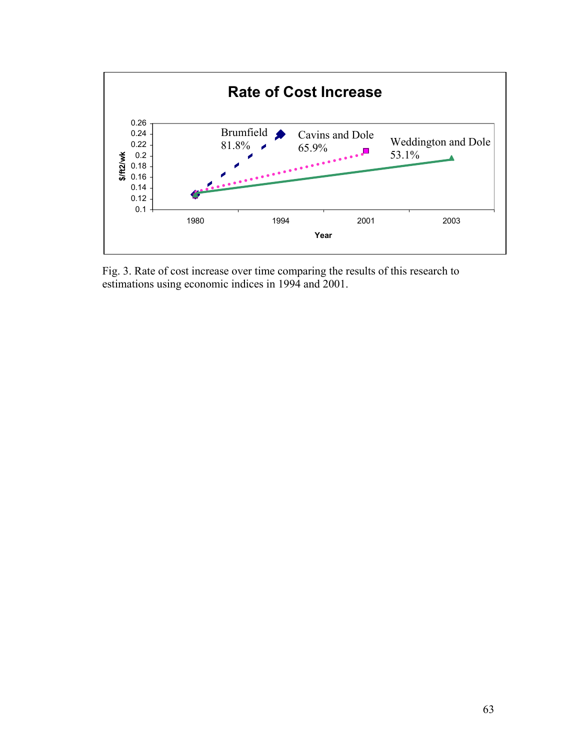

Fig. 3. Rate of cost increase over time comparing the results of this research to estimations using economic indices in 1994 and 2001.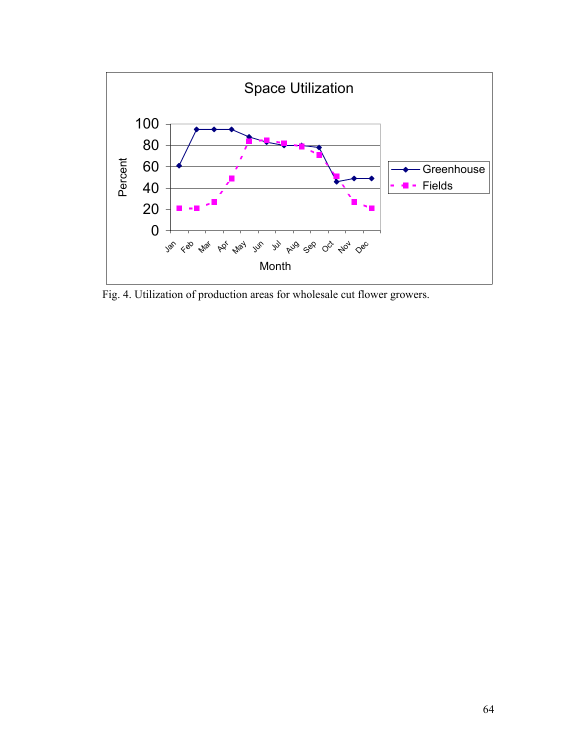

Fig. 4. Utilization of production areas for wholesale cut flower growers.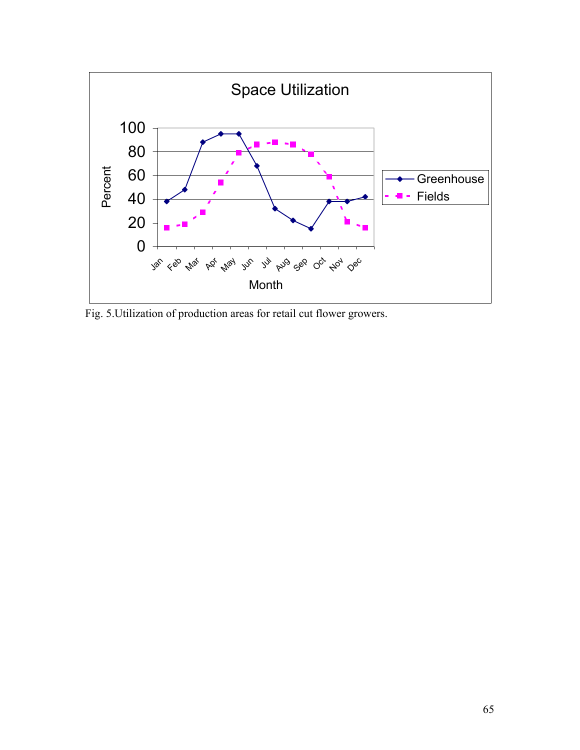

Fig. 5.Utilization of production areas for retail cut flower growers.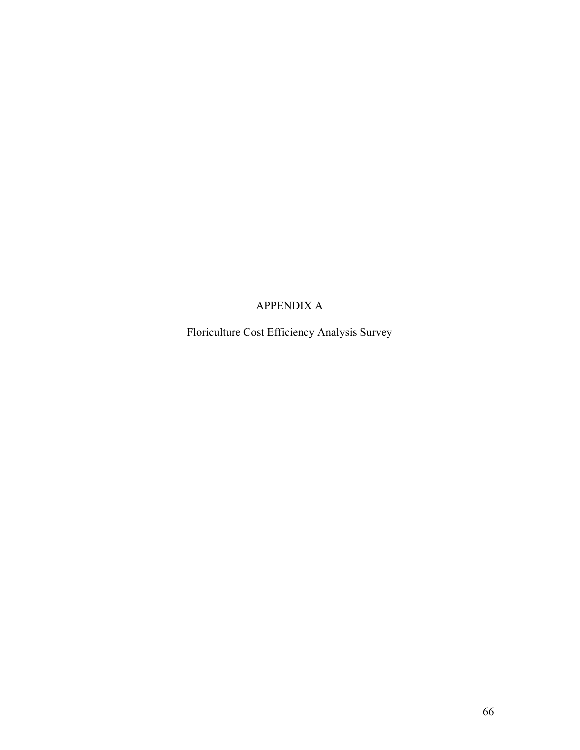### APPENDIX A

Floriculture Cost Efficiency Analysis Survey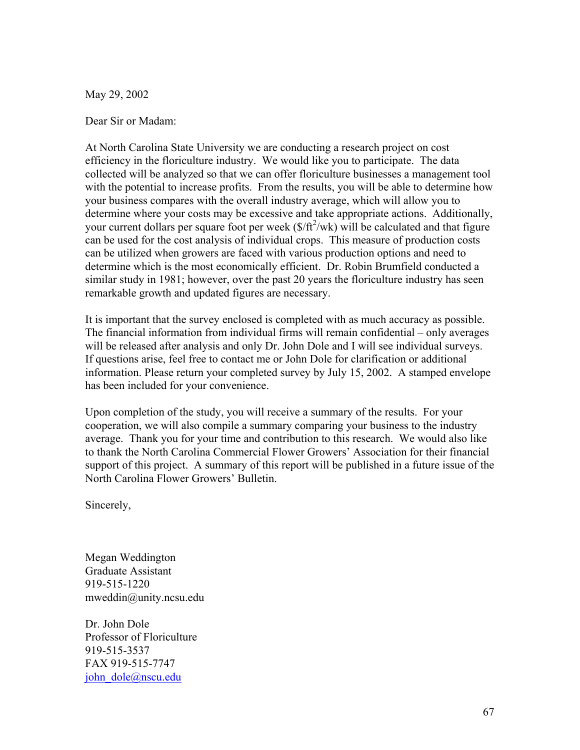May 29, 2002

Dear Sir or Madam:

At North Carolina State University we are conducting a research project on cost efficiency in the floriculture industry. We would like you to participate. The data collected will be analyzed so that we can offer floriculture businesses a management tool with the potential to increase profits. From the results, you will be able to determine how your business compares with the overall industry average, which will allow you to determine where your costs may be excessive and take appropriate actions. Additionally, your current dollars per square foot per week  $(\frac{f}{f} \hat{t}^2/wk)$  will be calculated and that figure can be used for the cost analysis of individual crops. This measure of production costs can be utilized when growers are faced with various production options and need to determine which is the most economically efficient. Dr. Robin Brumfield conducted a similar study in 1981; however, over the past 20 years the floriculture industry has seen remarkable growth and updated figures are necessary.

It is important that the survey enclosed is completed with as much accuracy as possible. The financial information from individual firms will remain confidential – only averages will be released after analysis and only Dr. John Dole and I will see individual surveys. If questions arise, feel free to contact me or John Dole for clarification or additional information. Please return your completed survey by July 15, 2002. A stamped envelope has been included for your convenience.

Upon completion of the study, you will receive a summary of the results. For your cooperation, we will also compile a summary comparing your business to the industry average. Thank you for your time and contribution to this research. We would also like to thank the North Carolina Commercial Flower Growers' Association for their financial support of this project. A summary of this report will be published in a future issue of the North Carolina Flower Growers' Bulletin.

Sincerely,

Megan Weddington Graduate Assistant 919-515-1220 mweddin@unity.ncsu.edu

Dr. John Dole Professor of Floriculture 919-515-3537 FAX 919-515-7747 john\_dole@nscu.edu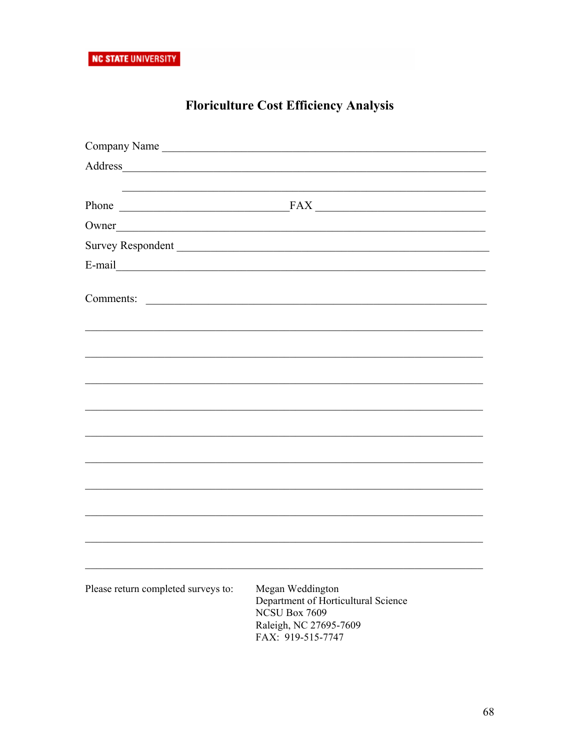# **Floriculture Cost Efficiency Analysis**

| Company Name                                                                                                                      |                                                               |
|-----------------------------------------------------------------------------------------------------------------------------------|---------------------------------------------------------------|
| Address<br><u> 1989 - Johann Stoff, deutscher Stoffen und der Stoffen und der Stoffen und der Stoffen und der Stoffen und der</u> |                                                               |
|                                                                                                                                   |                                                               |
|                                                                                                                                   | Phone FAX FAX                                                 |
| Owner                                                                                                                             |                                                               |
| Survey Respondent                                                                                                                 |                                                               |
|                                                                                                                                   |                                                               |
| Comments:                                                                                                                         | <u> 1989 - Andrea Stadt Britain, fransk politik (d. 1989)</u> |
|                                                                                                                                   |                                                               |
|                                                                                                                                   |                                                               |
|                                                                                                                                   |                                                               |
|                                                                                                                                   |                                                               |
|                                                                                                                                   |                                                               |
|                                                                                                                                   |                                                               |
|                                                                                                                                   |                                                               |
|                                                                                                                                   |                                                               |
|                                                                                                                                   |                                                               |
|                                                                                                                                   |                                                               |
|                                                                                                                                   |                                                               |
|                                                                                                                                   |                                                               |
| Please return completed surveys to:                                                                                               | Megan Weddington                                              |
|                                                                                                                                   | Department of Horticultural Science                           |
|                                                                                                                                   | NCSU Box 7609<br>Raleigh, NC 27695-7609                       |
|                                                                                                                                   | FAX: 919-515-7747                                             |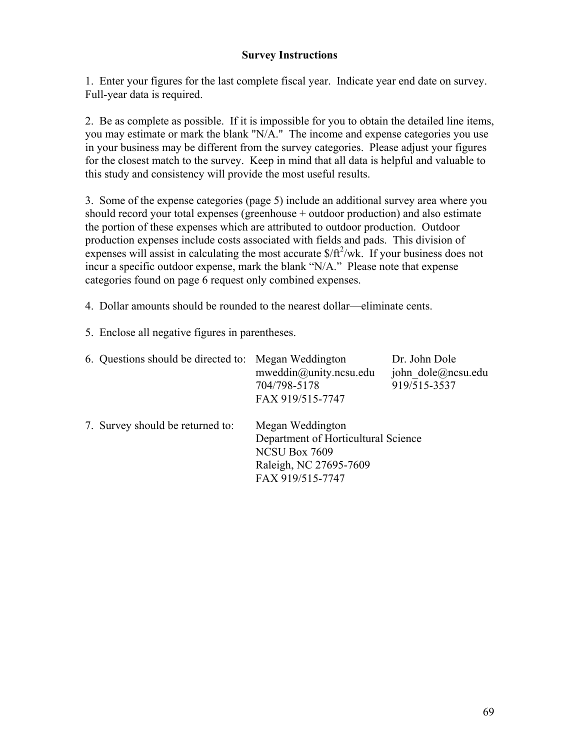#### **Survey Instructions**

1. Enter your figures for the last complete fiscal year. Indicate year end date on survey. Full-year data is required.

2. Be as complete as possible. If it is impossible for you to obtain the detailed line items, you may estimate or mark the blank "N/A." The income and expense categories you use in your business may be different from the survey categories. Please adjust your figures for the closest match to the survey. Keep in mind that all data is helpful and valuable to this study and consistency will provide the most useful results.

3. Some of the expense categories (page 5) include an additional survey area where you should record your total expenses (greenhouse + outdoor production) and also estimate the portion of these expenses which are attributed to outdoor production. Outdoor production expenses include costs associated with fields and pads. This division of expenses will assist in calculating the most accurate  $\frac{f(t^2)}{w}$ . If your business does not incur a specific outdoor expense, mark the blank "N/A." Please note that expense categories found on page 6 request only combined expenses.

4. Dollar amounts should be rounded to the nearest dollar—eliminate cents.

5. Enclose all negative figures in parentheses.

| 6. Questions should be directed to: Megan Weddington | $m$ weddin $@$ unity.ncsu.edu<br>704/798-5178<br>FAX 919/515-7747                                                      | Dr. John Dole<br>john dole@ncsu.edu<br>919/515-3537 |
|------------------------------------------------------|------------------------------------------------------------------------------------------------------------------------|-----------------------------------------------------|
| 7. Survey should be returned to:                     | Megan Weddington<br>Department of Horticultural Science<br>NCSU Box 7609<br>Raleigh, NC 27695-7609<br>FAX 919/515-7747 |                                                     |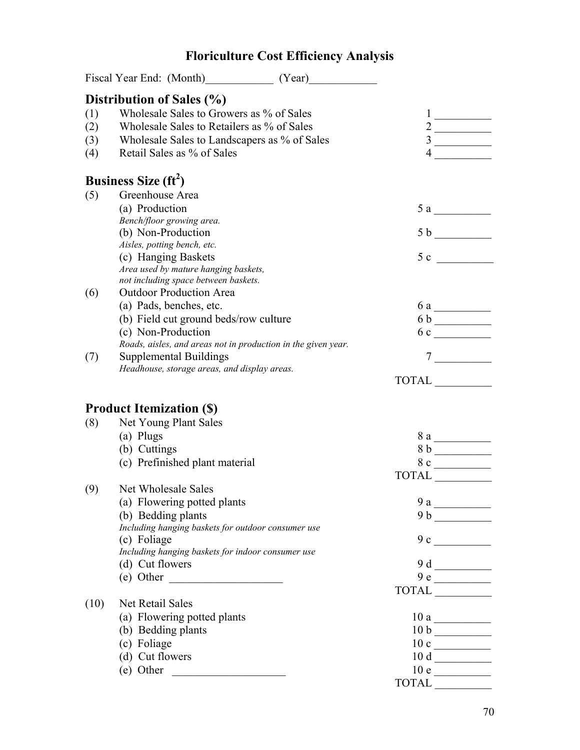#### Fiscal Year End: (Month) (Year) **Distribution of Sales (%)**  (1) Wholesale Sales to Growers as % of Sales 1 \_\_\_\_\_\_\_\_\_\_ (2) Wholesale Sales to Retailers as  $\%$  of Sales (3) Wholesale Sales to Landscapers as % of Sales 3 (4) Retail Sales as % of Sales  $4 \_$ **Business Size (ft<sup>2</sup> )** (5) Greenhouse Area (a) Production  $5a$ *Bench/floor growing area.* (b) Non-Production  $5 b$ *Aisles, potting bench, etc.*  (c) Hanging Baskets  $5 c$ *Area used by mature hanging baskets, not including space between baskets.*  (6) Outdoor Production Area (a) Pads, benches, etc.  $\begin{array}{c} 6a \end{array}$ (b) Field cut ground beds/row culture  $6 b$   $\qquad \qquad$ (c) Non-Production 6 c \_\_\_\_\_\_\_\_\_\_ *Roads, aisles, and areas not in production in the given year.*  (7) Supplemental Buildings 7 \_\_\_\_\_\_\_\_\_\_ *Headhouse, storage areas, and display areas.*  TOTAL \_\_\_\_\_\_\_\_\_\_ **Product Itemization (\$)**  (8) Net Young Plant Sales (a) Plugs  $8a$ (b) Cuttings  $8 b$ (c) Prefinished plant material  $8 \text{ c}$  TOTAL \_\_\_\_\_\_\_\_\_\_ (9) Net Wholesale Sales (a) Flowering potted plants 9 a \_\_\_\_\_\_\_\_\_\_ (b) Bedding plants  $9 b$ *Including hanging baskets for outdoor consumer use*  (c) Foliage  $9c$  and  $9c$  and  $9c$  and  $9c$  and  $9c$  and  $9c$  and  $9c$  and  $9c$  and  $9c$  and  $9c$  and  $9c$  and  $9c$  and  $9c$  and  $9c$  and  $9c$  and  $9c$  and  $9c$  and  $9c$  and  $9c$  and  $9c$  and  $9c$  and  $9c$  and  $9c$  and  $9$ *Including hanging baskets for indoor consumer use*  (d) Cut flowers 9 d<br>
(e) Other 9 d<br>  $\frac{9d}{5}$ (e) Other  $\qquad \qquad$  TOTAL \_\_\_\_\_\_\_\_\_\_ (10) Net Retail Sales (a) Flowering potted plants 10 a \_\_\_\_\_\_\_\_\_\_ (b) Bedding plants  $\frac{10 \text{ b}}{10}$ (c) Foliage  $10 \text{ c }$ (d) Cut flowers  $10 d \_\_$ (e) Other  $\qquad \qquad$  10 e TOTAL \_\_\_\_\_\_\_\_\_\_

### **Floriculture Cost Efficiency Analysis**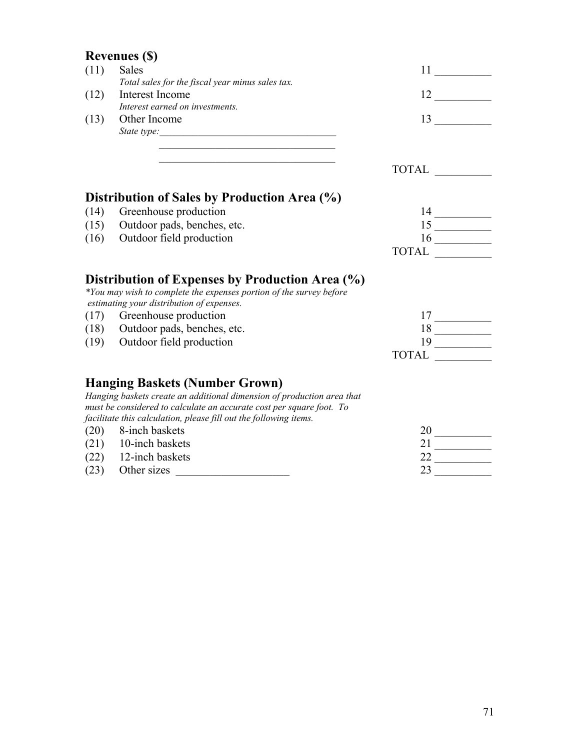## **Revenues (\$)**

|      | $\mathbf{R}$ , $\mathbf{R}$ , $\mathbf{R}$                                                                             |                                                                                                                                                                                                                                                                                                                                                                                                   |
|------|------------------------------------------------------------------------------------------------------------------------|---------------------------------------------------------------------------------------------------------------------------------------------------------------------------------------------------------------------------------------------------------------------------------------------------------------------------------------------------------------------------------------------------|
| (11) | <b>Sales</b>                                                                                                           |                                                                                                                                                                                                                                                                                                                                                                                                   |
|      | Total sales for the fiscal year minus sales tax.                                                                       |                                                                                                                                                                                                                                                                                                                                                                                                   |
| (12) | Interest Income                                                                                                        |                                                                                                                                                                                                                                                                                                                                                                                                   |
|      | Interest earned on investments.                                                                                        |                                                                                                                                                                                                                                                                                                                                                                                                   |
| (13) | Other Income                                                                                                           | 13                                                                                                                                                                                                                                                                                                                                                                                                |
|      |                                                                                                                        |                                                                                                                                                                                                                                                                                                                                                                                                   |
|      | <u> 1989 - Johann Barbara, martin amerikan basar dan bagian dalam basar dalam basar dalam basar dalam basar dalam </u> | TOTAL                                                                                                                                                                                                                                                                                                                                                                                             |
|      | Distribution of Sales by Production Area (%)                                                                           |                                                                                                                                                                                                                                                                                                                                                                                                   |
| (14) | Greenhouse production                                                                                                  | $14 \overline{\phantom{125\phantom{124\phantom{124\phantom{124\phantom{124\phantom{124\phantom{124\phantom{124\phantom{124\phantom{124\phantom{124\phantom{124\phantom{124\phantom{124\phantom{124\phantom{124\phantom{124\phantom{124\phantom{124\phantom{124\phantom{124\phantom{124\phantom{124\phantom{124\phantom{124\phantom{124\phantom{124\phantom{124\phantom{124\phantom{124\phantom{1$ |
|      | (15) Outdoor pads, benches, etc.                                                                                       | $\frac{15}{16}$                                                                                                                                                                                                                                                                                                                                                                                   |
|      | (16) Outdoor field production                                                                                          |                                                                                                                                                                                                                                                                                                                                                                                                   |
|      |                                                                                                                        | TOTAL                                                                                                                                                                                                                                                                                                                                                                                             |
|      | Distribution of Expenses by Production Area (%)<br>*You may wish to complete the expenses portion of the survey before |                                                                                                                                                                                                                                                                                                                                                                                                   |
|      | estimating your distribution of expenses.                                                                              |                                                                                                                                                                                                                                                                                                                                                                                                   |
|      | (17) Greenhouse production                                                                                             | $17 \underline{\hspace{1cm}}$                                                                                                                                                                                                                                                                                                                                                                     |
|      | (18) Outdoor pads, benches, etc.                                                                                       |                                                                                                                                                                                                                                                                                                                                                                                                   |
|      | (19) Outdoor field production                                                                                          |                                                                                                                                                                                                                                                                                                                                                                                                   |
|      |                                                                                                                        |                                                                                                                                                                                                                                                                                                                                                                                                   |
|      | <b>Hanging Baskets (Number Grown)</b>                                                                                  |                                                                                                                                                                                                                                                                                                                                                                                                   |
|      | Hanging baskets create an additional dimension of production area that                                                 |                                                                                                                                                                                                                                                                                                                                                                                                   |
|      | must be considered to calculate an accurate cost per square foot. To                                                   |                                                                                                                                                                                                                                                                                                                                                                                                   |
|      | facilitate this calculation, please fill out the following items.                                                      |                                                                                                                                                                                                                                                                                                                                                                                                   |
|      | (20) 8-inch baskets                                                                                                    | 20                                                                                                                                                                                                                                                                                                                                                                                                |
|      | $(21)$ 10-inch baskets                                                                                                 | 21                                                                                                                                                                                                                                                                                                                                                                                                |
| (22) | 12-inch baskets                                                                                                        | 22                                                                                                                                                                                                                                                                                                                                                                                                |

 $(23)$  Other sizes  $\qquad \qquad \qquad$  23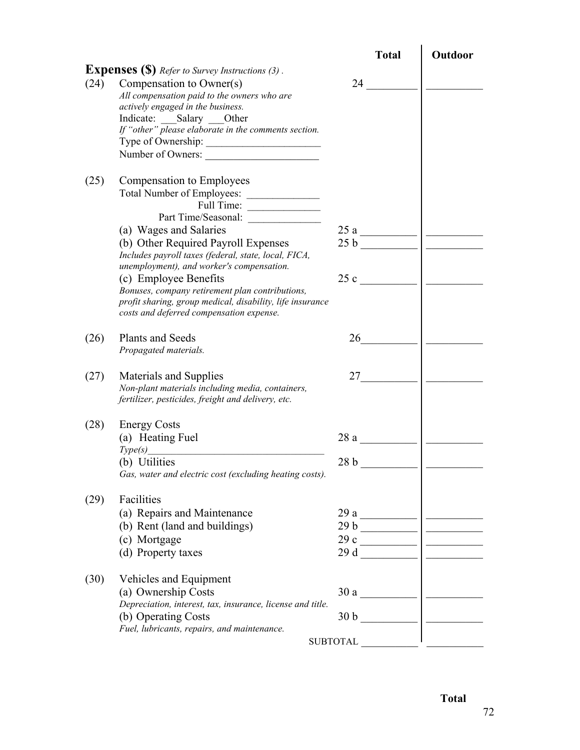|      |                                                                                                       | <b>Total</b>   | Outdoor |
|------|-------------------------------------------------------------------------------------------------------|----------------|---------|
|      | <b>Expenses (\$)</b> Refer to Survey Instructions (3).                                                |                |         |
| (24) | Compensation to Owner(s)                                                                              | 24             |         |
|      | All compensation paid to the owners who are                                                           |                |         |
|      | actively engaged in the business.                                                                     |                |         |
|      | Indicate: Salary Other                                                                                |                |         |
|      | If "other" please elaborate in the comments section.                                                  |                |         |
|      |                                                                                                       |                |         |
|      | Number of Owners:                                                                                     |                |         |
| (25) | Compensation to Employees                                                                             |                |         |
|      |                                                                                                       |                |         |
|      | Full Time:                                                                                            |                |         |
|      |                                                                                                       |                |         |
|      | (a) Wages and Salaries                                                                                | 25a            |         |
|      | (b) Other Required Payroll Expenses                                                                   |                |         |
|      | Includes payroll taxes (federal, state, local, FICA,                                                  |                |         |
|      | unemployment), and worker's compensation.                                                             |                |         |
|      | (c) Employee Benefits                                                                                 | 25c            |         |
|      | Bonuses, company retirement plan contributions,                                                       |                |         |
|      | profit sharing, group medical, disability, life insurance<br>costs and deferred compensation expense. |                |         |
|      |                                                                                                       |                |         |
| (26) | <b>Plants and Seeds</b>                                                                               | 26             |         |
|      | Propagated materials.                                                                                 |                |         |
|      |                                                                                                       |                |         |
| (27) | Materials and Supplies                                                                                |                |         |
|      | Non-plant materials including media, containers,                                                      |                |         |
|      | fertilizer, pesticides, freight and delivery, etc.                                                    |                |         |
| (28) | <b>Energy Costs</b>                                                                                   |                |         |
|      | (a) Heating Fuel                                                                                      | 28a            |         |
|      | Type(s)                                                                                               |                |         |
|      | (b) Utilities                                                                                         | 28b            |         |
|      | Gas, water and electric cost (excluding heating costs).                                               |                |         |
|      |                                                                                                       |                |         |
| (29) | Facilities                                                                                            |                |         |
|      | (a) Repairs and Maintenance                                                                           |                |         |
|      | (b) Rent (land and buildings)                                                                         | $29 b$         |         |
|      | (c) Mortgage                                                                                          | $29c$ $\qquad$ |         |
|      | (d) Property taxes                                                                                    |                |         |
|      |                                                                                                       |                |         |
| (30) | Vehicles and Equipment                                                                                |                |         |
|      | (a) Ownership Costs                                                                                   |                |         |
|      | Depreciation, interest, tax, insurance, license and title.                                            |                |         |
|      | (b) Operating Costs<br>Fuel, lubricants, repairs, and maintenance.                                    |                |         |
|      |                                                                                                       |                |         |
|      |                                                                                                       |                |         |

*Total*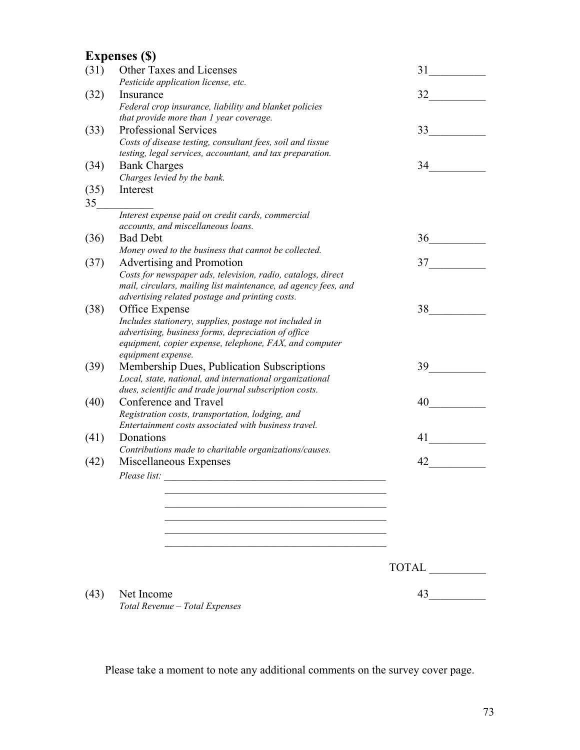## **Expenses (\$)**

|            | парсизся (Ф)                                                                                                                                                                                                     |              |
|------------|------------------------------------------------------------------------------------------------------------------------------------------------------------------------------------------------------------------|--------------|
| (31)       | Other Taxes and Licenses                                                                                                                                                                                         | 31           |
| (32)       | Pesticide application license, etc.<br>Insurance                                                                                                                                                                 | 32           |
|            | Federal crop insurance, liability and blanket policies<br>that provide more than 1 year coverage.                                                                                                                |              |
| (33)       | <b>Professional Services</b><br>Costs of disease testing, consultant fees, soil and tissue<br>testing, legal services, accountant, and tax preparation.                                                          | 33           |
| (34)       | <b>Bank Charges</b><br>Charges levied by the bank.                                                                                                                                                               | 34           |
| (35)<br>35 | Interest                                                                                                                                                                                                         |              |
|            | Interest expense paid on credit cards, commercial<br>accounts, and miscellaneous loans.                                                                                                                          |              |
| (36)       | <b>Bad Debt</b>                                                                                                                                                                                                  | $36 \quad -$ |
| (37)       | Money owed to the business that cannot be collected.<br>Advertising and Promotion                                                                                                                                | 37           |
|            | Costs for newspaper ads, television, radio, catalogs, direct<br>mail, circulars, mailing list maintenance, ad agency fees, and<br>advertising related postage and printing costs.                                |              |
| (38)       | Office Expense<br>Includes stationery, supplies, postage not included in<br>advertising, business forms, depreciation of office<br>equipment, copier expense, telephone, FAX, and computer<br>equipment expense. | 38           |
| (39)       | Membership Dues, Publication Subscriptions<br>Local, state, national, and international organizational<br>dues, scientific and trade journal subscription costs.                                                 | 39           |
| (40)       | Conference and Travel<br>Registration costs, transportation, lodging, and<br>Entertainment costs associated with business travel.                                                                                | 40           |
| (41)       | Donations<br>Contributions made to charitable organizations/causes.                                                                                                                                              | 41           |
| (42)       | Miscellaneous Expenses<br>Please list:<br><u> 1980 - Jan Stein Berlin, amerikan berlin besteht als der stadt andere som besteht als der stadt andere som b</u>                                                   | 42           |
|            |                                                                                                                                                                                                                  |              |
|            |                                                                                                                                                                                                                  |              |
|            |                                                                                                                                                                                                                  | <b>TOTAL</b> |
| (43)       | Net Income<br>Total Revenue - Total Expenses                                                                                                                                                                     | 43           |

Please take a moment to note any additional comments on the survey cover page.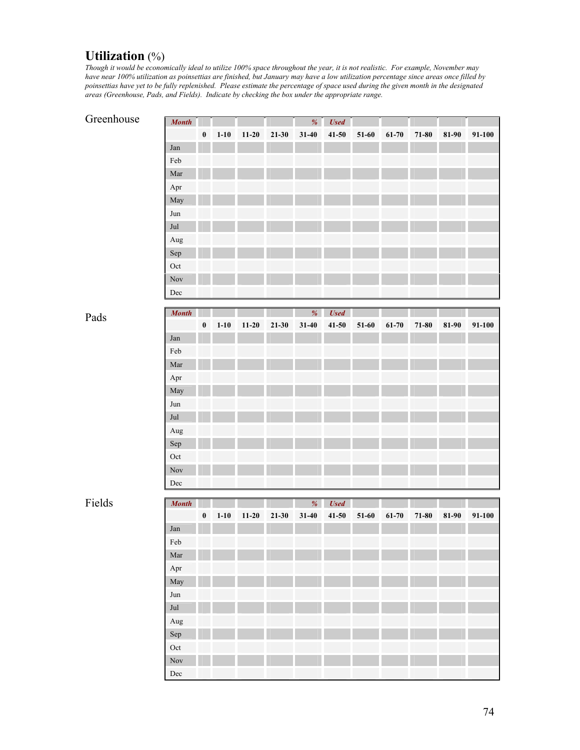#### **Utilization** (%)

*Though it would be economically ideal to utilize 100% space throughout the year, it is not realistic. For example, November may have near 100% utilization as poinsettias are finished, but January may have a low utilization percentage since areas once filled by poinsettias have yet to be fully replenished. Please estimate the percentage of space used during the given month in the designated areas (Greenhouse, Pads, and Fields). Indicate by checking the box under the appropriate range.* 

#### Greenhouse

| <b>Month</b> |          |          |           |           | %         | <b>Used</b> |       |           |           |       |        |
|--------------|----------|----------|-----------|-----------|-----------|-------------|-------|-----------|-----------|-------|--------|
|              | $\bf{0}$ | $1 - 10$ | $11 - 20$ | $21 - 30$ | $31 - 40$ | $41 - 50$   | 51-60 | $61 - 70$ | $71 - 80$ | 81-90 | 91-100 |
| Jan          |          |          |           |           |           |             |       |           |           |       |        |
| Feb          |          |          |           |           |           |             |       |           |           |       |        |
| Mar          |          |          |           |           |           |             |       |           |           |       |        |
| Apr          |          |          |           |           |           |             |       |           |           |       |        |
| May          |          |          |           |           |           |             |       |           |           |       |        |
| Jun          |          |          |           |           |           |             |       |           |           |       |        |
| Jul          |          |          |           |           |           |             |       |           |           |       |        |
| Aug          |          |          |           |           |           |             |       |           |           |       |        |
| Sep          |          |          |           |           |           |             |       |           |           |       |        |
| Oct          |          |          |           |           |           |             |       |           |           |       |        |
| Nov          |          |          |           |           |           |             |       |           |           |       |        |
| Dec          |          |          |           |           |           |             |       |           |           |       |        |

Pads

| <b>Month</b>         |          |          |           |           | %         | <b>Used</b> |         |           |           |       |        |
|----------------------|----------|----------|-----------|-----------|-----------|-------------|---------|-----------|-----------|-------|--------|
|                      | $\bf{0}$ | $1 - 10$ | $11 - 20$ | $21 - 30$ | $31 - 40$ | $41 - 50$   | $51-60$ | $61 - 70$ | $71 - 80$ | 81-90 | 91-100 |
| Jan                  |          |          |           |           |           |             |         |           |           |       |        |
| Feb                  |          |          |           |           |           |             |         |           |           |       |        |
| $\operatorname{Mar}$ |          |          |           |           |           |             |         |           |           |       |        |
| Apr                  |          |          |           |           |           |             |         |           |           |       |        |
| May                  |          |          |           |           |           |             |         |           |           |       |        |
| Jun                  |          |          |           |           |           |             |         |           |           |       |        |
| Jul                  |          |          |           |           |           |             |         |           |           |       |        |
| Aug                  |          |          |           |           |           |             |         |           |           |       |        |
| ${\rm Sep}$          |          |          |           |           |           |             |         |           |           |       |        |
| Oct                  |          |          |           |           |           |             |         |           |           |       |        |
| Nov                  |          |          |           |           |           |             |         |           |           |       |        |
| Dec                  |          |          |           |           |           |             |         |           |           |       |        |

Fields

| <b>Month</b>         |          |          |         |           | %         | <b>Used</b> |       |       |       |       |        |
|----------------------|----------|----------|---------|-----------|-----------|-------------|-------|-------|-------|-------|--------|
|                      | $\bf{0}$ | $1 - 10$ | $11-20$ | $21 - 30$ | $31 - 40$ | $41 - 50$   | 51-60 | 61-70 | 71-80 | 81-90 | 91-100 |
| Jan                  |          |          |         |           |           |             |       |       |       |       |        |
| Feb                  |          |          |         |           |           |             |       |       |       |       |        |
| $\operatorname{Mar}$ |          |          |         |           |           |             |       |       |       |       |        |
| Apr                  |          |          |         |           |           |             |       |       |       |       |        |
| May                  |          |          |         |           |           |             |       |       |       |       |        |
| $_{\mathrm{Jun}}$    |          |          |         |           |           |             |       |       |       |       |        |
| Jul                  |          |          |         |           |           |             |       |       |       |       |        |
| Aug                  |          |          |         |           |           |             |       |       |       |       |        |
| Sep                  |          |          |         |           |           |             |       |       |       |       |        |
| $\hbox{Oct}$         |          |          |         |           |           |             |       |       |       |       |        |
| Nov                  |          |          |         |           |           |             |       |       |       |       |        |
| Dec                  |          |          |         |           |           |             |       |       |       |       |        |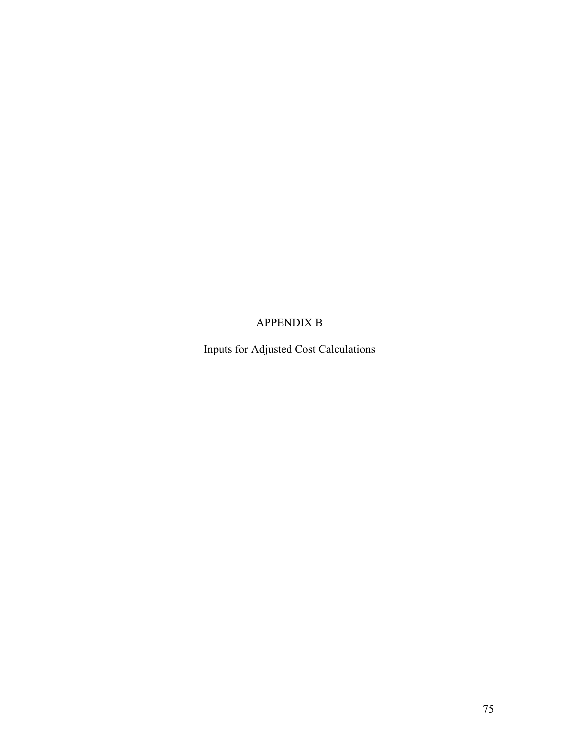## APPENDIX B

Inputs for Adjusted Cost Calculations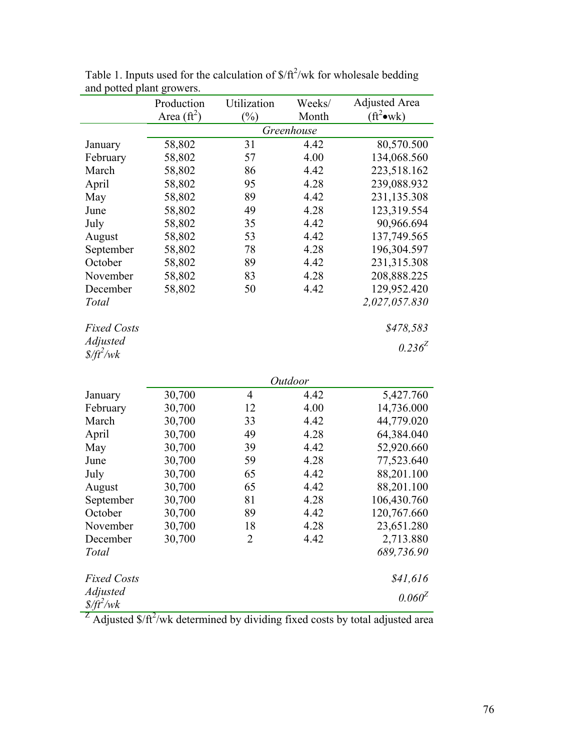|                                   | Production           | Utilization    | Weeks/     | <b>Adjusted Area</b>              |
|-----------------------------------|----------------------|----------------|------------|-----------------------------------|
|                                   | Area $(\text{ft}^2)$ | $(\%)$         | Month      | $(\text{ft}^2 \bullet \text{wk})$ |
|                                   |                      |                | Greenhouse |                                   |
| January                           | 58,802               | 31             | 4.42       | 80,570.500                        |
| February                          | 58,802               | 57             | 4.00       | 134,068.560                       |
| March                             | 58,802               | 86             | 4.42       | 223,518.162                       |
| April                             | 58,802               | 95             | 4.28       | 239,088.932                       |
| May                               | 58,802               | 89             | 4.42       | 231,135.308                       |
| June                              | 58,802               | 49             | 4.28       | 123,319.554                       |
| July                              | 58,802               | 35             | 4.42       | 90,966.694                        |
| August                            | 58,802               | 53             | 4.42       | 137,749.565                       |
| September                         | 58,802               | 78             | 4.28       | 196,304.597                       |
| October                           | 58,802               | 89             | 4.42       | 231,315.308                       |
| November                          | 58,802               | 83             | 4.28       | 208,888.225                       |
| December                          | 58,802               | 50             | 4.42       | 129,952.420                       |
| Total                             |                      |                |            | 2,027,057.830                     |
|                                   |                      |                |            |                                   |
| <b>Fixed Costs</b>                |                      |                |            | \$478,583                         |
| <b>Adjusted</b>                   |                      |                |            | $0.236^{Z}$                       |
| $\frac{f}{f}$ /wk                 |                      |                |            |                                   |
|                                   |                      |                |            |                                   |
|                                   |                      |                | Outdoor    |                                   |
| January                           | 30,700               | $\overline{4}$ | 4.42       | 5,427.760                         |
| February                          | 30,700               | 12             | 4.00       | 14,736.000                        |
| March                             | 30,700               | 33             | 4.42       | 44,779.020                        |
| April                             | 30,700               | 49             | 4.28       | 64,384.040                        |
| May                               | 30,700               | 39             | 4.42       | 52,920.660                        |
| June                              | 30,700               | 59             | 4.28       | 77,523.640                        |
| July                              | 30,700               | 65             | 4.42       | 88,201.100                        |
| August                            | 30,700               | 65             | 4.42       | 88,201.100                        |
| September                         | 30,700               | 81             | 4.28       | 106,430.760                       |
| October                           | 30,700               | 89             | 4.42       | 120,767.660                       |
| November                          | 30,700               | 18             | 4.28       | 23,651.280                        |
| December                          | 30,700               | $\overline{2}$ | 4.42       | 2,713.880                         |
| Total                             |                      |                |            | 689,736.90                        |
|                                   |                      |                |            |                                   |
| <b>Fixed Costs</b>                |                      |                |            | \$41,616                          |
| <b>Adjusted</b>                   |                      |                |            | $0.060^{Z}$                       |
| $\frac{\delta}{\partial t^2}$ /wk |                      |                |            |                                   |

Table 1. Inputs used for the calculation of  $\frac{f^2}{w}$  for wholesale bedding and potted plant growers.

<sup>Z</sup> Adjusted  $\frac{\pi}{4}$  /wk determined by dividing fixed costs by total adjusted area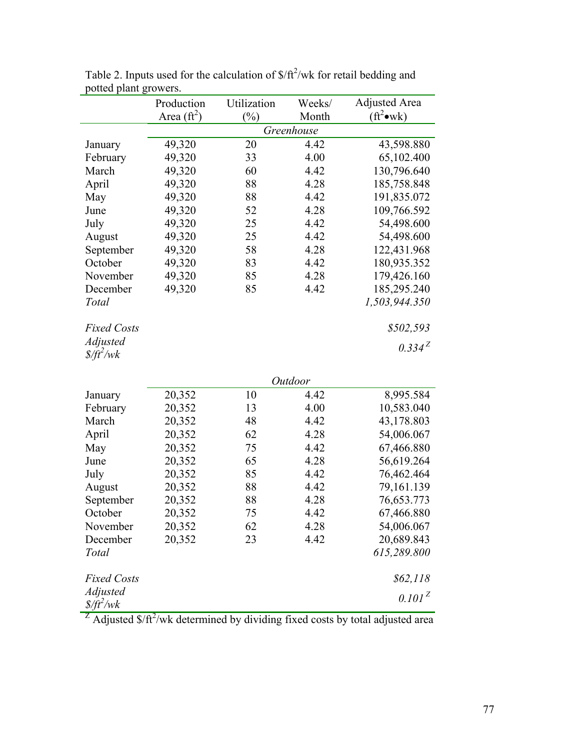|                                 | Production           | Utilization | Weeks/     | <b>Adjusted Area</b>              |
|---------------------------------|----------------------|-------------|------------|-----------------------------------|
|                                 | Area $(\text{ft}^2)$ | $(\%)$      | Month      | $(\text{ft}^2 \bullet \text{wk})$ |
|                                 |                      |             | Greenhouse |                                   |
| January                         | 49,320               | 20          | 4.42       | 43,598.880                        |
| February                        | 49,320               | 33          | 4.00       | 65,102.400                        |
| March                           | 49,320               | 60          | 4.42       | 130,796.640                       |
| April                           | 49,320               | 88          | 4.28       | 185,758.848                       |
| May                             | 49,320               | 88          | 4.42       | 191,835.072                       |
| June                            | 49,320               | 52          | 4.28       | 109,766.592                       |
| July                            | 49,320               | 25          | 4.42       | 54,498.600                        |
| August                          | 49,320               | 25          | 4.42       | 54,498.600                        |
| September                       | 49,320               | 58          | 4.28       | 122,431.968                       |
| October                         | 49,320               | 83          | 4.42       | 180,935.352                       |
| November                        | 49,320               | 85          | 4.28       | 179,426.160                       |
| December                        | 49,320               | 85          | 4.42       | 185,295.240                       |
| Total                           |                      |             |            | 1,503,944.350                     |
|                                 |                      |             |            |                                   |
| <b>Fixed Costs</b>              |                      |             |            | \$502,593                         |
| <b>Adjusted</b>                 |                      |             |            | $0.334^{Z}$                       |
| $\frac{f}{f}$ /wk               |                      |             |            |                                   |
|                                 |                      |             |            |                                   |
|                                 |                      |             | Outdoor    |                                   |
| January                         | 20,352               | 10          | 4.42       | 8,995.584                         |
| February                        | 20,352               | 13          | 4.00       | 10,583.040                        |
| March                           | 20,352               | 48          | 4.42       | 43,178.803                        |
| April                           | 20,352               | 62          | 4.28       | 54,006.067                        |
| May                             | 20,352               | 75          | 4.42       | 67,466.880                        |
| June                            | 20,352               | 65          | 4.28       | 56,619.264                        |
| July                            | 20,352               | 85          | 4.42       | 76,462.464                        |
| August                          | 20,352               | 88          | 4.42       | 79,161.139                        |
| September                       | 20,352               | 88          | 4.28       | 76,653.773                        |
| October                         | 20,352               | 75          | 4.42       | 67,466.880                        |
| November                        | 20,352               | 62          | 4.28       | 54,006.067                        |
| December                        | 20,352               | 23          | 4.42       | 20,689.843                        |
| Total                           |                      |             |            | 615,289.800                       |
|                                 |                      |             |            |                                   |
| <b>Fixed Costs</b>              |                      |             |            | \$62,118                          |
| Adjusted                        |                      |             |            | 0.101 <sup>Z</sup>                |
| $\frac{\delta}{\delta t^2}$ /wk |                      |             |            |                                   |

Table 2. Inputs used for the calculation of  $\frac{f}{f}$ /wk for retail bedding and potted plant growers.

<sup>Z</sup> Adjusted  $\frac{\pi}{4}$  /wk determined by dividing fixed costs by total adjusted area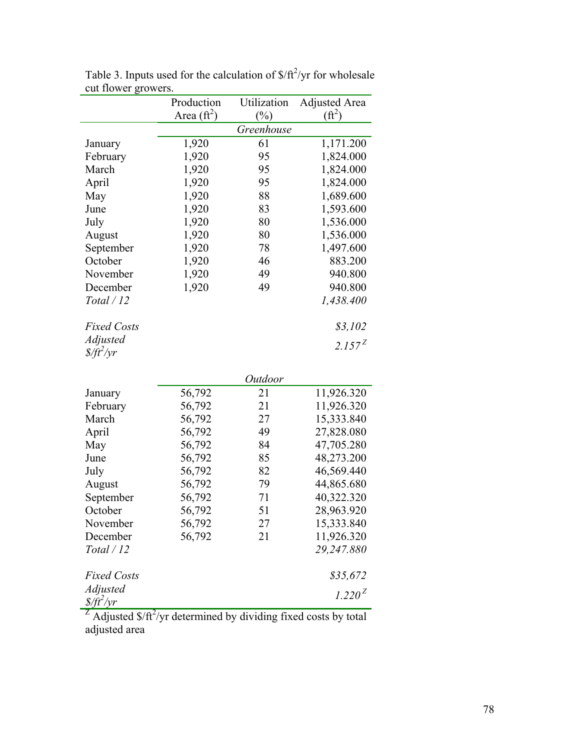|                    | Production           | Utilization | <b>Adjusted Area</b> |
|--------------------|----------------------|-------------|----------------------|
|                    | Area $(\text{ft}^2)$ | $(\%)$      | $(f\text{ft}^2)$     |
|                    |                      | Greenhouse  |                      |
| January            | 1,920                | 61          | 1,171.200            |
| February           | 1,920                | 95          | 1,824.000            |
| March              | 1,920                | 95          | 1,824.000            |
| April              | 1,920                | 95          | 1,824.000            |
| May                | 1,920                | 88          | 1,689.600            |
| June               | 1,920                | 83          | 1,593.600            |
| July               | 1,920                | 80          | 1,536.000            |
| August             | 1,920                | 80          | 1,536.000            |
| September          | 1,920                | 78          | 1,497.600            |
| October            | 1,920                | 46          | 883.200              |
| November           | 1,920                | 49          | 940.800              |
| December           | 1,920                | 49          | 940.800              |
| Total / 12         |                      |             | 1,438.400            |
| <b>Fixed Costs</b> |                      |             | \$3,102              |
| <b>Adjusted</b>    |                      |             | $2.157^{Z}$          |
| $\frac{f}{f}$      |                      |             |                      |
|                    |                      | Outdoor     |                      |
| January            | 56,792               | 21          | 11,926.320           |
| February           | 56,792               | 21          | 11,926.320           |
| March              | 56,792               | 27          | 15,333.840           |
| April              | 56,792               | 49          | 27,828.080           |
| May                | 56,792               | 84          | 47,705.280           |
| June               | 56,792               | 85          | 48,273.200           |
| July               | 56,792               | 82          | 46,569.440           |
| August             | 56,792               | 79          | 44,865.680           |
| September          | 56,792               | 71          | 40,322.320           |
| October            | 56,792               | 51          | 28,963.920           |
| November           | 56,792               | 27          | 15,333.840           |
| December           | 56,792               | 21          | 11,926.320           |
| Total / 12         |                      |             | 29,247.880           |
| <b>Fixed Costs</b> |                      |             | \$35,672             |
| <b>Adjusted</b>    |                      |             |                      |
| $\frac{f}{f}$      |                      |             | $1.220^{Z}$          |

Table 3. Inputs used for the calculation of  $\frac{\sqrt{t^2}}{yr}$  for wholesale cut flower growers.

<sup>Z</sup> Adjusted  $\frac{\sqrt{2}}{T}$  /yr determined by dividing fixed costs by total adjusted area